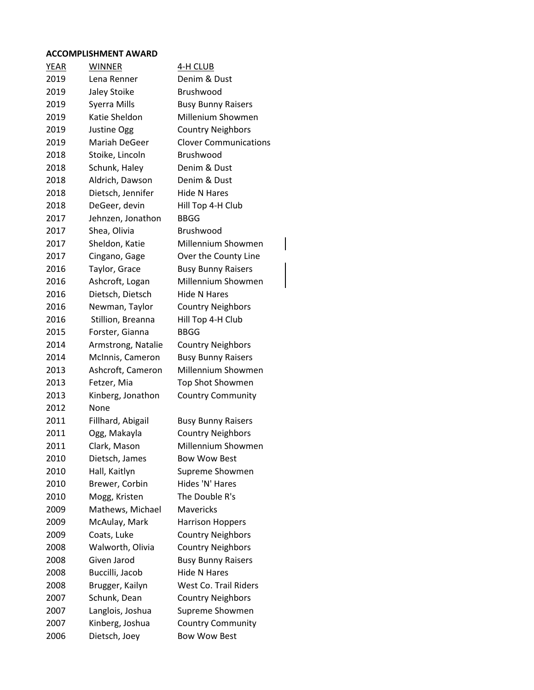#### **ACCOMPLISHMENT AWARD**

| <u>YEAR</u> | <b>WINNER</b>      | 4-H CLUB                     |
|-------------|--------------------|------------------------------|
| 2019        | Lena Renner        | Denim & Dust                 |
| 2019        | Jaley Stoike       | Brushwood                    |
| 2019        | Syerra Mills       | <b>Busy Bunny Raisers</b>    |
| 2019        | Katie Sheldon      | Millenium Showmen            |
| 2019        | Justine Ogg        | <b>Country Neighbors</b>     |
| 2019        | Mariah DeGeer      | <b>Clover Communications</b> |
| 2018        | Stoike, Lincoln    | Brushwood                    |
| 2018        | Schunk, Haley      | Denim & Dust                 |
| 2018        | Aldrich, Dawson    | Denim & Dust                 |
| 2018        | Dietsch, Jennifer  | Hide N Hares                 |
| 2018        | DeGeer, devin      | Hill Top 4-H Club            |
| 2017        | Jehnzen, Jonathon  | <b>BBGG</b>                  |
| 2017        | Shea, Olivia       | Brushwood                    |
| 2017        | Sheldon, Katie     | Millennium Showmen           |
| 2017        | Cingano, Gage      | Over the County Line         |
| 2016        | Taylor, Grace      | <b>Busy Bunny Raisers</b>    |
| 2016        | Ashcroft, Logan    | Millennium Showmen           |
| 2016        | Dietsch, Dietsch   | <b>Hide N Hares</b>          |
| 2016        | Newman, Taylor     | <b>Country Neighbors</b>     |
| 2016        | Stillion, Breanna  | Hill Top 4-H Club            |
| 2015        | Forster, Gianna    | <b>BBGG</b>                  |
| 2014        | Armstrong, Natalie | <b>Country Neighbors</b>     |
| 2014        | McInnis, Cameron   | <b>Busy Bunny Raisers</b>    |
| 2013        | Ashcroft, Cameron  | Millennium Showmen           |
| 2013        | Fetzer, Mia        | <b>Top Shot Showmen</b>      |
| 2013        | Kinberg, Jonathon  | <b>Country Community</b>     |
| 2012        | None               |                              |
| 2011        | Fillhard, Abigail  | <b>Busy Bunny Raisers</b>    |
| 2011        | Ogg, Makayla       | <b>Country Neighbors</b>     |
| 2011        | Clark, Mason       | Millennium Showmen           |
| 2010        | Dietsch, James     | <b>Bow Wow Best</b>          |
| 2010        | Hall, Kaitlyn      | Supreme Showmen              |
| 2010        | Brewer, Corbin     | Hides 'N' Hares              |
| 2010        | Mogg, Kristen      | The Double R's               |
| 2009        | Mathews, Michael   | <b>Mavericks</b>             |
| 2009        | McAulay, Mark      | <b>Harrison Hoppers</b>      |
| 2009        | Coats, Luke        | <b>Country Neighbors</b>     |
| 2008        | Walworth, Olivia   | <b>Country Neighbors</b>     |
| 2008        | Given Jarod        | <b>Busy Bunny Raisers</b>    |
| 2008        | Buccilli, Jacob    | <b>Hide N Hares</b>          |
| 2008        | Brugger, Kailyn    | <b>West Co. Trail Riders</b> |
| 2007        | Schunk, Dean       | <b>Country Neighbors</b>     |
| 2007        | Langlois, Joshua   | Supreme Showmen              |
| 2007        | Kinberg, Joshua    | <b>Country Community</b>     |
| 2006        | Dietsch, Joey      | <b>Bow Wow Best</b>          |

 $\begin{array}{c} \rule{0pt}{2ex} \rule{0pt}{2ex} \rule{0pt}{2ex} \rule{0pt}{2ex} \rule{0pt}{2ex} \rule{0pt}{2ex} \rule{0pt}{2ex} \rule{0pt}{2ex} \rule{0pt}{2ex} \rule{0pt}{2ex} \rule{0pt}{2ex} \rule{0pt}{2ex} \rule{0pt}{2ex} \rule{0pt}{2ex} \rule{0pt}{2ex} \rule{0pt}{2ex} \rule{0pt}{2ex} \rule{0pt}{2ex} \rule{0pt}{2ex} \rule{0pt}{2ex} \rule{0pt}{2ex} \rule{0pt}{2ex} \rule{0pt}{2ex} \rule{0pt}{$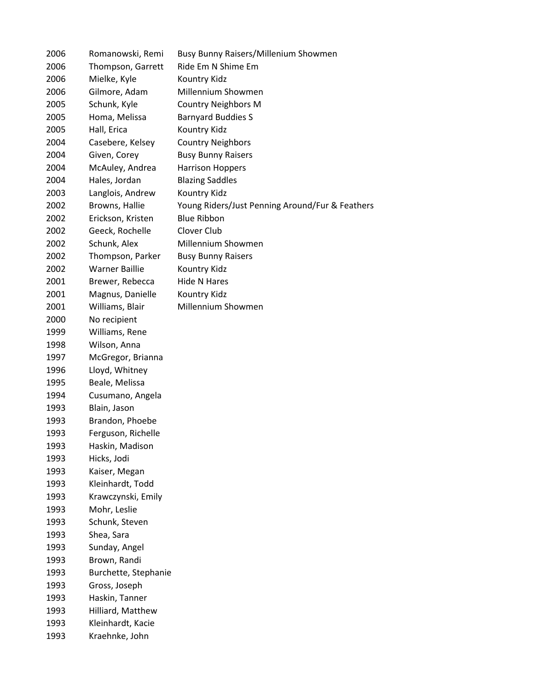| 2006 | Romanowski, Remi      | Busy Bunny Raisers/Millenium Showmen            |
|------|-----------------------|-------------------------------------------------|
| 2006 | Thompson, Garrett     | Ride Em N Shime Em                              |
| 2006 | Mielke, Kyle          | Kountry Kidz                                    |
| 2006 | Gilmore, Adam         | Millennium Showmen                              |
| 2005 | Schunk, Kyle          | <b>Country Neighbors M</b>                      |
| 2005 | Homa, Melissa         | <b>Barnyard Buddies S</b>                       |
| 2005 | Hall, Erica           | Kountry Kidz                                    |
| 2004 | Casebere, Kelsey      | <b>Country Neighbors</b>                        |
| 2004 | Given, Corey          | <b>Busy Bunny Raisers</b>                       |
| 2004 | McAuley, Andrea       | <b>Harrison Hoppers</b>                         |
| 2004 | Hales, Jordan         | <b>Blazing Saddles</b>                          |
| 2003 | Langlois, Andrew      | Kountry Kidz                                    |
| 2002 | Browns, Hallie        | Young Riders/Just Penning Around/Fur & Feathers |
| 2002 | Erickson, Kristen     | <b>Blue Ribbon</b>                              |
| 2002 | Geeck, Rochelle       | Clover Club                                     |
| 2002 | Schunk, Alex          | Millennium Showmen                              |
| 2002 | Thompson, Parker      | <b>Busy Bunny Raisers</b>                       |
| 2002 | <b>Warner Baillie</b> | Kountry Kidz                                    |
| 2001 | Brewer, Rebecca       | <b>Hide N Hares</b>                             |
| 2001 | Magnus, Danielle      | Kountry Kidz                                    |
| 2001 | Williams, Blair       | Millennium Showmen                              |
| 2000 | No recipient          |                                                 |
| 1999 | Williams, Rene        |                                                 |
| 1998 | Wilson, Anna          |                                                 |
| 1997 | McGregor, Brianna     |                                                 |
| 1996 | Lloyd, Whitney        |                                                 |
| 1995 | Beale, Melissa        |                                                 |
| 1994 | Cusumano, Angela      |                                                 |
| 1993 | Blain, Jason          |                                                 |
| 1993 | Brandon, Phoebe       |                                                 |
| 1993 | Ferguson, Richelle    |                                                 |
| 1993 | Haskin, Madison       |                                                 |
| 1993 | Hicks, Jodi           |                                                 |
| 1993 | Kaiser, Megan         |                                                 |
| 1993 | Kleinhardt, Todd      |                                                 |
| 1993 | Krawczynski, Emily    |                                                 |
| 1993 | Mohr, Leslie          |                                                 |
| 1993 | Schunk, Steven        |                                                 |
| 1993 | Shea, Sara            |                                                 |
| 1993 | Sunday, Angel         |                                                 |
| 1993 | Brown, Randi          |                                                 |
| 1993 | Burchette, Stephanie  |                                                 |
| 1993 | Gross, Joseph         |                                                 |
| 1993 | Haskin, Tanner        |                                                 |
| 1993 | Hilliard, Matthew     |                                                 |
| 1993 | Kleinhardt, Kacie     |                                                 |
| 1993 | Kraehnke, John        |                                                 |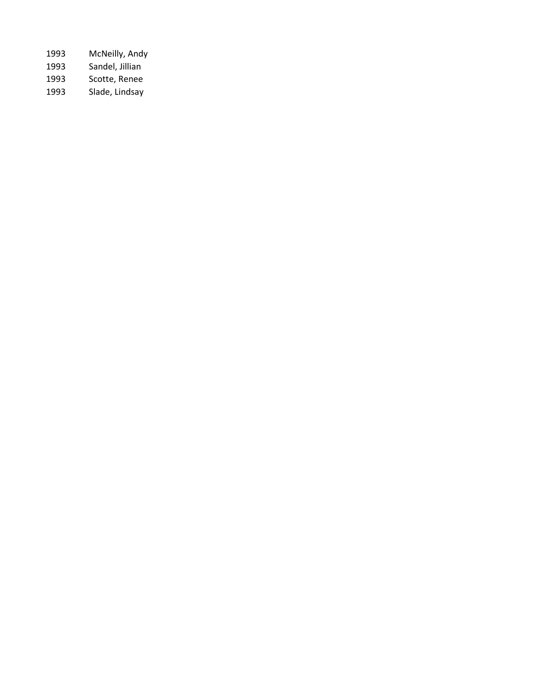| 1993 | McNeilly, Andy  |
|------|-----------------|
| 1993 | Sandel, Jillian |
| 1993 | Scotte, Renee   |
| 1993 | Slade, Lindsay  |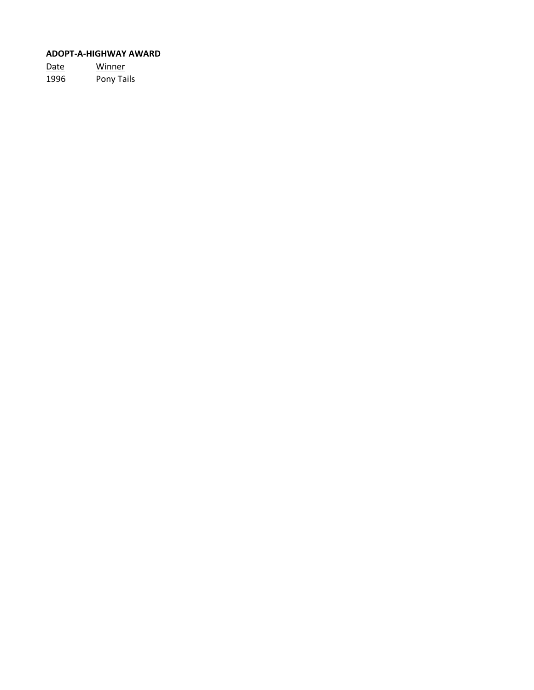# **ADOPT-A-HIGHWAY AWARD**

Date Winner 1996 Pony Tails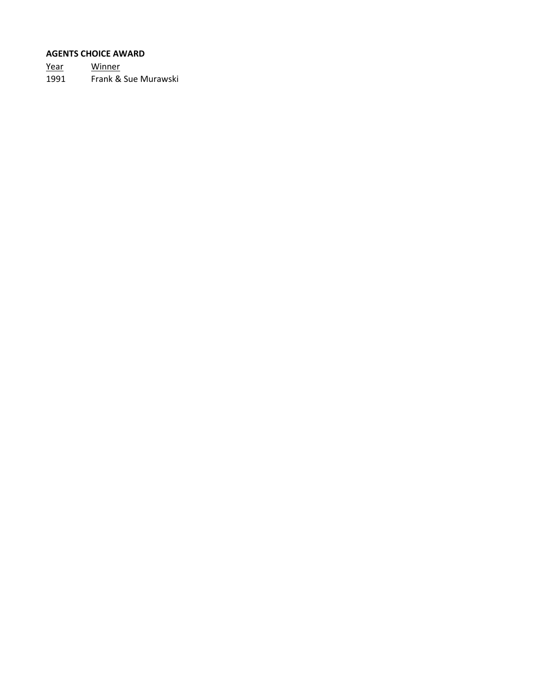#### **AGENTS CHOICE AWARD**

Year Winner 1991 Frank & Sue Murawski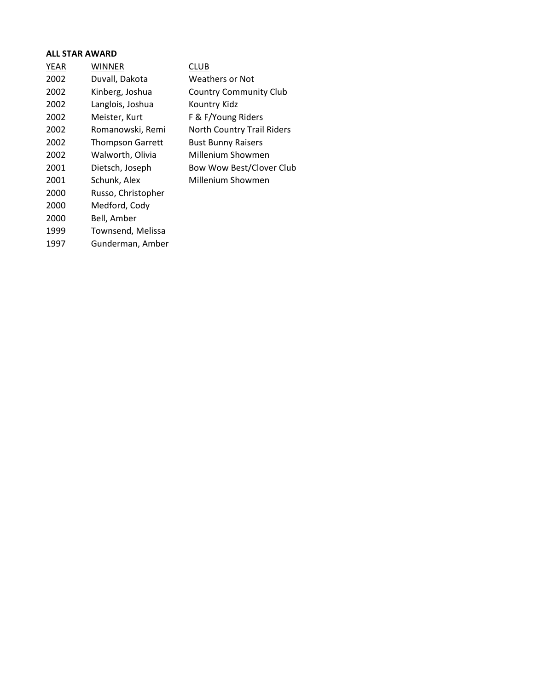# **ALL STAR AWARD**

| <b>YEAR</b> | <b>WINNER</b>           | CLUB                              |
|-------------|-------------------------|-----------------------------------|
| 2002        | Duvall, Dakota          | Weathers or Not                   |
| 2002        | Kinberg, Joshua         | <b>Country Community Club</b>     |
| 2002        | Langlois, Joshua        | Kountry Kidz                      |
| 2002        | Meister, Kurt           | F & F/Young Riders                |
| 2002        | Romanowski, Remi        | <b>North Country Trail Riders</b> |
| 2002        | <b>Thompson Garrett</b> | <b>Bust Bunny Raisers</b>         |
| 2002        | Walworth, Olivia        | Millenium Showmen                 |
| 2001        | Dietsch, Joseph         | Bow Wow Best/Clover Club          |
| 2001        | Schunk, Alex            | Millenium Showmen                 |
| 2000        | Russo, Christopher      |                                   |
| 2000        | Medford, Cody           |                                   |
| 2000        | Bell, Amber             |                                   |
| 1999        | Townsend, Melissa       |                                   |
| 1997        | Gunderman, Amber        |                                   |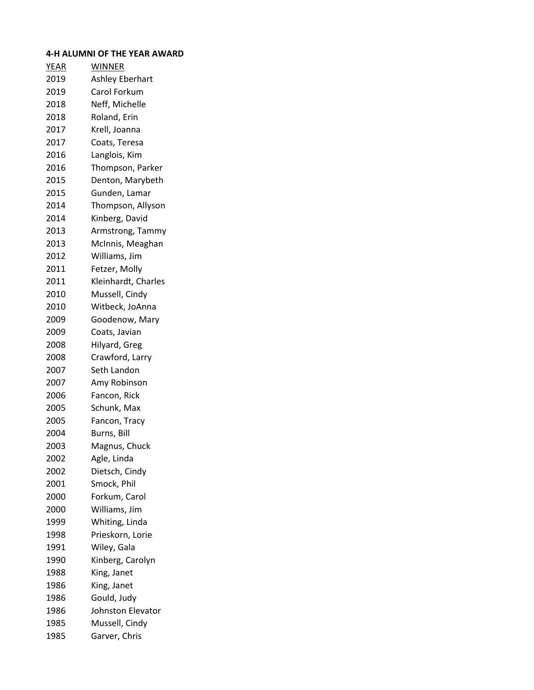# **4-H ALUMNI OF THE YEAR AWARD**

| <b>YEAR</b> | <b>WINNER</b>            |
|-------------|--------------------------|
| 2019        | <b>Ashley Eberhart</b>   |
| 2019        | Carol Forkum             |
| 2018        | Neff, Michelle           |
| 2018        | Roland, Erin             |
| 2017        | Krell, Joanna            |
| 2017        | Coats, Teresa            |
| 2016        | Langlois, Kim            |
| 2016        | Thompson, Parker         |
| 2015        | Denton, Marybeth         |
| 2015        | Gunden, Lamar            |
| 2014        | Thompson, Allyson        |
| 2014        | Kinberg, David           |
| 2013        | Armstrong, Tammy         |
| 2013        | McInnis, Meaghan         |
| 2012        | Williams, Jim            |
| 2011        | Fetzer, Molly            |
| 2011        | Kleinhardt, Charles      |
| 2010        | Mussell, Cindy           |
| 2010        | Witbeck, JoAnna          |
| 2009        | Goodenow, Mary           |
| 2009        | Coats, Javian            |
| 2008        | Hilyard, Greg            |
| 2008        | Crawford, Larry          |
| 2007        | Seth Landon              |
| 2007        | Amy Robinson             |
| 2006        | Fancon, Rick             |
| 2005        | Schunk, Max              |
| 2005        | Fancon, Tracy            |
| 2004        | Burns, Bill              |
| 2003        | Magnus, Chuck            |
| 2002        | Agle, Linda              |
| 2002        | Dietsch, Cindy           |
| 2001        | Smock, Phil              |
| 2000        | Forkum, Carol            |
| 2000        | Williams, Jim            |
| 1999        | Whiting, Linda           |
| 1998        | Prieskorn, Lorie         |
| 1991        | Wiley, Gala              |
| 1990        | Kinberg, Carolyn         |
| 1988        | King, Janet              |
| 1986        | King, Janet              |
| 1986        | Gould, Judy              |
| 1986        | <b>Johnston Elevator</b> |
| 1985        | Mussell, Cindy           |
| 1985        | Garver, Chris            |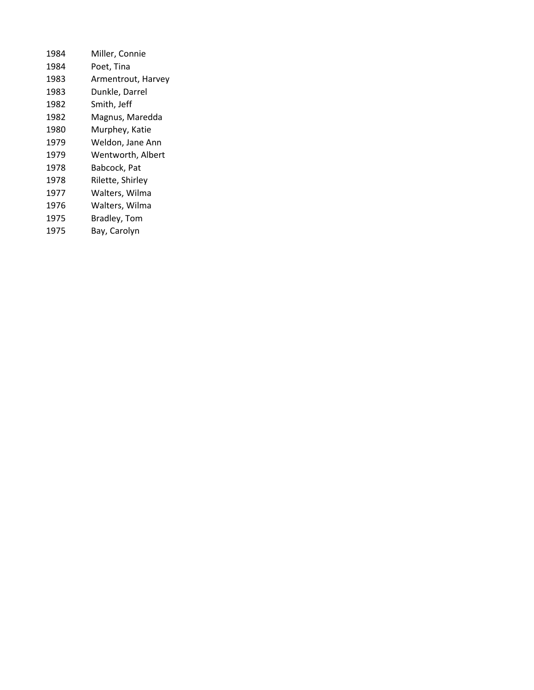| 1984 | Miller, Connie     |
|------|--------------------|
| 1984 | Poet, Tina         |
| 1983 | Armentrout, Harvey |
| 1983 | Dunkle, Darrel     |
| 1982 | Smith, Jeff        |
| 1982 | Magnus, Maredda    |
| 1980 | Murphey, Katie     |
| 1979 | Weldon, Jane Ann   |
| 1979 | Wentworth, Albert  |
| 1978 | Babcock, Pat       |
| 1978 | Rilette, Shirley   |
| 1977 | Walters, Wilma     |
| 1976 | Walters, Wilma     |
| 1975 | Bradley, Tom       |
| 1975 | Bay, Carolyn       |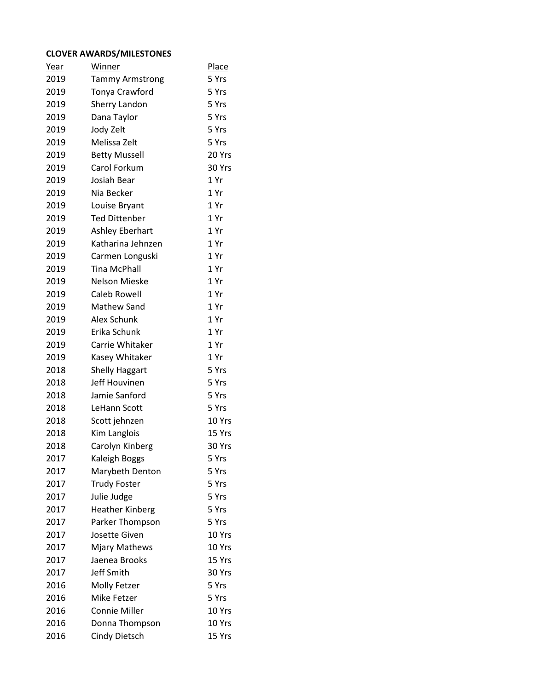#### **CLOVER AWARDS/MILESTONES**

| <u>Year</u> | Winner                 | <b>Place</b> |
|-------------|------------------------|--------------|
| 2019        | <b>Tammy Armstrong</b> | 5 Yrs        |
| 2019        | Tonya Crawford         | 5 Yrs        |
| 2019        | Sherry Landon          | 5 Yrs        |
| 2019        | Dana Taylor            | 5 Yrs        |
| 2019        | Jody Zelt              | 5 Yrs        |
| 2019        | Melissa Zelt           | 5 Yrs        |
| 2019        | <b>Betty Mussell</b>   | 20 Yrs       |
| 2019        | Carol Forkum           | 30 Yrs       |
| 2019        | Josiah Bear            | 1 Yr         |
| 2019        | Nia Becker             | 1 Yr         |
| 2019        | Louise Bryant          | 1 Yr         |
| 2019        | <b>Ted Dittenber</b>   | 1 Yr         |
| 2019        | Ashley Eberhart        | 1 Yr         |
| 2019        | Katharina Jehnzen      | 1 Yr         |
| 2019        | Carmen Longuski        | 1 Yr         |
| 2019        | <b>Tina McPhall</b>    | 1 Yr         |
| 2019        | Nelson Mieske          | 1 Yr         |
| 2019        | <b>Caleb Rowell</b>    | 1 Yr         |
| 2019        | Mathew Sand            | 1 Yr         |
| 2019        | Alex Schunk            | 1 Yr         |
| 2019        | Erika Schunk           | 1 Yr         |
| 2019        | Carrie Whitaker        | 1 Yr         |
| 2019        | Kasey Whitaker         | 1 Yr         |
| 2018        | <b>Shelly Haggart</b>  | 5 Yrs        |
| 2018        | Jeff Houvinen          | 5 Yrs        |
| 2018        | Jamie Sanford          | 5 Yrs        |
| 2018        | LeHann Scott           | 5 Yrs        |
| 2018        | Scott jehnzen          | 10 Yrs       |
| 2018        | Kim Langlois           | 15 Yrs       |
| 2018        | Carolyn Kinberg        | 30 Yrs       |
| 2017        | Kaleigh Boggs          | 5 Yrs        |
| 2017        | Marybeth Denton        | 5 Yrs        |
| 2017        | <b>Trudy Foster</b>    | 5 Yrs        |
| 2017        | Julie Judge            | 5 Yrs        |
| 2017        | <b>Heather Kinberg</b> | 5 Yrs        |
| 2017        | Parker Thompson        | 5 Yrs        |
| 2017        | Josette Given          | 10 Yrs       |
| 2017        | <b>Mjary Mathews</b>   | 10 Yrs       |
| 2017        | Jaenea Brooks          | 15 Yrs       |
| 2017        | Jeff Smith             | 30 Yrs       |
| 2016        | Molly Fetzer           | 5 Yrs        |
| 2016        | Mike Fetzer            | 5 Yrs        |
| 2016        | <b>Connie Miller</b>   | 10 Yrs       |
| 2016        | Donna Thompson         | 10 Yrs       |
| 2016        | <b>Cindy Dietsch</b>   | 15 Yrs       |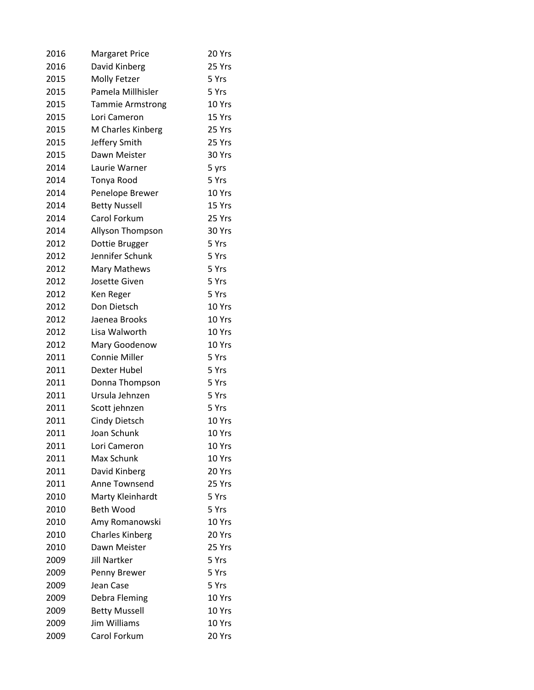| 2016 | <b>Margaret Price</b>   | 20 Yrs |
|------|-------------------------|--------|
| 2016 | David Kinberg           | 25 Yrs |
| 2015 | Molly Fetzer            | 5 Yrs  |
| 2015 | Pamela Millhisler       | 5 Yrs  |
| 2015 | <b>Tammie Armstrong</b> | 10 Yrs |
| 2015 | Lori Cameron            | 15 Yrs |
| 2015 | M Charles Kinberg       | 25 Yrs |
| 2015 | Jeffery Smith           | 25 Yrs |
| 2015 | Dawn Meister            | 30 Yrs |
| 2014 | Laurie Warner           | 5 yrs  |
| 2014 | Tonya Rood              | 5 Yrs  |
| 2014 | Penelope Brewer         | 10 Yrs |
| 2014 | <b>Betty Nussell</b>    | 15 Yrs |
| 2014 | Carol Forkum            | 25 Yrs |
| 2014 | Allyson Thompson        | 30 Yrs |
| 2012 | Dottie Brugger          | 5 Yrs  |
| 2012 | Jennifer Schunk         | 5 Yrs  |
| 2012 | Mary Mathews            | 5 Yrs  |
| 2012 | Josette Given           | 5 Yrs  |
| 2012 | Ken Reger               | 5 Yrs  |
| 2012 | Don Dietsch             | 10 Yrs |
| 2012 | Jaenea Brooks           | 10 Yrs |
| 2012 | Lisa Walworth           | 10 Yrs |
| 2012 | Mary Goodenow           | 10 Yrs |
| 2011 | <b>Connie Miller</b>    | 5 Yrs  |
| 2011 | Dexter Hubel            | 5 Yrs  |
| 2011 | Donna Thompson          | 5 Yrs  |
| 2011 | Ursula Jehnzen          | 5 Yrs  |
| 2011 | Scott jehnzen           | 5 Yrs  |
| 2011 | Cindy Dietsch           | 10 Yrs |
| 2011 | Joan Schunk             | 10 Yrs |
| 2011 | Lori Cameron            | 10 Yrs |
| 2011 | Max Schunk              | 10 Yrs |
| 2011 | David Kinberg           | 20 Yrs |
| 2011 | Anne Townsend           | 25 Yrs |
| 2010 | Marty Kleinhardt        | 5 Yrs  |
| 2010 | <b>Beth Wood</b>        | 5 Yrs  |
| 2010 | Amy Romanowski          | 10 Yrs |
| 2010 | <b>Charles Kinberg</b>  | 20 Yrs |
| 2010 | Dawn Meister            | 25 Yrs |
| 2009 | <b>Jill Nartker</b>     | 5 Yrs  |
| 2009 | Penny Brewer            | 5 Yrs  |
| 2009 | Jean Case               | 5 Yrs  |
| 2009 | Debra Fleming           | 10 Yrs |
| 2009 | <b>Betty Mussell</b>    | 10 Yrs |
| 2009 | Jim Williams            | 10 Yrs |
| 2009 | Carol Forkum            | 20 Yrs |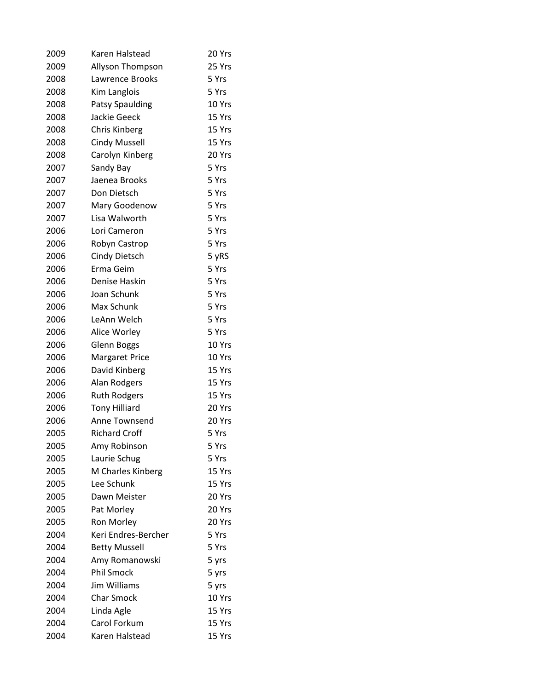| 2009 | Karen Halstead          | 20 Yrs |
|------|-------------------------|--------|
| 2009 | <b>Allyson Thompson</b> | 25 Yrs |
| 2008 | Lawrence Brooks         | 5 Yrs  |
| 2008 | Kim Langlois            | 5 Yrs  |
| 2008 | Patsy Spaulding         | 10 Yrs |
| 2008 | <b>Jackie Geeck</b>     | 15 Yrs |
| 2008 | Chris Kinberg           | 15 Yrs |
| 2008 | <b>Cindy Mussell</b>    | 15 Yrs |
| 2008 | Carolyn Kinberg         | 20 Yrs |
| 2007 | Sandy Bay               | 5 Yrs  |
| 2007 | Jaenea Brooks           | 5 Yrs  |
| 2007 | Don Dietsch             | 5 Yrs  |
| 2007 | Mary Goodenow           | 5 Yrs  |
| 2007 | Lisa Walworth           | 5 Yrs  |
| 2006 | Lori Cameron            | 5 Yrs  |
| 2006 | Robyn Castrop           | 5 Yrs  |
| 2006 | Cindy Dietsch           | 5 yRS  |
| 2006 | Erma Geim               | 5 Yrs  |
| 2006 | Denise Haskin           | 5 Yrs  |
| 2006 | Joan Schunk             | 5 Yrs  |
| 2006 | Max Schunk              | 5 Yrs  |
| 2006 | LeAnn Welch             | 5 Yrs  |
| 2006 | Alice Worley            | 5 Yrs  |
| 2006 | <b>Glenn Boggs</b>      | 10 Yrs |
| 2006 | <b>Margaret Price</b>   | 10 Yrs |
| 2006 | David Kinberg           | 15 Yrs |
| 2006 | Alan Rodgers            | 15 Yrs |
| 2006 | <b>Ruth Rodgers</b>     | 15 Yrs |
| 2006 | <b>Tony Hilliard</b>    | 20 Yrs |
| 2006 | Anne Townsend           | 20 Yrs |
| 2005 | <b>Richard Croff</b>    | 5 Yrs  |
| 2005 | Amy Robinson            | 5 Yrs  |
| 2005 | Laurie Schug            | 5 Yrs  |
| 2005 | M Charles Kinberg       | 15 Yrs |
| 2005 | Lee Schunk              | 15 Yrs |
| 2005 | Dawn Meister            | 20 Yrs |
| 2005 | Pat Morley              | 20 Yrs |
| 2005 | Ron Morley              | 20 Yrs |
| 2004 | Keri Endres-Bercher     | 5 Yrs  |
| 2004 | <b>Betty Mussell</b>    | 5 Yrs  |
| 2004 | Amy Romanowski          | 5 yrs  |
| 2004 | <b>Phil Smock</b>       | 5 yrs  |
| 2004 | Jim Williams            | 5 yrs  |
| 2004 | <b>Char Smock</b>       | 10 Yrs |
| 2004 | Linda Agle              | 15 Yrs |
| 2004 | Carol Forkum            | 15 Yrs |
| 2004 | Karen Halstead          | 15 Yrs |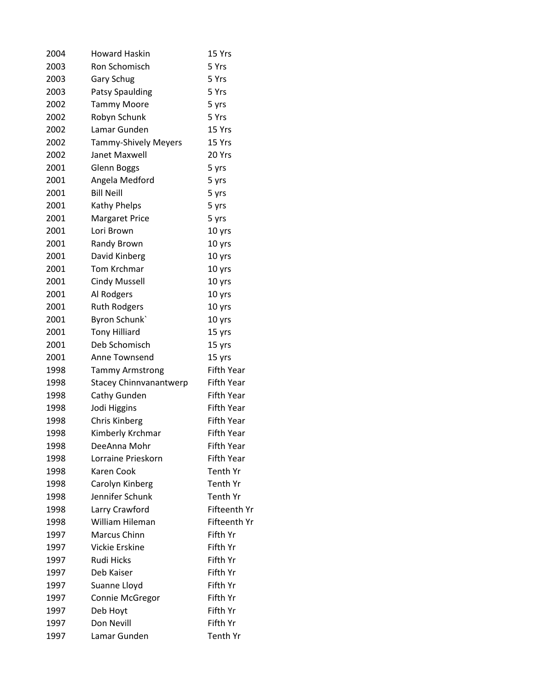| 2004 | <b>Howard Haskin</b>        | 15 Yrs              |
|------|-----------------------------|---------------------|
| 2003 | <b>Ron Schomisch</b>        | 5 Yrs               |
| 2003 | <b>Gary Schug</b>           | 5 Yrs               |
| 2003 | <b>Patsy Spaulding</b>      | 5 Yrs               |
| 2002 | <b>Tammy Moore</b>          | 5 yrs               |
| 2002 | Robyn Schunk                | 5 Yrs               |
| 2002 | Lamar Gunden                | 15 Yrs              |
| 2002 | <b>Tammy-Shively Meyers</b> | 15 Yrs              |
| 2002 | Janet Maxwell               | 20 Yrs              |
| 2001 | <b>Glenn Boggs</b>          | 5 yrs               |
| 2001 | Angela Medford              | 5 yrs               |
| 2001 | <b>Bill Neill</b>           | 5 yrs               |
| 2001 | Kathy Phelps                | 5 yrs               |
| 2001 | <b>Margaret Price</b>       | 5 yrs               |
| 2001 | Lori Brown                  | 10 yrs              |
| 2001 | Randy Brown                 | 10 yrs              |
| 2001 | David Kinberg               | 10 yrs              |
| 2001 | Tom Krchmar                 | 10 yrs              |
| 2001 | <b>Cindy Mussell</b>        | 10 yrs              |
| 2001 | Al Rodgers                  | 10 yrs              |
| 2001 | <b>Ruth Rodgers</b>         | 10 yrs              |
| 2001 | Byron Schunk                | 10 yrs              |
| 2001 | <b>Tony Hilliard</b>        | 15 yrs              |
| 2001 | Deb Schomisch               | 15 yrs              |
| 2001 | Anne Townsend               | 15 yrs              |
| 1998 | <b>Tammy Armstrong</b>      | <b>Fifth Year</b>   |
| 1998 | Stacey Chinnvanantwerp      | Fifth Year          |
| 1998 | Cathy Gunden                | <b>Fifth Year</b>   |
| 1998 | Jodi Higgins                | Fifth Year          |
| 1998 | <b>Chris Kinberg</b>        | Fifth Year          |
| 1998 | Kimberly Krchmar            | Fifth Year          |
| 1998 | DeeAnna Mohr                | <b>Fifth Year</b>   |
| 1998 | Lorraine Prieskorn          | <b>Fifth Year</b>   |
| 1998 | <b>Karen Cook</b>           | Tenth Yr            |
| 1998 | Carolyn Kinberg             | Tenth Yr            |
| 1998 | Jennifer Schunk             | Tenth Yr            |
| 1998 | Larry Crawford              | <b>Fifteenth Yr</b> |
| 1998 | William Hileman             | <b>Fifteenth Yr</b> |
| 1997 | Marcus Chinn                | Fifth Yr            |
| 1997 | <b>Vickie Erskine</b>       | Fifth Yr            |
| 1997 | Rudi Hicks                  | Fifth Yr            |
| 1997 | Deb Kaiser                  | Fifth Yr            |
| 1997 | Suanne Lloyd                | Fifth Yr            |
| 1997 | Connie McGregor             | Fifth Yr            |
| 1997 | Deb Hoyt                    | Fifth Yr            |
| 1997 | Don Nevill                  | Fifth Yr            |
| 1997 | Lamar Gunden                | Tenth Yr            |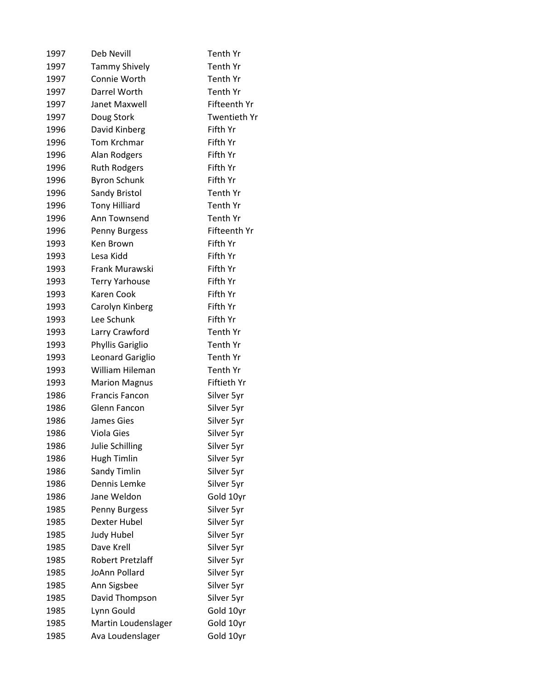| 1997 | Deb Nevill            | <b>Tenth Yr</b> |
|------|-----------------------|-----------------|
| 1997 | <b>Tammy Shively</b>  | Tenth Yr        |
| 1997 | Connie Worth          | Tenth Yr        |
| 1997 | Darrel Worth          | Tenth Yr        |
| 1997 | Janet Maxwell         | Fifteenth Yr    |
| 1997 | Doug Stork            | Twentieth Yr    |
| 1996 | David Kinberg         | Fifth Yr        |
| 1996 | <b>Tom Krchmar</b>    | Fifth Yr        |
| 1996 | Alan Rodgers          | Fifth Yr        |
| 1996 | <b>Ruth Rodgers</b>   | Fifth Yr        |
| 1996 | <b>Byron Schunk</b>   | Fifth Yr        |
| 1996 | Sandy Bristol         | Tenth Yr        |
| 1996 | <b>Tony Hilliard</b>  | Tenth Yr        |
| 1996 | Ann Townsend          | Tenth Yr        |
| 1996 | Penny Burgess         | Fifteenth Yr    |
| 1993 | Ken Brown             | Fifth Yr        |
| 1993 | Lesa Kidd             | Fifth Yr        |
| 1993 | Frank Murawski        | Fifth Yr        |
| 1993 | <b>Terry Yarhouse</b> | Fifth Yr        |
| 1993 | Karen Cook            | Fifth Yr        |
| 1993 | Carolyn Kinberg       | Fifth Yr        |
| 1993 | Lee Schunk            | Fifth Yr        |
| 1993 | Larry Crawford        | Tenth Yr        |
| 1993 | Phyllis Gariglio      | Tenth Yr        |
| 1993 | Leonard Gariglio      | Tenth Yr        |
| 1993 | William Hileman       | Tenth Yr        |
| 1993 | <b>Marion Magnus</b>  | Fiftieth Yr     |
| 1986 | <b>Francis Fancon</b> | Silver 5yr      |
| 1986 | Glenn Fancon          | Silver 5yr      |
| 1986 | James Gies            | Silver 5yr      |
| 1986 | Viola Gies            | Silver 5yr      |
| 1986 | Julie Schilling       | Silver 5yr      |
| 1986 | <b>Hugh Timlin</b>    | Silver 5yr      |
| 1986 | Sandy Timlin          | Silver 5yr      |
| 1986 | Dennis Lemke          | Silver 5yr      |
| 1986 | Jane Weldon           | Gold 10yr       |
| 1985 | Penny Burgess         | Silver 5yr      |
| 1985 | Dexter Hubel          | Silver 5yr      |
| 1985 | <b>Judy Hubel</b>     | Silver 5yr      |
| 1985 | Dave Krell            | Silver 5yr      |
| 1985 | Robert Pretzlaff      | Silver 5yr      |
| 1985 | JoAnn Pollard         | Silver 5yr      |
| 1985 | Ann Sigsbee           | Silver 5yr      |
| 1985 | David Thompson        | Silver 5yr      |
| 1985 | Lynn Gould            | Gold 10yr       |
| 1985 | Martin Loudenslager   | Gold 10yr       |
| 1985 | Ava Loudenslager      | Gold 10yr       |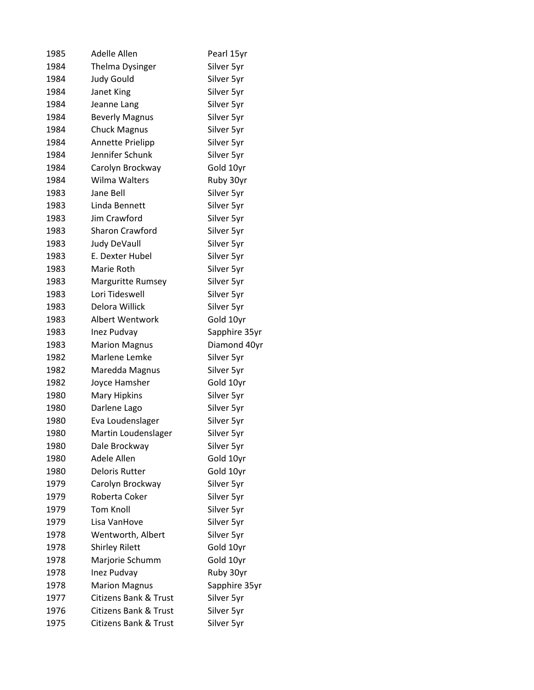| 1985 | Adelle Allen                     | Pearl 15yr    |
|------|----------------------------------|---------------|
| 1984 | <b>Thelma Dysinger</b>           | Silver 5yr    |
| 1984 | <b>Judy Gould</b>                | Silver 5yr    |
| 1984 | Janet King                       | Silver 5yr    |
| 1984 | Jeanne Lang                      | Silver 5yr    |
| 1984 | <b>Beverly Magnus</b>            | Silver 5yr    |
| 1984 | <b>Chuck Magnus</b>              | Silver 5yr    |
| 1984 | Annette Prielipp                 | Silver 5yr    |
| 1984 | Jennifer Schunk                  | Silver 5yr    |
| 1984 | Carolyn Brockway                 | Gold 10yr     |
| 1984 | Wilma Walters                    | Ruby 30yr     |
| 1983 | Jane Bell                        | Silver 5yr    |
| 1983 | Linda Bennett                    | Silver 5yr    |
| 1983 | Jim Crawford                     | Silver 5yr    |
| 1983 | <b>Sharon Crawford</b>           | Silver 5yr    |
| 1983 | <b>Judy DeVaull</b>              | Silver 5yr    |
| 1983 | E. Dexter Hubel                  | Silver 5yr    |
| 1983 | Marie Roth                       | Silver 5yr    |
| 1983 | <b>Marguritte Rumsey</b>         | Silver 5yr    |
| 1983 | Lori Tideswell                   | Silver 5yr    |
| 1983 | Delora Willick                   | Silver 5yr    |
| 1983 | <b>Albert Wentwork</b>           | Gold 10yr     |
| 1983 | Inez Pudvay                      | Sapphire 35yr |
| 1983 | <b>Marion Magnus</b>             | Diamond 40yr  |
| 1982 | Marlene Lemke                    | Silver 5yr    |
| 1982 | Maredda Magnus                   | Silver 5yr    |
| 1982 | Joyce Hamsher                    | Gold 10yr     |
| 1980 | <b>Mary Hipkins</b>              | Silver 5yr    |
| 1980 | Darlene Lago                     | Silver 5yr    |
| 1980 | Eva Loudenslager                 | Silver 5yr    |
| 1980 | Martin Loudenslager              | Silver 5yr    |
| 1980 | Dale Brockway                    | Silver 5yr    |
| 1980 | Adele Allen                      | Gold 10yr     |
| 1980 | <b>Deloris Rutter</b>            | Gold 10yr     |
| 1979 | Carolyn Brockway                 | Silver 5yr    |
| 1979 | Roberta Coker                    | Silver 5yr    |
| 1979 | <b>Tom Knoll</b>                 | Silver 5yr    |
| 1979 | Lisa VanHove                     | Silver 5yr    |
| 1978 | Wentworth, Albert                | Silver 5yr    |
| 1978 | <b>Shirley Rilett</b>            | Gold 10yr     |
| 1978 | Marjorie Schumm                  | Gold 10yr     |
| 1978 | Inez Pudvay                      | Ruby 30yr     |
| 1978 | <b>Marion Magnus</b>             | Sapphire 35yr |
| 1977 | <b>Citizens Bank &amp; Trust</b> | Silver 5yr    |
| 1976 | <b>Citizens Bank &amp; Trust</b> | Silver 5yr    |
| 1975 | <b>Citizens Bank &amp; Trust</b> | Silver 5yr    |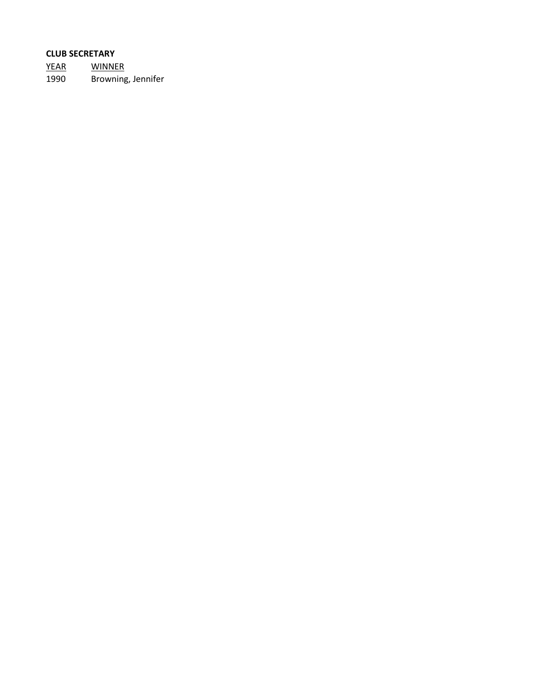# **CLUB SECRETARY**

YEAR WINNER 1990 Browning, Jennifer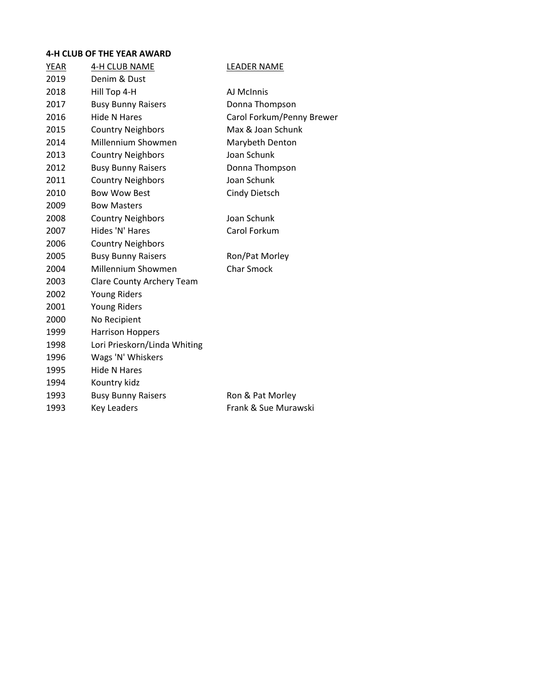#### **4-H CLUB OF THE YEAR AWARD**

| YEAR | 4-H CLUB NAME                | <b>LEADER NAME</b>        |
|------|------------------------------|---------------------------|
| 2019 | Denim & Dust                 |                           |
| 2018 | Hill Top 4-H                 | AJ McInnis                |
| 2017 | <b>Busy Bunny Raisers</b>    | Donna Thompson            |
| 2016 | <b>Hide N Hares</b>          | Carol Forkum/Penny Brewer |
| 2015 | <b>Country Neighbors</b>     | Max & Joan Schunk         |
| 2014 | <b>Millennium Showmen</b>    | Marybeth Denton           |
| 2013 | <b>Country Neighbors</b>     | Joan Schunk               |
| 2012 | <b>Busy Bunny Raisers</b>    | Donna Thompson            |
| 2011 | <b>Country Neighbors</b>     | Joan Schunk               |
| 2010 | <b>Bow Wow Best</b>          | <b>Cindy Dietsch</b>      |
| 2009 | <b>Bow Masters</b>           |                           |
| 2008 | <b>Country Neighbors</b>     | Joan Schunk               |
| 2007 | Hides 'N' Hares              | Carol Forkum              |
| 2006 | <b>Country Neighbors</b>     |                           |
| 2005 | <b>Busy Bunny Raisers</b>    | Ron/Pat Morley            |
| 2004 | Millennium Showmen           | <b>Char Smock</b>         |
| 2003 | Clare County Archery Team    |                           |
| 2002 | <b>Young Riders</b>          |                           |
| 2001 | <b>Young Riders</b>          |                           |
| 2000 | No Recipient                 |                           |
| 1999 | <b>Harrison Hoppers</b>      |                           |
| 1998 | Lori Prieskorn/Linda Whiting |                           |
| 1996 | Wags 'N' Whiskers            |                           |
| 1995 | <b>Hide N Hares</b>          |                           |
| 1994 | Kountry kidz                 |                           |
| 1993 | <b>Busy Bunny Raisers</b>    | Ron & Pat Morley          |
| 1993 | <b>Key Leaders</b>           | Frank & Sue Murawski      |
|      |                              |                           |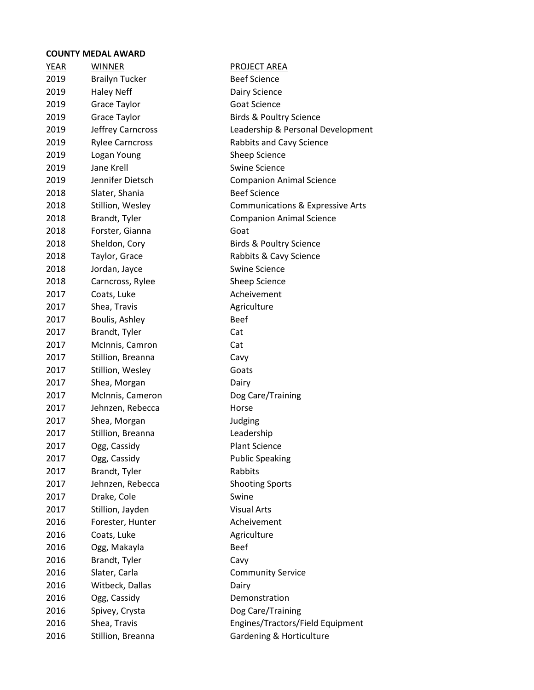| <b>YEAR</b> | <b>WINNER</b>          | <b>PROJECT AREA</b>                |
|-------------|------------------------|------------------------------------|
| 2019        | <b>Brailyn Tucker</b>  | <b>Beef Science</b>                |
| 2019        | <b>Haley Neff</b>      | Dairy Science                      |
| 2019        | Grace Taylor           | <b>Goat Science</b>                |
| 2019        | Grace Taylor           | <b>Birds &amp; Poultry Science</b> |
| 2019        | Jeffrey Carncross      | Leadership & Personal Development  |
| 2019        | <b>Rylee Carncross</b> | Rabbits and Cavy Science           |
| 2019        | Logan Young            | Sheep Science                      |
| 2019        | Jane Krell             | <b>Swine Science</b>               |
| 2019        | Jennifer Dietsch       | <b>Companion Animal Science</b>    |
| 2018        | Slater, Shania         | <b>Beef Science</b>                |
| 2018        | Stillion, Wesley       | Communications & Expressive Arts   |
| 2018        | Brandt, Tyler          | <b>Companion Animal Science</b>    |
| 2018        | Forster, Gianna        | Goat                               |
| 2018        | Sheldon, Cory          | <b>Birds &amp; Poultry Science</b> |
| 2018        | Taylor, Grace          | Rabbits & Cavy Science             |
| 2018        | Jordan, Jayce          | <b>Swine Science</b>               |
| 2018        | Carncross, Rylee       | Sheep Science                      |
| 2017        | Coats, Luke            | Acheivement                        |
| 2017        | Shea, Travis           | Agriculture                        |
| 2017        | Boulis, Ashley         | <b>Beef</b>                        |
| 2017        | Brandt, Tyler          | Cat                                |
| 2017        | McInnis, Camron        | Cat                                |
| 2017        | Stillion, Breanna      | Cavy                               |
| 2017        | Stillion, Wesley       | Goats                              |
| 2017        | Shea, Morgan           | Dairy                              |
| 2017        | McInnis, Cameron       | Dog Care/Training                  |
| 2017        | Jehnzen, Rebecca       | Horse                              |
| 2017        | Shea, Morgan           | Judging                            |
| 2017        | Stillion, Breanna      | Leadership                         |
| 2017        | Ogg, Cassidy           | <b>Plant Science</b>               |
| 2017        | Ogg, Cassidy           | <b>Public Speaking</b>             |
| 2017        | Brandt, Tyler          | Rabbits                            |
| 2017        | Jehnzen, Rebecca       | <b>Shooting Sports</b>             |
| 2017        | Drake, Cole            | Swine                              |
| 2017        | Stillion, Jayden       | <b>Visual Arts</b>                 |
| 2016        | Forester, Hunter       | Acheivement                        |
| 2016        | Coats, Luke            | Agriculture                        |
| 2016        | Ogg, Makayla           | <b>Beef</b>                        |
| 2016        | Brandt, Tyler          | Cavy                               |
| 2016        | Slater, Carla          | <b>Community Service</b>           |
| 2016        | Witbeck, Dallas        | Dairy                              |
| 2016        | Ogg, Cassidy           | Demonstration                      |
| 2016        | Spivey, Crysta         | Dog Care/Training                  |
| 2016        | Shea, Travis           | Engines/Tractors/Field Equipment   |
| 2016        | Stillion, Breanna      | Gardening & Horticulture           |
|             |                        |                                    |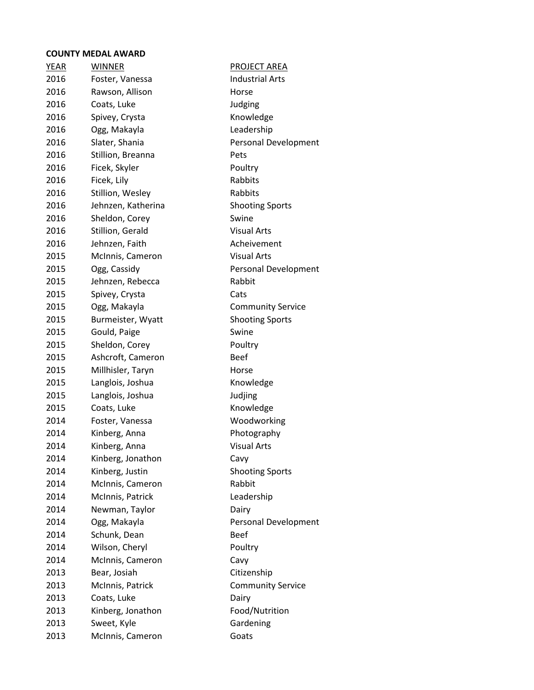| <b>YEAR</b> | <b>WINNER</b>      | <b>PROJECT AREA</b>      |
|-------------|--------------------|--------------------------|
| 2016        | Foster, Vanessa    | <b>Industrial Arts</b>   |
| 2016        | Rawson, Allison    | Horse                    |
| 2016        | Coats, Luke        | Judging                  |
| 2016        | Spivey, Crysta     | Knowledge                |
| 2016        | Ogg, Makayla       | Leadership               |
| 2016        | Slater, Shania     | Personal Development     |
| 2016        | Stillion, Breanna  | Pets                     |
| 2016        | Ficek, Skyler      | Poultry                  |
| 2016        | Ficek, Lily        | Rabbits                  |
| 2016        | Stillion, Wesley   | Rabbits                  |
| 2016        | Jehnzen, Katherina | <b>Shooting Sports</b>   |
| 2016        | Sheldon, Corey     | Swine                    |
| 2016        | Stillion, Gerald   | <b>Visual Arts</b>       |
| 2016        | Jehnzen, Faith     | Acheivement              |
| 2015        | McInnis, Cameron   | <b>Visual Arts</b>       |
| 2015        | Ogg, Cassidy       | Personal Development     |
| 2015        | Jehnzen, Rebecca   | Rabbit                   |
| 2015        | Spivey, Crysta     | Cats                     |
| 2015        | Ogg, Makayla       | <b>Community Service</b> |
| 2015        | Burmeister, Wyatt  | <b>Shooting Sports</b>   |
| 2015        | Gould, Paige       | Swine                    |
| 2015        | Sheldon, Corey     | Poultry                  |
| 2015        | Ashcroft, Cameron  | <b>Beef</b>              |
| 2015        | Millhisler, Taryn  | Horse                    |
| 2015        | Langlois, Joshua   | Knowledge                |
| 2015        | Langlois, Joshua   | Judjing                  |
| 2015        | Coats, Luke        | Knowledge                |
| 2014        | Foster, Vanessa    | Woodworking              |
| 2014        | Kinberg, Anna      | Photography              |
| 2014        | Kinberg, Anna      | <b>Visual Arts</b>       |
| 2014        | Kinberg, Jonathon  | Cavy                     |
| 2014        | Kinberg, Justin    | <b>Shooting Sports</b>   |
| 2014        | McInnis, Cameron   | Rabbit                   |
| 2014        | McInnis, Patrick   | Leadership               |
| 2014        | Newman, Taylor     | Dairy                    |
| 2014        | Ogg, Makayla       | Personal Development     |
| 2014        | Schunk, Dean       | Beef                     |
| 2014        | Wilson, Cheryl     | Poultry                  |
| 2014        | McInnis, Cameron   | Cavy                     |
| 2013        | Bear, Josiah       | Citizenship              |
| 2013        | McInnis, Patrick   | <b>Community Service</b> |
| 2013        | Coats, Luke        | Dairy                    |
| 2013        | Kinberg, Jonathon  | Food/Nutrition           |
| 2013        | Sweet, Kyle        | Gardening                |
| 2013        | McInnis, Cameron   | Goats                    |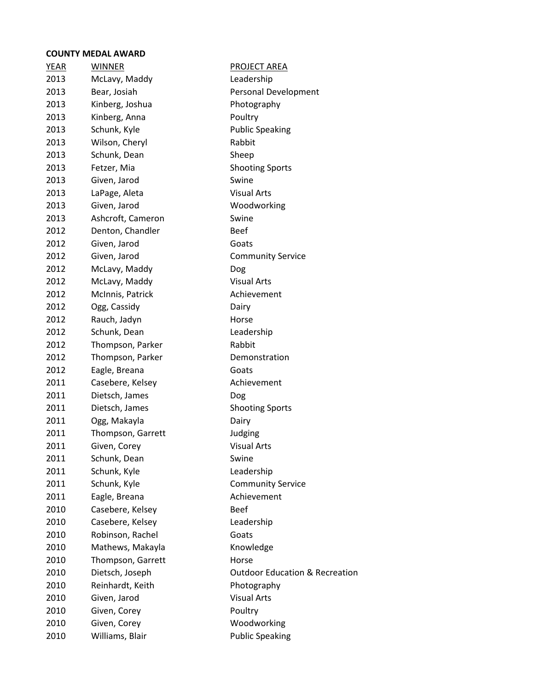| <b>YEAR</b> | <b>WINNER</b>     | <b>PROJECT AREA</b>                       |
|-------------|-------------------|-------------------------------------------|
| 2013        | McLavy, Maddy     | Leadership                                |
| 2013        | Bear, Josiah      | Personal Development                      |
| 2013        | Kinberg, Joshua   | Photography                               |
| 2013        | Kinberg, Anna     | Poultry                                   |
| 2013        | Schunk, Kyle      | <b>Public Speaking</b>                    |
| 2013        | Wilson, Cheryl    | Rabbit                                    |
| 2013        | Schunk, Dean      | Sheep                                     |
| 2013        | Fetzer, Mia       | <b>Shooting Sports</b>                    |
| 2013        | Given, Jarod      | Swine                                     |
| 2013        | LaPage, Aleta     | <b>Visual Arts</b>                        |
| 2013        | Given, Jarod      | Woodworking                               |
| 2013        | Ashcroft, Cameron | Swine                                     |
| 2012        | Denton, Chandler  | <b>Beef</b>                               |
| 2012        | Given, Jarod      | Goats                                     |
| 2012        | Given, Jarod      | <b>Community Service</b>                  |
| 2012        | McLavy, Maddy     | Dog                                       |
| 2012        | McLavy, Maddy     | <b>Visual Arts</b>                        |
| 2012        | McInnis, Patrick  | Achievement                               |
| 2012        | Ogg, Cassidy      | Dairy                                     |
| 2012        | Rauch, Jadyn      | Horse                                     |
| 2012        | Schunk, Dean      | Leadership                                |
| 2012        | Thompson, Parker  | Rabbit                                    |
| 2012        | Thompson, Parker  | Demonstration                             |
| 2012        | Eagle, Breana     | Goats                                     |
| 2011        | Casebere, Kelsey  | Achievement                               |
| 2011        | Dietsch, James    | Dog                                       |
| 2011        | Dietsch, James    | <b>Shooting Sports</b>                    |
| 2011        | Ogg, Makayla      | Dairy                                     |
| 2011        | Thompson, Garrett | Judging                                   |
| 2011        | Given, Corey      | <b>Visual Arts</b>                        |
| 2011        | Schunk, Dean      | Swine                                     |
| 2011        | Schunk, Kyle      | Leadership                                |
| 2011        | Schunk, Kyle      | <b>Community Service</b>                  |
| 2011        | Eagle, Breana     | Achievement                               |
| 2010        | Casebere, Kelsey  | <b>Beef</b>                               |
| 2010        | Casebere, Kelsey  | Leadership                                |
| 2010        | Robinson, Rachel  | Goats                                     |
| 2010        | Mathews, Makayla  | Knowledge                                 |
| 2010        | Thompson, Garrett | Horse                                     |
| 2010        | Dietsch, Joseph   | <b>Outdoor Education &amp; Recreation</b> |
| 2010        | Reinhardt, Keith  | Photography                               |
| 2010        | Given, Jarod      | <b>Visual Arts</b>                        |
| 2010        | Given, Corey      | Poultry                                   |
| 2010        | Given, Corey      | Woodworking                               |
| 2010        | Williams, Blair   | <b>Public Speaking</b>                    |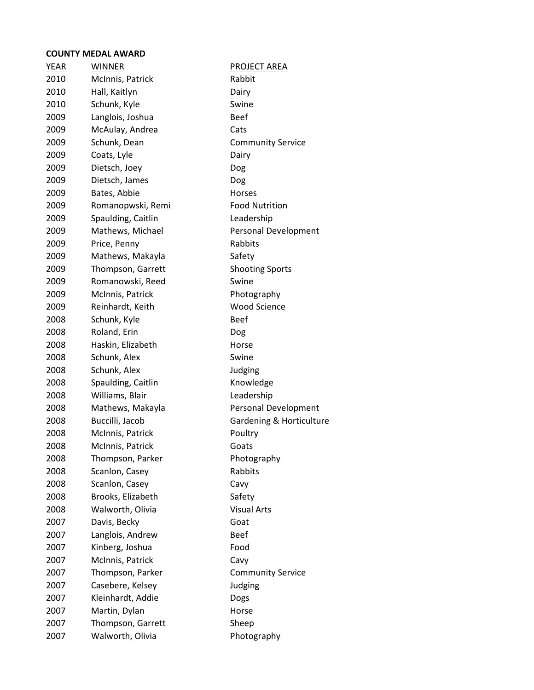| <u>YEAR</u> | <b>WINNER</b>      | <b>PROJECT AREA</b>      |
|-------------|--------------------|--------------------------|
| 2010        | McInnis, Patrick   | Rabbit                   |
| 2010        | Hall, Kaitlyn      | Dairy                    |
| 2010        | Schunk, Kyle       | Swine                    |
| 2009        | Langlois, Joshua   | <b>Beef</b>              |
| 2009        | McAulay, Andrea    | Cats                     |
| 2009        | Schunk, Dean       | <b>Community Service</b> |
| 2009        | Coats, Lyle        | Dairy                    |
| 2009        | Dietsch, Joey      | Dog                      |
| 2009        | Dietsch, James     | Dog                      |
| 2009        | Bates, Abbie       | <b>Horses</b>            |
| 2009        | Romanopwski, Remi  | <b>Food Nutrition</b>    |
| 2009        | Spaulding, Caitlin | Leadership               |
| 2009        | Mathews, Michael   | Personal Development     |
| 2009        | Price, Penny       | Rabbits                  |
| 2009        | Mathews, Makayla   | Safety                   |
| 2009        | Thompson, Garrett  | <b>Shooting Sports</b>   |
| 2009        | Romanowski, Reed   | Swine                    |
| 2009        | McInnis, Patrick   | Photography              |
| 2009        | Reinhardt, Keith   | <b>Wood Science</b>      |
| 2008        | Schunk, Kyle       | <b>Beef</b>              |
| 2008        | Roland, Erin       | Dog                      |
| 2008        | Haskin, Elizabeth  | Horse                    |
| 2008        | Schunk, Alex       | Swine                    |
| 2008        | Schunk, Alex       | Judging                  |
| 2008        | Spaulding, Caitlin | Knowledge                |
| 2008        | Williams, Blair    | Leadership               |
| 2008        | Mathews, Makayla   | Personal Development     |
| 2008        | Buccilli, Jacob    | Gardening & Horticulture |
| 2008        | McInnis, Patrick   | Poultry                  |
| 2008        | McInnis, Patrick   | Goats                    |
| 2008        | Thompson, Parker   | Photography              |
| 2008        | Scanlon, Casey     | Rabbits                  |
| 2008        | Scanlon, Casey     | Cavy                     |
| 2008        | Brooks, Elizabeth  | Safety                   |
| 2008        | Walworth, Olivia   | <b>Visual Arts</b>       |
| 2007        | Davis, Becky       | Goat                     |
| 2007        | Langlois, Andrew   | <b>Beef</b>              |
| 2007        | Kinberg, Joshua    | Food                     |
| 2007        | McInnis, Patrick   | Cavy                     |
| 2007        | Thompson, Parker   | <b>Community Service</b> |
| 2007        | Casebere, Kelsey   | Judging                  |
| 2007        | Kleinhardt, Addie  | Dogs                     |
| 2007        | Martin, Dylan      | Horse                    |
| 2007        | Thompson, Garrett  | Sheep                    |
| 2007        | Walworth, Olivia   | Photography              |
|             |                    |                          |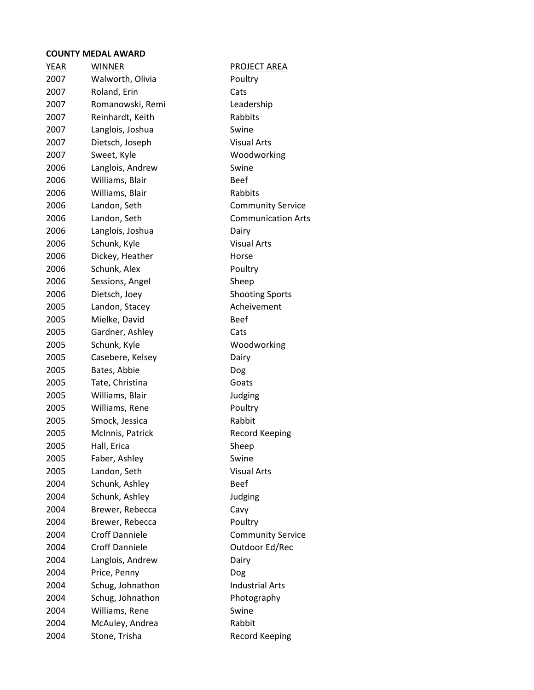| <u>YEAR</u> | <b>WINNER</b>         | <b>PROJECT AREA</b>       |
|-------------|-----------------------|---------------------------|
| 2007        | Walworth, Olivia      | Poultry                   |
| 2007        | Roland, Erin          | Cats                      |
| 2007        | Romanowski, Remi      | Leadership                |
| 2007        | Reinhardt, Keith      | Rabbits                   |
| 2007        | Langlois, Joshua      | Swine                     |
| 2007        | Dietsch, Joseph       | <b>Visual Arts</b>        |
| 2007        | Sweet, Kyle           | Woodworking               |
| 2006        | Langlois, Andrew      | Swine                     |
| 2006        | Williams, Blair       | <b>Beef</b>               |
| 2006        | Williams, Blair       | Rabbits                   |
| 2006        | Landon, Seth          | <b>Community Service</b>  |
| 2006        | Landon, Seth          | <b>Communication Arts</b> |
| 2006        | Langlois, Joshua      | Dairy                     |
| 2006        | Schunk, Kyle          | <b>Visual Arts</b>        |
| 2006        | Dickey, Heather       | Horse                     |
| 2006        | Schunk, Alex          | Poultry                   |
| 2006        | Sessions, Angel       | Sheep                     |
| 2006        | Dietsch, Joey         | <b>Shooting Sports</b>    |
| 2005        | Landon, Stacey        | Acheivement               |
| 2005        | Mielke, David         | <b>Beef</b>               |
| 2005        | Gardner, Ashley       | Cats                      |
| 2005        | Schunk, Kyle          | Woodworking               |
| 2005        | Casebere, Kelsey      | Dairy                     |
| 2005        | Bates, Abbie          | Dog                       |
| 2005        | Tate, Christina       | Goats                     |
| 2005        | Williams, Blair       | Judging                   |
| 2005        | Williams, Rene        | Poultry                   |
| 2005        | Smock, Jessica        | Rabbit                    |
| 2005        | McInnis, Patrick      | <b>Record Keeping</b>     |
| 2005        | Hall, Erica           | Sheep                     |
| 2005        | Faber, Ashley         | Swine                     |
| 2005        | Landon, Seth          | <b>Visual Arts</b>        |
| 2004        | Schunk, Ashley        | Beef                      |
| 2004        | Schunk, Ashley        | Judging                   |
| 2004        | Brewer, Rebecca       | Cavy                      |
| 2004        | Brewer, Rebecca       | Poultry                   |
| 2004        | <b>Croff Danniele</b> | <b>Community Service</b>  |
| 2004        | <b>Croff Danniele</b> | Outdoor Ed/Rec            |
| 2004        | Langlois, Andrew      | Dairy                     |
| 2004        | Price, Penny          | Dog                       |
| 2004        | Schug, Johnathon      | <b>Industrial Arts</b>    |
| 2004        | Schug, Johnathon      | Photography               |
| 2004        | Williams, Rene        | Swine                     |
| 2004        | McAuley, Andrea       | Rabbit                    |
| 2004        | Stone, Trisha         | <b>Record Keeping</b>     |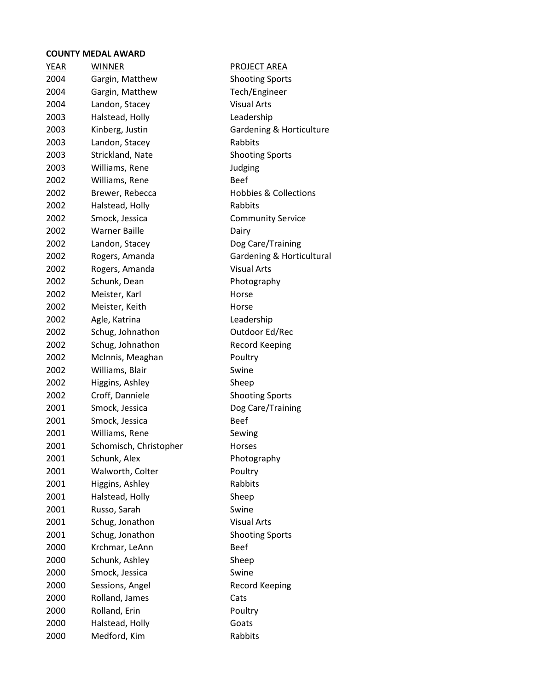| <b>YEAR</b> | <b>WINNER</b>          | <b>PROJECT AREA</b>              |
|-------------|------------------------|----------------------------------|
| 2004        | Gargin, Matthew        | <b>Shooting Sports</b>           |
| 2004        | Gargin, Matthew        | Tech/Engineer                    |
| 2004        | Landon, Stacey         | <b>Visual Arts</b>               |
| 2003        | Halstead, Holly        | Leadership                       |
| 2003        | Kinberg, Justin        | Gardening & Horticulture         |
| 2003        | Landon, Stacey         | Rabbits                          |
| 2003        | Strickland, Nate       | <b>Shooting Sports</b>           |
| 2003        | Williams, Rene         | Judging                          |
| 2002        | Williams, Rene         | <b>Beef</b>                      |
| 2002        | Brewer, Rebecca        | <b>Hobbies &amp; Collections</b> |
| 2002        | Halstead, Holly        | Rabbits                          |
| 2002        | Smock, Jessica         | <b>Community Service</b>         |
| 2002        | <b>Warner Baille</b>   | Dairy                            |
| 2002        | Landon, Stacey         | Dog Care/Training                |
| 2002        | Rogers, Amanda         | Gardening & Horticultural        |
| 2002        | Rogers, Amanda         | <b>Visual Arts</b>               |
| 2002        | Schunk, Dean           | Photography                      |
| 2002        | Meister, Karl          | Horse                            |
| 2002        | Meister, Keith         | Horse                            |
| 2002        | Agle, Katrina          | Leadership                       |
| 2002        | Schug, Johnathon       | Outdoor Ed/Rec                   |
| 2002        | Schug, Johnathon       | Record Keeping                   |
| 2002        | McInnis, Meaghan       | Poultry                          |
| 2002        | Williams, Blair        | Swine                            |
| 2002        | Higgins, Ashley        | Sheep                            |
| 2002        | Croff, Danniele        | <b>Shooting Sports</b>           |
| 2001        | Smock, Jessica         | Dog Care/Training                |
| 2001        | Smock, Jessica         | <b>Beef</b>                      |
| 2001        | Williams, Rene         | Sewing                           |
| 2001        | Schomisch, Christopher | Horses                           |
| 2001        | Schunk, Alex           | Photography                      |
| 2001        | Walworth, Colter       | Poultry                          |
| 2001        | Higgins, Ashley        | Rabbits                          |
| 2001        | Halstead, Holly        | Sheep                            |
| 2001        | Russo, Sarah           | Swine                            |
| 2001        | Schug, Jonathon        | <b>Visual Arts</b>               |
| 2001        | Schug, Jonathon        | <b>Shooting Sports</b>           |
| 2000        | Krchmar, LeAnn         | <b>Beef</b>                      |
| 2000        | Schunk, Ashley         | Sheep                            |
| 2000        | Smock, Jessica         | Swine                            |
| 2000        | Sessions, Angel        | <b>Record Keeping</b>            |
| 2000        | Rolland, James         | Cats                             |
| 2000        | Rolland, Erin          | Poultry                          |
| 2000        | Halstead, Holly        | Goats                            |
| 2000        | Medford, Kim           | Rabbits                          |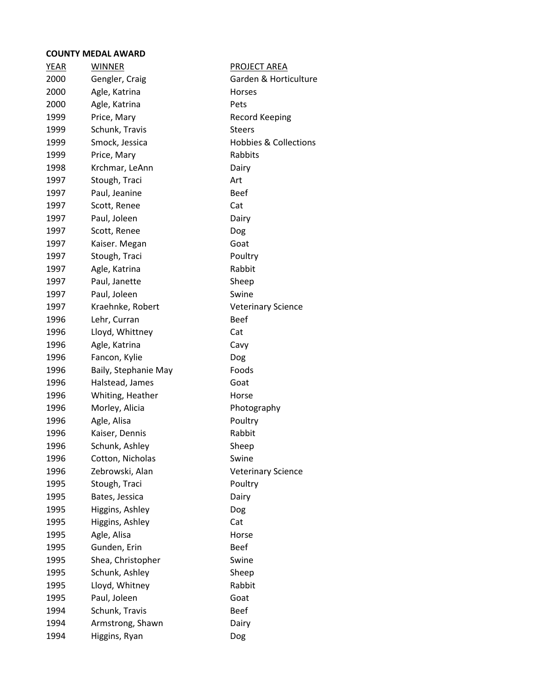| <b>YEAR</b> | <b>WINNER</b>        | <b>PROJECT AREA</b>              |
|-------------|----------------------|----------------------------------|
| 2000        | Gengler, Craig       | Garden & Horticulture            |
| 2000        | Agle, Katrina        | Horses                           |
| 2000        | Agle, Katrina        | Pets                             |
| 1999        | Price, Mary          | <b>Record Keeping</b>            |
| 1999        | Schunk, Travis       | <b>Steers</b>                    |
| 1999        | Smock, Jessica       | <b>Hobbies &amp; Collections</b> |
| 1999        | Price, Mary          | Rabbits                          |
| 1998        | Krchmar, LeAnn       | Dairy                            |
| 1997        | Stough, Traci        | Art                              |
| 1997        | Paul, Jeanine        | <b>Beef</b>                      |
| 1997        | Scott, Renee         | Cat                              |
| 1997        | Paul, Joleen         | Dairy                            |
| 1997        | Scott, Renee         | Dog                              |
| 1997        | Kaiser. Megan        | Goat                             |
| 1997        | Stough, Traci        | Poultry                          |
| 1997        | Agle, Katrina        | Rabbit                           |
| 1997        | Paul, Janette        | Sheep                            |
| 1997        | Paul, Joleen         | Swine                            |
| 1997        | Kraehnke, Robert     | <b>Veterinary Science</b>        |
| 1996        | Lehr, Curran         | <b>Beef</b>                      |
| 1996        | Lloyd, Whittney      | Cat                              |
| 1996        | Agle, Katrina        | Cavy                             |
| 1996        | Fancon, Kylie        | Dog                              |
| 1996        | Baily, Stephanie May | Foods                            |
| 1996        | Halstead, James      | Goat                             |
| 1996        | Whiting, Heather     | Horse                            |
| 1996        | Morley, Alicia       | Photography                      |
| 1996        | Agle, Alisa          | Poultry                          |
| 1996        | Kaiser, Dennis       | Rabbit                           |
| 1996        | Schunk, Ashley       | Sheep                            |
| 1996        | Cotton, Nicholas     | Swine                            |
| 1996        | Zebrowski, Alan      | <b>Veterinary Science</b>        |
| 1995        | Stough, Traci        | Poultry                          |
| 1995        | Bates, Jessica       | Dairy                            |
| 1995        | Higgins, Ashley      | Dog                              |
| 1995        | Higgins, Ashley      | Cat                              |
| 1995        | Agle, Alisa          | Horse                            |
| 1995        | Gunden, Erin         | <b>Beef</b>                      |
| 1995        | Shea, Christopher    | Swine                            |
| 1995        | Schunk, Ashley       | Sheep                            |
| 1995        | Lloyd, Whitney       | Rabbit                           |
| 1995        | Paul, Joleen         | Goat                             |
| 1994        | Schunk, Travis       | <b>Beef</b>                      |
| 1994        | Armstrong, Shawn     | Dairy                            |
| 1994        | Higgins, Ryan        | Dog                              |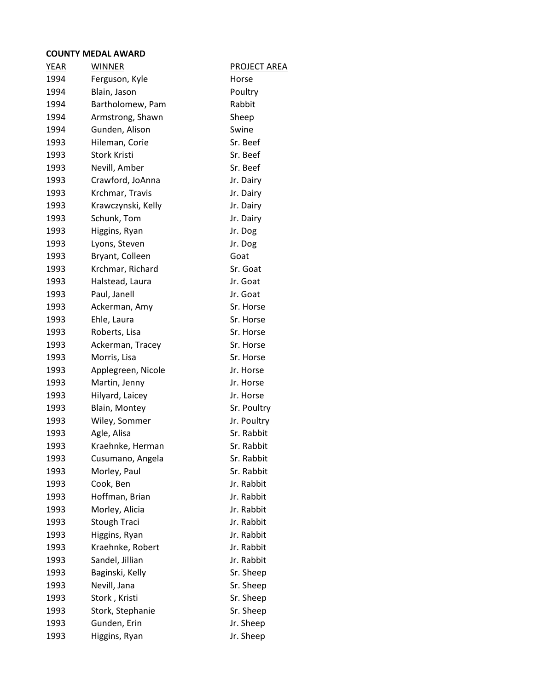| <b>YEAR</b> | <b>WINNER</b>       | PROJECT AREA |
|-------------|---------------------|--------------|
| 1994        | Ferguson, Kyle      | Horse        |
| 1994        | Blain, Jason        | Poultry      |
| 1994        | Bartholomew, Pam    | Rabbit       |
| 1994        | Armstrong, Shawn    | Sheep        |
| 1994        | Gunden, Alison      | Swine        |
| 1993        | Hileman, Corie      | Sr. Beef     |
| 1993        | <b>Stork Kristi</b> | Sr. Beef     |
| 1993        | Nevill, Amber       | Sr. Beef     |
| 1993        | Crawford, JoAnna    | Jr. Dairy    |
| 1993        | Krchmar, Travis     | Jr. Dairy    |
| 1993        | Krawczynski, Kelly  | Jr. Dairy    |
| 1993        | Schunk, Tom         | Jr. Dairy    |
| 1993        | Higgins, Ryan       | Jr. Dog      |
| 1993        | Lyons, Steven       | Jr. Dog      |
| 1993        | Bryant, Colleen     | Goat         |
| 1993        | Krchmar, Richard    | Sr. Goat     |
| 1993        | Halstead, Laura     | Jr. Goat     |
| 1993        | Paul, Janell        | Jr. Goat     |
| 1993        | Ackerman, Amy       | Sr. Horse    |
| 1993        | Ehle, Laura         | Sr. Horse    |
| 1993        | Roberts, Lisa       | Sr. Horse    |
| 1993        | Ackerman, Tracey    | Sr. Horse    |
| 1993        | Morris, Lisa        | Sr. Horse    |
| 1993        | Applegreen, Nicole  | Jr. Horse    |
| 1993        | Martin, Jenny       | Jr. Horse    |
| 1993        | Hilyard, Laicey     | Jr. Horse    |
| 1993        | Blain, Montey       | Sr. Poultry  |
| 1993        | Wiley, Sommer       | Jr. Poultry  |
| 1993        | Agle, Alisa         | Sr. Rabbit   |
| 1993        | Kraehnke, Herman    | Sr. Rabbit   |
| 1993        | Cusumano, Angela    | Sr. Rabbit   |
| 1993        | Morley, Paul        | Sr. Rabbit   |
| 1993        | Cook, Ben           | Jr. Rabbit   |
| 1993        | Hoffman, Brian      | Jr. Rabbit   |
| 1993        | Morley, Alicia      | Jr. Rabbit   |
| 1993        | <b>Stough Traci</b> | Jr. Rabbit   |
| 1993        | Higgins, Ryan       | Jr. Rabbit   |
| 1993        | Kraehnke, Robert    | Jr. Rabbit   |
| 1993        | Sandel, Jillian     | Jr. Rabbit   |
| 1993        | Baginski, Kelly     | Sr. Sheep    |
| 1993        | Nevill, Jana        | Sr. Sheep    |
| 1993        | Stork, Kristi       | Sr. Sheep    |
| 1993        | Stork, Stephanie    | Sr. Sheep    |
| 1993        | Gunden, Erin        | Jr. Sheep    |
| 1993        | Higgins, Ryan       | Jr. Sheep    |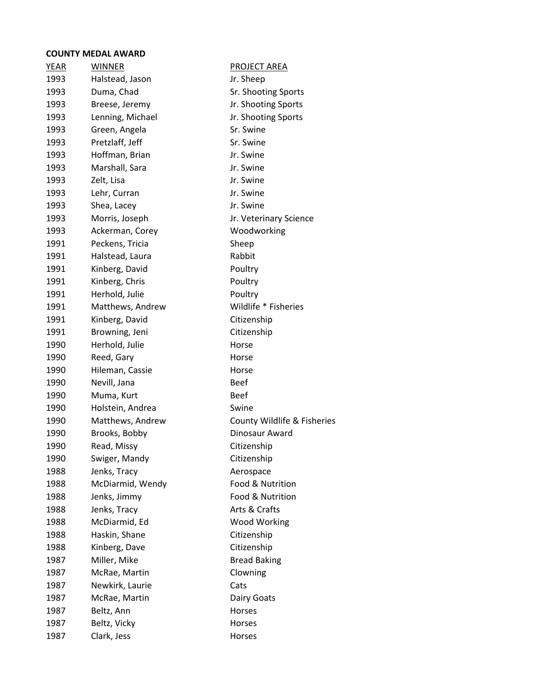| YEAR | <b>WINNER</b>    | PROJECT AREA                |
|------|------------------|-----------------------------|
| 1993 | Halstead, Jason  | Jr. Sheep                   |
| 1993 | Duma, Chad       | Sr. Shooting Sports         |
| 1993 | Breese, Jeremy   | Jr. Shooting Sports         |
| 1993 | Lenning, Michael | Jr. Shooting Sports         |
| 1993 | Green, Angela    | Sr. Swine                   |
| 1993 | Pretzlaff, Jeff  | Sr. Swine                   |
| 1993 | Hoffman, Brian   | Jr. Swine                   |
| 1993 | Marshall, Sara   | Jr. Swine                   |
| 1993 | Zelt, Lisa       | Jr. Swine                   |
| 1993 | Lehr, Curran     | Jr. Swine                   |
| 1993 | Shea, Lacey      | Jr. Swine                   |
| 1993 | Morris, Joseph   | Jr. Veterinary Science      |
| 1993 | Ackerman, Corey  | Woodworking                 |
| 1991 | Peckens, Tricia  | Sheep                       |
| 1991 | Halstead, Laura  | Rabbit                      |
| 1991 | Kinberg, David   | Poultry                     |
| 1991 | Kinberg, Chris   | Poultry                     |
| 1991 | Herhold, Julie   | Poultry                     |
| 1991 | Matthews, Andrew | Wildlife * Fisheries        |
| 1991 | Kinberg, David   | Citizenship                 |
| 1991 | Browning, Jeni   | Citizenship                 |
| 1990 | Herhold, Julie   | Horse                       |
| 1990 | Reed, Gary       | Horse                       |
| 1990 | Hileman, Cassie  | Horse                       |
| 1990 | Nevill, Jana     | <b>Beef</b>                 |
| 1990 | Muma, Kurt       | <b>Beef</b>                 |
| 1990 | Holstein, Andrea | Swine                       |
| 1990 | Matthews, Andrew | County Wildlife & Fisheries |
| 1990 | Brooks, Bobby    | Dinosaur Award              |
| 1990 | Read, Missy      | Citizenship                 |
| 1990 | Swiger, Mandy    | Citizenship                 |
| 1988 | Jenks, Tracy     | Aerospace                   |
| 1988 | McDiarmid, Wendy | Food & Nutrition            |
| 1988 | Jenks, Jimmy     | Food & Nutrition            |
| 1988 | Jenks, Tracy     | Arts & Crafts               |
| 1988 | McDiarmid, Ed    | <b>Wood Working</b>         |
| 1988 | Haskin, Shane    | Citizenship                 |
| 1988 | Kinberg, Dave    | Citizenship                 |
| 1987 | Miller, Mike     | <b>Bread Baking</b>         |
| 1987 | McRae, Martin    | Clowning                    |
| 1987 | Newkirk, Laurie  | Cats                        |
| 1987 | McRae, Martin    | Dairy Goats                 |
| 1987 | Beltz, Ann       | Horses                      |
| 1987 | Beltz, Vicky     | Horses                      |
| 1987 | Clark, Jess      | Horses                      |
|      |                  |                             |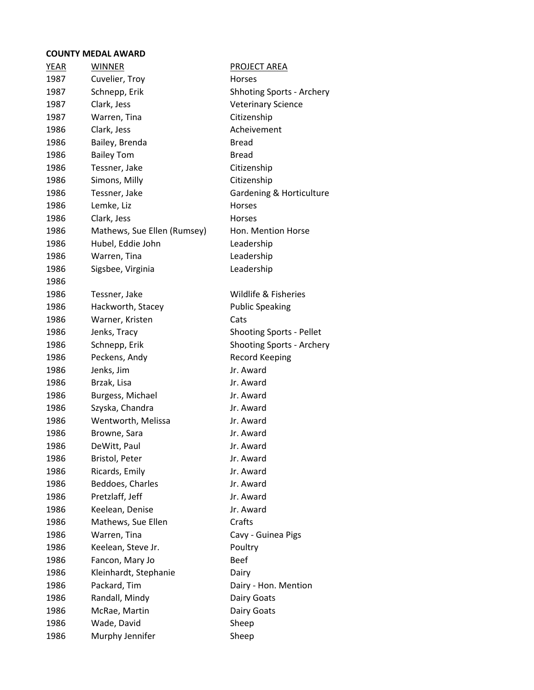| <b>WINNER</b><br><b>YEAR</b> |                             | <b>PROJECT AREA</b>              |
|------------------------------|-----------------------------|----------------------------------|
| 1987<br>Cuvelier, Troy       |                             | <b>Horses</b>                    |
| Schnepp, Erik<br>1987        |                             | <b>Shhoting Sports - Archery</b> |
| Clark, Jess<br>1987          |                             | <b>Veterinary Science</b>        |
| Warren, Tina<br>1987         |                             | Citizenship                      |
| 1986<br>Clark, Jess          |                             | Acheivement                      |
| Bailey, Brenda<br>1986       |                             | <b>Bread</b>                     |
| 1986<br><b>Bailey Tom</b>    |                             | <b>Bread</b>                     |
| 1986<br>Tessner, Jake        |                             | Citizenship                      |
| Simons, Milly<br>1986        |                             | Citizenship                      |
| 1986<br>Tessner, Jake        |                             | Gardening & Horticulture         |
| Lemke, Liz<br>1986           |                             | <b>Horses</b>                    |
| 1986<br>Clark, Jess          |                             | <b>Horses</b>                    |
| 1986                         | Mathews, Sue Ellen (Rumsey) | Hon. Mention Horse               |
| Hubel, Eddie John<br>1986    |                             | Leadership                       |
| 1986<br>Warren, Tina         |                             | Leadership                       |
| 1986<br>Sigsbee, Virginia    |                             | Leadership                       |
| 1986                         |                             |                                  |
| 1986<br>Tessner, Jake        |                             | Wildlife & Fisheries             |
| 1986                         | Hackworth, Stacey           | <b>Public Speaking</b>           |
| 1986<br>Warner, Kristen      |                             | Cats                             |
| 1986<br>Jenks, Tracy         |                             | <b>Shooting Sports - Pellet</b>  |
| 1986<br>Schnepp, Erik        |                             | Shooting Sports - Archery        |
| Peckens, Andy<br>1986        |                             | <b>Record Keeping</b>            |
| 1986<br>Jenks, Jim           |                             | Jr. Award                        |
| Brzak, Lisa<br>1986          |                             | Jr. Award                        |
| Burgess, Michael<br>1986     |                             | Jr. Award                        |
| Szyska, Chandra<br>1986      |                             | Jr. Award                        |
| 1986                         | Wentworth, Melissa          | Jr. Award                        |
| 1986<br>Browne, Sara         |                             | Jr. Award                        |
| 1986<br>DeWitt, Paul         |                             | Jr. Award                        |
| 1986<br>Bristol, Peter       |                             | Jr. Award                        |
| 1986<br>Ricards, Emily       |                             | Jr. Award                        |
| Beddoes, Charles<br>1986     |                             | Jr. Award                        |
| Pretzlaff, Jeff<br>1986      |                             | Jr. Award                        |
| Keelean, Denise<br>1986      |                             | Jr. Award                        |
| 1986                         | Mathews, Sue Ellen          | Crafts                           |
| 1986<br>Warren, Tina         |                             | Cavy - Guinea Pigs               |
| Keelean, Steve Jr.<br>1986   |                             | Poultry                          |
| 1986<br>Fancon, Mary Jo      |                             | <b>Beef</b>                      |
| 1986                         | Kleinhardt, Stephanie       | Dairy                            |
| 1986<br>Packard, Tim         |                             |                                  |
| 1986                         |                             | Dairy - Hon. Mention             |
|                              | Randall, Mindy              | Dairy Goats                      |
| 1986<br>McRae, Martin        |                             | Dairy Goats                      |
| Wade, David<br>1986          |                             | Sheep                            |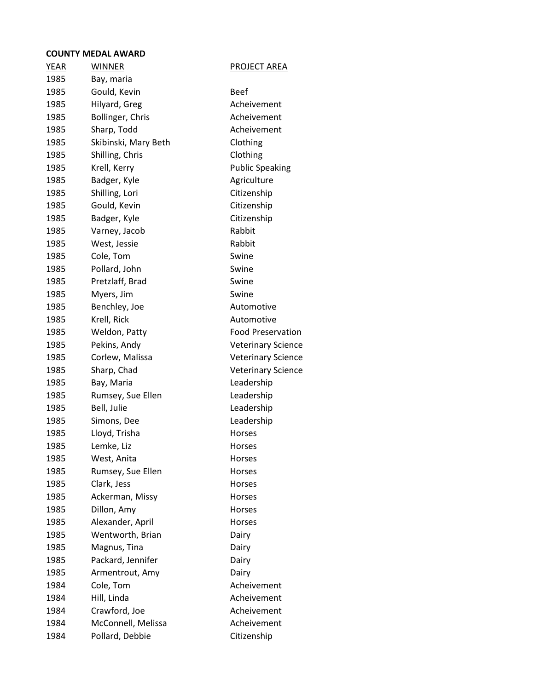| <b>YEAR</b> | <b>WINNER</b>        | <b>PROJECT AREA</b>       |
|-------------|----------------------|---------------------------|
| 1985        | Bay, maria           |                           |
| 1985        | Gould, Kevin         | <b>Beef</b>               |
| 1985        | Hilyard, Greg        | Acheivement               |
| 1985        | Bollinger, Chris     | Acheivement               |
| 1985        | Sharp, Todd          | Acheivement               |
| 1985        | Skibinski, Mary Beth | Clothing                  |
| 1985        | Shilling, Chris      | Clothing                  |
| 1985        | Krell, Kerry         | <b>Public Speaking</b>    |
| 1985        | Badger, Kyle         | Agriculture               |
| 1985        | Shilling, Lori       | Citizenship               |
| 1985        | Gould, Kevin         | Citizenship               |
| 1985        | Badger, Kyle         | Citizenship               |
| 1985        | Varney, Jacob        | Rabbit                    |
| 1985        | West, Jessie         | Rabbit                    |
| 1985        | Cole, Tom            | Swine                     |
| 1985        | Pollard, John        | Swine                     |
| 1985        | Pretzlaff, Brad      | Swine                     |
| 1985        | Myers, Jim           | Swine                     |
| 1985        | Benchley, Joe        | Automotive                |
| 1985        | Krell, Rick          | Automotive                |
| 1985        | Weldon, Patty        | <b>Food Preservation</b>  |
| 1985        | Pekins, Andy         | <b>Veterinary Science</b> |
| 1985        | Corlew, Malissa      | <b>Veterinary Science</b> |
| 1985        | Sharp, Chad          | <b>Veterinary Science</b> |
| 1985        | Bay, Maria           | Leadership                |
| 1985        | Rumsey, Sue Ellen    | Leadership                |
| 1985        | Bell, Julie          | Leadership                |
| 1985        | Simons, Dee          | Leadership                |
| 1985        | Lloyd, Trisha        | Horses                    |
| 1985        | Lemke, Liz           | Horses                    |
| 1985        | West, Anita          | Horses                    |
| 1985        | Rumsey, Sue Ellen    | Horses                    |
| 1985        | Clark, Jess          | Horses                    |
| 1985        | Ackerman, Missy      | Horses                    |
| 1985        | Dillon, Amy          | Horses                    |
| 1985        | Alexander, April     | Horses                    |
| 1985        | Wentworth, Brian     | Dairy                     |
| 1985        | Magnus, Tina         | Dairy                     |
| 1985        | Packard, Jennifer    | Dairy                     |
| 1985        | Armentrout, Amy      | Dairy                     |
| 1984        | Cole, Tom            | Acheivement               |
| 1984        | Hill, Linda          | Acheivement               |
| 1984        | Crawford, Joe        | Acheivement               |
| 1984        | McConnell, Melissa   | Acheivement               |
| 1984        | Pollard, Debbie      | Citizenship               |
|             |                      |                           |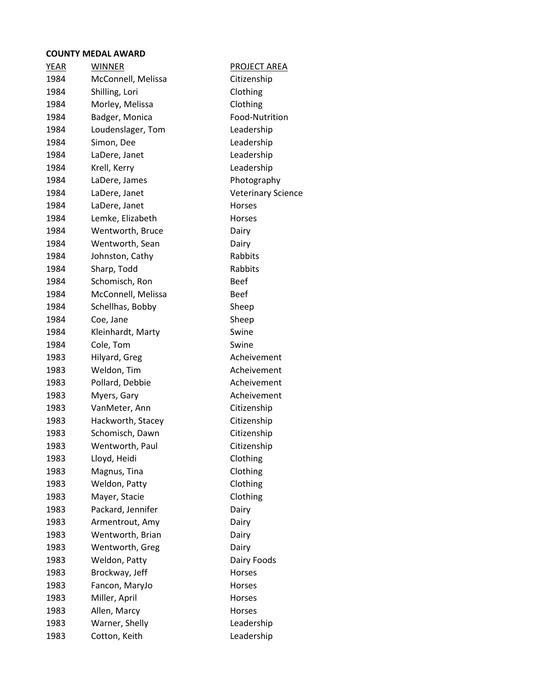| <b>YEAR</b><br><b>WINNER</b><br>PROJECT AREA<br>1984<br>McConnell, Melissa<br>Citizenship<br>1984<br>Shilling, Lori<br>Clothing<br>Morley, Melissa<br>Clothing<br>1984<br>Food-Nutrition<br>Badger, Monica<br>1984<br>1984<br>Loudenslager, Tom<br>Leadership<br>1984<br>Simon, Dee<br>Leadership<br>1984<br>Leadership<br>LaDere, Janet<br>Krell, Kerry<br>Leadership<br>1984<br>1984<br>LaDere, James<br>Photography<br><b>Veterinary Science</b><br>1984<br>LaDere, Janet<br>1984<br>LaDere, Janet<br><b>Horses</b><br>Lemke, Elizabeth<br>1984<br><b>Horses</b><br>Wentworth, Bruce<br>1984<br>Dairy<br>1984<br>Wentworth, Sean<br>Dairy<br>Rabbits<br>1984<br>Johnston, Cathy<br>1984<br>Sharp, Todd<br>Rabbits<br>Schomisch, Ron<br><b>Beef</b><br>1984<br>McConnell, Melissa<br><b>Beef</b><br>1984<br>1984<br>Schellhas, Bobby<br>Sheep<br>1984<br>Sheep<br>Coe, Jane<br>1984<br>Swine<br>Kleinhardt, Marty<br>Cole, Tom<br>Swine<br>1984<br>Acheivement<br>1983<br>Hilyard, Greg<br>1983<br>Weldon, Tim<br>Acheivement<br>Acheivement<br>1983<br>Pollard, Debbie<br>1983<br>Acheivement<br>Myers, Gary<br>Citizenship<br>1983<br>VanMeter, Ann<br>1983<br>Hackworth, Stacey<br>Citizenship<br>Citizenship<br>1983<br>Schomisch, Dawn<br>1983<br>Wentworth, Paul<br>Citizenship<br>1983<br>Lloyd, Heidi<br>Clothing<br>Clothing<br>1983<br>Magnus, Tina<br>1983<br>Clothing<br>Weldon, Patty<br>1983<br>Mayer, Stacie<br>Clothing<br>Packard, Jennifer<br>Dairy<br>1983<br>1983<br>Armentrout, Amy<br>Dairy<br>Wentworth, Brian<br>1983<br>Dairy<br>Wentworth, Greg<br>1983<br>Dairy<br>Weldon, Patty<br>Dairy Foods<br>1983<br>Brockway, Jeff<br>1983<br>Horses<br>Fancon, MaryJo<br>1983<br>Horses<br>Miller, April<br>1983<br>Horses<br>1983<br>Allen, Marcy<br>Horses<br>Warner, Shelly<br>Leadership<br>1983<br>Leadership<br>1983<br>Cotton, Keith |  |  |
|------------------------------------------------------------------------------------------------------------------------------------------------------------------------------------------------------------------------------------------------------------------------------------------------------------------------------------------------------------------------------------------------------------------------------------------------------------------------------------------------------------------------------------------------------------------------------------------------------------------------------------------------------------------------------------------------------------------------------------------------------------------------------------------------------------------------------------------------------------------------------------------------------------------------------------------------------------------------------------------------------------------------------------------------------------------------------------------------------------------------------------------------------------------------------------------------------------------------------------------------------------------------------------------------------------------------------------------------------------------------------------------------------------------------------------------------------------------------------------------------------------------------------------------------------------------------------------------------------------------------------------------------------------------------------------------------------------------------------------------------------------------------------------------------------------------------------------------------------------------|--|--|
|                                                                                                                                                                                                                                                                                                                                                                                                                                                                                                                                                                                                                                                                                                                                                                                                                                                                                                                                                                                                                                                                                                                                                                                                                                                                                                                                                                                                                                                                                                                                                                                                                                                                                                                                                                                                                                                                  |  |  |
|                                                                                                                                                                                                                                                                                                                                                                                                                                                                                                                                                                                                                                                                                                                                                                                                                                                                                                                                                                                                                                                                                                                                                                                                                                                                                                                                                                                                                                                                                                                                                                                                                                                                                                                                                                                                                                                                  |  |  |
|                                                                                                                                                                                                                                                                                                                                                                                                                                                                                                                                                                                                                                                                                                                                                                                                                                                                                                                                                                                                                                                                                                                                                                                                                                                                                                                                                                                                                                                                                                                                                                                                                                                                                                                                                                                                                                                                  |  |  |
|                                                                                                                                                                                                                                                                                                                                                                                                                                                                                                                                                                                                                                                                                                                                                                                                                                                                                                                                                                                                                                                                                                                                                                                                                                                                                                                                                                                                                                                                                                                                                                                                                                                                                                                                                                                                                                                                  |  |  |
|                                                                                                                                                                                                                                                                                                                                                                                                                                                                                                                                                                                                                                                                                                                                                                                                                                                                                                                                                                                                                                                                                                                                                                                                                                                                                                                                                                                                                                                                                                                                                                                                                                                                                                                                                                                                                                                                  |  |  |
|                                                                                                                                                                                                                                                                                                                                                                                                                                                                                                                                                                                                                                                                                                                                                                                                                                                                                                                                                                                                                                                                                                                                                                                                                                                                                                                                                                                                                                                                                                                                                                                                                                                                                                                                                                                                                                                                  |  |  |
|                                                                                                                                                                                                                                                                                                                                                                                                                                                                                                                                                                                                                                                                                                                                                                                                                                                                                                                                                                                                                                                                                                                                                                                                                                                                                                                                                                                                                                                                                                                                                                                                                                                                                                                                                                                                                                                                  |  |  |
|                                                                                                                                                                                                                                                                                                                                                                                                                                                                                                                                                                                                                                                                                                                                                                                                                                                                                                                                                                                                                                                                                                                                                                                                                                                                                                                                                                                                                                                                                                                                                                                                                                                                                                                                                                                                                                                                  |  |  |
|                                                                                                                                                                                                                                                                                                                                                                                                                                                                                                                                                                                                                                                                                                                                                                                                                                                                                                                                                                                                                                                                                                                                                                                                                                                                                                                                                                                                                                                                                                                                                                                                                                                                                                                                                                                                                                                                  |  |  |
|                                                                                                                                                                                                                                                                                                                                                                                                                                                                                                                                                                                                                                                                                                                                                                                                                                                                                                                                                                                                                                                                                                                                                                                                                                                                                                                                                                                                                                                                                                                                                                                                                                                                                                                                                                                                                                                                  |  |  |
|                                                                                                                                                                                                                                                                                                                                                                                                                                                                                                                                                                                                                                                                                                                                                                                                                                                                                                                                                                                                                                                                                                                                                                                                                                                                                                                                                                                                                                                                                                                                                                                                                                                                                                                                                                                                                                                                  |  |  |
|                                                                                                                                                                                                                                                                                                                                                                                                                                                                                                                                                                                                                                                                                                                                                                                                                                                                                                                                                                                                                                                                                                                                                                                                                                                                                                                                                                                                                                                                                                                                                                                                                                                                                                                                                                                                                                                                  |  |  |
|                                                                                                                                                                                                                                                                                                                                                                                                                                                                                                                                                                                                                                                                                                                                                                                                                                                                                                                                                                                                                                                                                                                                                                                                                                                                                                                                                                                                                                                                                                                                                                                                                                                                                                                                                                                                                                                                  |  |  |
|                                                                                                                                                                                                                                                                                                                                                                                                                                                                                                                                                                                                                                                                                                                                                                                                                                                                                                                                                                                                                                                                                                                                                                                                                                                                                                                                                                                                                                                                                                                                                                                                                                                                                                                                                                                                                                                                  |  |  |
|                                                                                                                                                                                                                                                                                                                                                                                                                                                                                                                                                                                                                                                                                                                                                                                                                                                                                                                                                                                                                                                                                                                                                                                                                                                                                                                                                                                                                                                                                                                                                                                                                                                                                                                                                                                                                                                                  |  |  |
|                                                                                                                                                                                                                                                                                                                                                                                                                                                                                                                                                                                                                                                                                                                                                                                                                                                                                                                                                                                                                                                                                                                                                                                                                                                                                                                                                                                                                                                                                                                                                                                                                                                                                                                                                                                                                                                                  |  |  |
|                                                                                                                                                                                                                                                                                                                                                                                                                                                                                                                                                                                                                                                                                                                                                                                                                                                                                                                                                                                                                                                                                                                                                                                                                                                                                                                                                                                                                                                                                                                                                                                                                                                                                                                                                                                                                                                                  |  |  |
|                                                                                                                                                                                                                                                                                                                                                                                                                                                                                                                                                                                                                                                                                                                                                                                                                                                                                                                                                                                                                                                                                                                                                                                                                                                                                                                                                                                                                                                                                                                                                                                                                                                                                                                                                                                                                                                                  |  |  |
|                                                                                                                                                                                                                                                                                                                                                                                                                                                                                                                                                                                                                                                                                                                                                                                                                                                                                                                                                                                                                                                                                                                                                                                                                                                                                                                                                                                                                                                                                                                                                                                                                                                                                                                                                                                                                                                                  |  |  |
|                                                                                                                                                                                                                                                                                                                                                                                                                                                                                                                                                                                                                                                                                                                                                                                                                                                                                                                                                                                                                                                                                                                                                                                                                                                                                                                                                                                                                                                                                                                                                                                                                                                                                                                                                                                                                                                                  |  |  |
|                                                                                                                                                                                                                                                                                                                                                                                                                                                                                                                                                                                                                                                                                                                                                                                                                                                                                                                                                                                                                                                                                                                                                                                                                                                                                                                                                                                                                                                                                                                                                                                                                                                                                                                                                                                                                                                                  |  |  |
|                                                                                                                                                                                                                                                                                                                                                                                                                                                                                                                                                                                                                                                                                                                                                                                                                                                                                                                                                                                                                                                                                                                                                                                                                                                                                                                                                                                                                                                                                                                                                                                                                                                                                                                                                                                                                                                                  |  |  |
|                                                                                                                                                                                                                                                                                                                                                                                                                                                                                                                                                                                                                                                                                                                                                                                                                                                                                                                                                                                                                                                                                                                                                                                                                                                                                                                                                                                                                                                                                                                                                                                                                                                                                                                                                                                                                                                                  |  |  |
|                                                                                                                                                                                                                                                                                                                                                                                                                                                                                                                                                                                                                                                                                                                                                                                                                                                                                                                                                                                                                                                                                                                                                                                                                                                                                                                                                                                                                                                                                                                                                                                                                                                                                                                                                                                                                                                                  |  |  |
|                                                                                                                                                                                                                                                                                                                                                                                                                                                                                                                                                                                                                                                                                                                                                                                                                                                                                                                                                                                                                                                                                                                                                                                                                                                                                                                                                                                                                                                                                                                                                                                                                                                                                                                                                                                                                                                                  |  |  |
|                                                                                                                                                                                                                                                                                                                                                                                                                                                                                                                                                                                                                                                                                                                                                                                                                                                                                                                                                                                                                                                                                                                                                                                                                                                                                                                                                                                                                                                                                                                                                                                                                                                                                                                                                                                                                                                                  |  |  |
|                                                                                                                                                                                                                                                                                                                                                                                                                                                                                                                                                                                                                                                                                                                                                                                                                                                                                                                                                                                                                                                                                                                                                                                                                                                                                                                                                                                                                                                                                                                                                                                                                                                                                                                                                                                                                                                                  |  |  |
|                                                                                                                                                                                                                                                                                                                                                                                                                                                                                                                                                                                                                                                                                                                                                                                                                                                                                                                                                                                                                                                                                                                                                                                                                                                                                                                                                                                                                                                                                                                                                                                                                                                                                                                                                                                                                                                                  |  |  |
|                                                                                                                                                                                                                                                                                                                                                                                                                                                                                                                                                                                                                                                                                                                                                                                                                                                                                                                                                                                                                                                                                                                                                                                                                                                                                                                                                                                                                                                                                                                                                                                                                                                                                                                                                                                                                                                                  |  |  |
|                                                                                                                                                                                                                                                                                                                                                                                                                                                                                                                                                                                                                                                                                                                                                                                                                                                                                                                                                                                                                                                                                                                                                                                                                                                                                                                                                                                                                                                                                                                                                                                                                                                                                                                                                                                                                                                                  |  |  |
|                                                                                                                                                                                                                                                                                                                                                                                                                                                                                                                                                                                                                                                                                                                                                                                                                                                                                                                                                                                                                                                                                                                                                                                                                                                                                                                                                                                                                                                                                                                                                                                                                                                                                                                                                                                                                                                                  |  |  |
|                                                                                                                                                                                                                                                                                                                                                                                                                                                                                                                                                                                                                                                                                                                                                                                                                                                                                                                                                                                                                                                                                                                                                                                                                                                                                                                                                                                                                                                                                                                                                                                                                                                                                                                                                                                                                                                                  |  |  |
|                                                                                                                                                                                                                                                                                                                                                                                                                                                                                                                                                                                                                                                                                                                                                                                                                                                                                                                                                                                                                                                                                                                                                                                                                                                                                                                                                                                                                                                                                                                                                                                                                                                                                                                                                                                                                                                                  |  |  |
|                                                                                                                                                                                                                                                                                                                                                                                                                                                                                                                                                                                                                                                                                                                                                                                                                                                                                                                                                                                                                                                                                                                                                                                                                                                                                                                                                                                                                                                                                                                                                                                                                                                                                                                                                                                                                                                                  |  |  |
|                                                                                                                                                                                                                                                                                                                                                                                                                                                                                                                                                                                                                                                                                                                                                                                                                                                                                                                                                                                                                                                                                                                                                                                                                                                                                                                                                                                                                                                                                                                                                                                                                                                                                                                                                                                                                                                                  |  |  |
|                                                                                                                                                                                                                                                                                                                                                                                                                                                                                                                                                                                                                                                                                                                                                                                                                                                                                                                                                                                                                                                                                                                                                                                                                                                                                                                                                                                                                                                                                                                                                                                                                                                                                                                                                                                                                                                                  |  |  |
|                                                                                                                                                                                                                                                                                                                                                                                                                                                                                                                                                                                                                                                                                                                                                                                                                                                                                                                                                                                                                                                                                                                                                                                                                                                                                                                                                                                                                                                                                                                                                                                                                                                                                                                                                                                                                                                                  |  |  |
|                                                                                                                                                                                                                                                                                                                                                                                                                                                                                                                                                                                                                                                                                                                                                                                                                                                                                                                                                                                                                                                                                                                                                                                                                                                                                                                                                                                                                                                                                                                                                                                                                                                                                                                                                                                                                                                                  |  |  |
|                                                                                                                                                                                                                                                                                                                                                                                                                                                                                                                                                                                                                                                                                                                                                                                                                                                                                                                                                                                                                                                                                                                                                                                                                                                                                                                                                                                                                                                                                                                                                                                                                                                                                                                                                                                                                                                                  |  |  |
|                                                                                                                                                                                                                                                                                                                                                                                                                                                                                                                                                                                                                                                                                                                                                                                                                                                                                                                                                                                                                                                                                                                                                                                                                                                                                                                                                                                                                                                                                                                                                                                                                                                                                                                                                                                                                                                                  |  |  |
|                                                                                                                                                                                                                                                                                                                                                                                                                                                                                                                                                                                                                                                                                                                                                                                                                                                                                                                                                                                                                                                                                                                                                                                                                                                                                                                                                                                                                                                                                                                                                                                                                                                                                                                                                                                                                                                                  |  |  |
|                                                                                                                                                                                                                                                                                                                                                                                                                                                                                                                                                                                                                                                                                                                                                                                                                                                                                                                                                                                                                                                                                                                                                                                                                                                                                                                                                                                                                                                                                                                                                                                                                                                                                                                                                                                                                                                                  |  |  |
|                                                                                                                                                                                                                                                                                                                                                                                                                                                                                                                                                                                                                                                                                                                                                                                                                                                                                                                                                                                                                                                                                                                                                                                                                                                                                                                                                                                                                                                                                                                                                                                                                                                                                                                                                                                                                                                                  |  |  |
|                                                                                                                                                                                                                                                                                                                                                                                                                                                                                                                                                                                                                                                                                                                                                                                                                                                                                                                                                                                                                                                                                                                                                                                                                                                                                                                                                                                                                                                                                                                                                                                                                                                                                                                                                                                                                                                                  |  |  |
|                                                                                                                                                                                                                                                                                                                                                                                                                                                                                                                                                                                                                                                                                                                                                                                                                                                                                                                                                                                                                                                                                                                                                                                                                                                                                                                                                                                                                                                                                                                                                                                                                                                                                                                                                                                                                                                                  |  |  |
|                                                                                                                                                                                                                                                                                                                                                                                                                                                                                                                                                                                                                                                                                                                                                                                                                                                                                                                                                                                                                                                                                                                                                                                                                                                                                                                                                                                                                                                                                                                                                                                                                                                                                                                                                                                                                                                                  |  |  |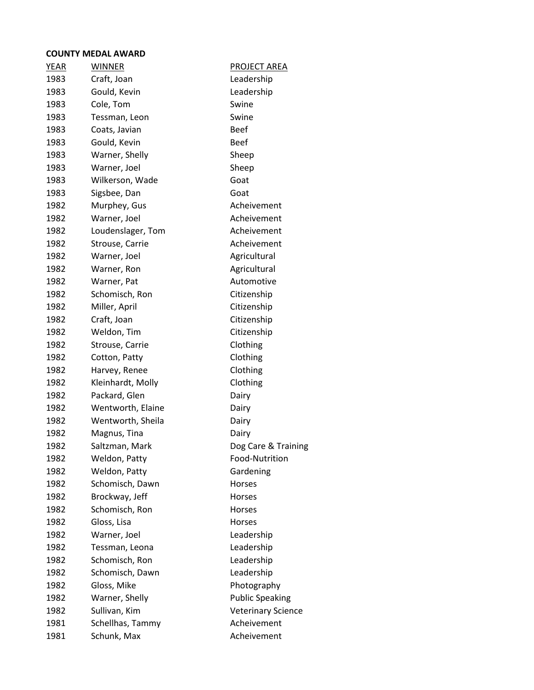| <b>YEAR</b> | <b>WINNER</b>     | <b>PROJECT AREA</b>       |
|-------------|-------------------|---------------------------|
| 1983        | Craft, Joan       | Leadership                |
| 1983        | Gould, Kevin      | Leadership                |
| 1983        | Cole, Tom         | Swine                     |
| 1983        | Tessman, Leon     | Swine                     |
| 1983        | Coats, Javian     | <b>Beef</b>               |
| 1983        | Gould, Kevin      | <b>Beef</b>               |
| 1983        | Warner, Shelly    | Sheep                     |
| 1983        | Warner, Joel      | Sheep                     |
| 1983        | Wilkerson, Wade   | Goat                      |
| 1983        | Sigsbee, Dan      | Goat                      |
| 1982        | Murphey, Gus      | Acheivement               |
| 1982        | Warner, Joel      | Acheivement               |
| 1982        | Loudenslager, Tom | Acheivement               |
| 1982        | Strouse, Carrie   | Acheivement               |
| 1982        | Warner, Joel      | Agricultural              |
| 1982        | Warner, Ron       | Agricultural              |
| 1982        | Warner, Pat       | Automotive                |
| 1982        | Schomisch, Ron    | Citizenship               |
| 1982        | Miller, April     | Citizenship               |
| 1982        | Craft, Joan       | Citizenship               |
| 1982        | Weldon, Tim       | Citizenship               |
| 1982        | Strouse, Carrie   | Clothing                  |
| 1982        | Cotton, Patty     | Clothing                  |
| 1982        | Harvey, Renee     | Clothing                  |
| 1982        | Kleinhardt, Molly | Clothing                  |
| 1982        | Packard, Glen     | Dairy                     |
| 1982        | Wentworth, Elaine | Dairy                     |
| 1982        | Wentworth, Sheila | Dairy                     |
| 1982        | Magnus, Tina      | Dairy                     |
| 1982        | Saltzman, Mark    | Dog Care & Training       |
| 1982        | Weldon, Patty     | Food-Nutrition            |
| 1982        | Weldon, Patty     | Gardening                 |
| 1982        | Schomisch, Dawn   | Horses                    |
| 1982        | Brockway, Jeff    | Horses                    |
| 1982        | Schomisch, Ron    | Horses                    |
| 1982        | Gloss, Lisa       | Horses                    |
| 1982        | Warner, Joel      | Leadership                |
| 1982        | Tessman, Leona    | Leadership                |
| 1982        | Schomisch, Ron    | Leadership                |
| 1982        | Schomisch, Dawn   | Leadership                |
| 1982        | Gloss, Mike       | Photography               |
| 1982        | Warner, Shelly    | <b>Public Speaking</b>    |
| 1982        | Sullivan, Kim     | <b>Veterinary Science</b> |
| 1981        | Schellhas, Tammy  | Acheivement               |
| 1981        | Schunk, Max       | Acheivement               |
|             |                   |                           |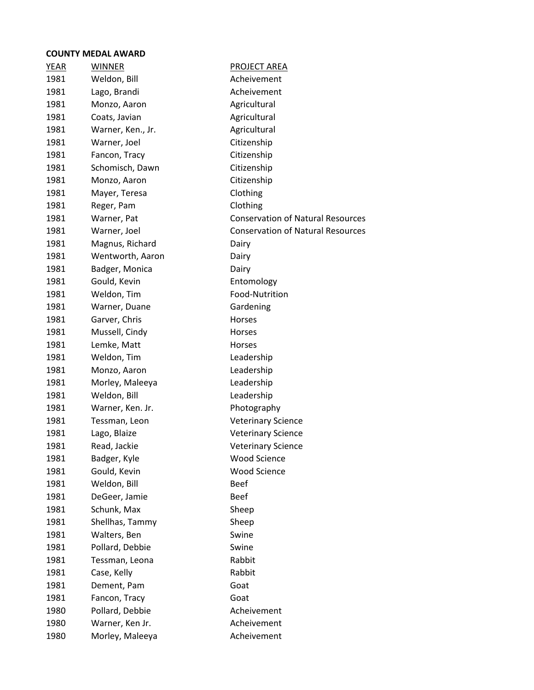| YEAR | <b>WINNER</b>     | PROJECT AREA                             |
|------|-------------------|------------------------------------------|
| 1981 | Weldon, Bill      | Acheivement                              |
| 1981 | Lago, Brandi      | Acheivement                              |
| 1981 | Monzo, Aaron      | Agricultural                             |
| 1981 | Coats, Javian     | Agricultural                             |
| 1981 | Warner, Ken., Jr. | Agricultural                             |
| 1981 | Warner, Joel      | Citizenship                              |
| 1981 | Fancon, Tracy     | Citizenship                              |
| 1981 | Schomisch, Dawn   | Citizenship                              |
| 1981 | Monzo, Aaron      | Citizenship                              |
| 1981 | Mayer, Teresa     | Clothing                                 |
| 1981 | Reger, Pam        | Clothing                                 |
| 1981 | Warner, Pat       | <b>Conservation of Natural Resources</b> |
| 1981 | Warner, Joel      | <b>Conservation of Natural Resources</b> |
| 1981 | Magnus, Richard   | Dairy                                    |
| 1981 | Wentworth, Aaron  | Dairy                                    |
| 1981 | Badger, Monica    | Dairy                                    |
| 1981 | Gould, Kevin      | Entomology                               |
| 1981 | Weldon, Tim       | Food-Nutrition                           |
| 1981 | Warner, Duane     | Gardening                                |
| 1981 | Garver, Chris     | <b>Horses</b>                            |
| 1981 | Mussell, Cindy    | Horses                                   |
| 1981 | Lemke, Matt       | Horses                                   |
| 1981 | Weldon, Tim       | Leadership                               |
| 1981 | Monzo, Aaron      | Leadership                               |
| 1981 | Morley, Maleeya   | Leadership                               |
| 1981 | Weldon, Bill      | Leadership                               |
| 1981 | Warner, Ken. Jr.  | Photography                              |
| 1981 | Tessman, Leon     | <b>Veterinary Science</b>                |
| 1981 | Lago, Blaize      | <b>Veterinary Science</b>                |
| 1981 | Read, Jackie      | <b>Veterinary Science</b>                |
| 1981 | Badger, Kyle      | <b>Wood Science</b>                      |
| 1981 | Gould, Kevin      | <b>Wood Science</b>                      |
| 1981 | Weldon, Bill      | <b>Beef</b>                              |
| 1981 | DeGeer, Jamie     | <b>Beef</b>                              |
| 1981 | Schunk, Max       | Sheep                                    |
| 1981 | Shellhas, Tammy   | Sheep                                    |
| 1981 | Walters, Ben      | Swine                                    |
| 1981 | Pollard, Debbie   | Swine                                    |
| 1981 | Tessman, Leona    | Rabbit                                   |
| 1981 | Case, Kelly       | Rabbit                                   |
| 1981 | Dement, Pam       | Goat                                     |
| 1981 | Fancon, Tracy     | Goat                                     |
| 1980 | Pollard, Debbie   | Acheivement                              |
| 1980 | Warner, Ken Jr.   | Acheivement                              |
| 1980 | Morley, Maleeya   | Acheivement                              |
|      |                   |                                          |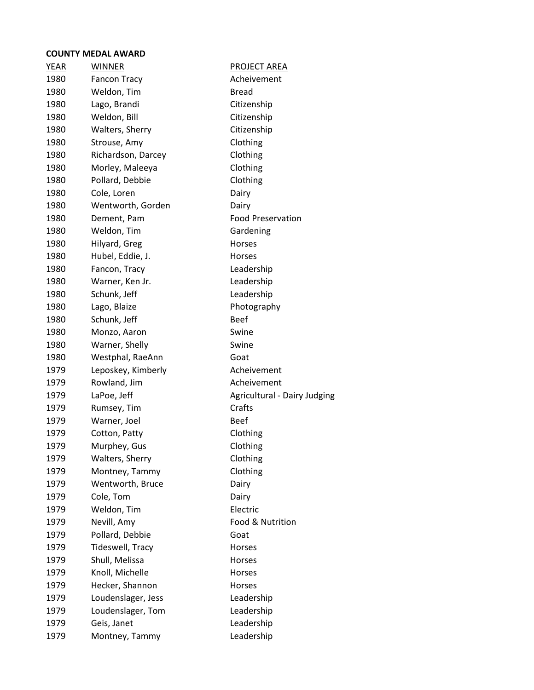| YEAR | <b>WINNER</b>       | <b>PROJECT AREA</b>          |
|------|---------------------|------------------------------|
| 1980 | <b>Fancon Tracy</b> | Acheivement                  |
| 1980 | Weldon, Tim         | <b>Bread</b>                 |
| 1980 | Lago, Brandi        | Citizenship                  |
| 1980 | Weldon, Bill        | Citizenship                  |
| 1980 | Walters, Sherry     | Citizenship                  |
| 1980 | Strouse, Amy        | Clothing                     |
| 1980 | Richardson, Darcey  | Clothing                     |
| 1980 | Morley, Maleeya     | Clothing                     |
| 1980 | Pollard, Debbie     | Clothing                     |
| 1980 | Cole, Loren         | Dairy                        |
| 1980 | Wentworth, Gorden   | Dairy                        |
| 1980 | Dement, Pam         | <b>Food Preservation</b>     |
| 1980 | Weldon, Tim         | Gardening                    |
| 1980 | Hilyard, Greg       | Horses                       |
| 1980 | Hubel, Eddie, J.    | <b>Horses</b>                |
| 1980 | Fancon, Tracy       | Leadership                   |
| 1980 | Warner, Ken Jr.     | Leadership                   |
| 1980 | Schunk, Jeff        | Leadership                   |
| 1980 | Lago, Blaize        | Photography                  |
| 1980 | Schunk, Jeff        | <b>Beef</b>                  |
| 1980 | Monzo, Aaron        | Swine                        |
| 1980 | Warner, Shelly      | Swine                        |
| 1980 | Westphal, RaeAnn    | Goat                         |
| 1979 | Leposkey, Kimberly  | Acheivement                  |
| 1979 | Rowland, Jim        | Acheivement                  |
| 1979 | LaPoe, Jeff         | Agricultural - Dairy Judging |
| 1979 | Rumsey, Tim         | Crafts                       |
| 1979 | Warner, Joel        | Beef                         |
| 1979 | Cotton, Patty       | Clothing                     |
| 1979 | Murphey, Gus        | Clothing                     |
| 1979 | Walters, Sherry     | Clothing                     |
| 1979 | Montney, Tammy      | Clothing                     |
| 1979 | Wentworth, Bruce    | Dairy                        |
| 1979 | Cole, Tom           | Dairy                        |
| 1979 | Weldon, Tim         | Electric                     |
| 1979 | Nevill, Amy         | Food & Nutrition             |
| 1979 | Pollard, Debbie     | Goat                         |
| 1979 | Tideswell, Tracy    | Horses                       |
| 1979 | Shull, Melissa      | Horses                       |
| 1979 | Knoll, Michelle     | Horses                       |
| 1979 | Hecker, Shannon     | Horses                       |
| 1979 | Loudenslager, Jess  | Leadership                   |
| 1979 | Loudenslager, Tom   | Leadership                   |
| 1979 | Geis, Janet         | Leadership                   |
| 1979 | Montney, Tammy      | Leadership                   |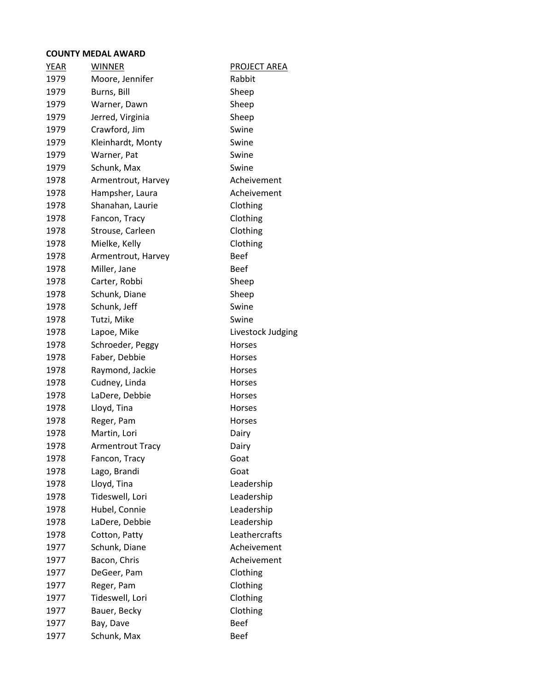| <b>YEAR</b> | <b>WINNER</b>           | <b>PROJECT AREA</b> |
|-------------|-------------------------|---------------------|
| 1979        | Moore, Jennifer         | Rabbit              |
| 1979        | Burns, Bill             | Sheep               |
| 1979        | Warner, Dawn            | Sheep               |
| 1979        | Jerred, Virginia        | Sheep               |
| 1979        | Crawford, Jim           | Swine               |
| 1979        | Kleinhardt, Monty       | Swine               |
| 1979        | Warner, Pat             | Swine               |
| 1979        | Schunk, Max             | Swine               |
| 1978        | Armentrout, Harvey      | Acheivement         |
| 1978        | Hampsher, Laura         | Acheivement         |
| 1978        | Shanahan, Laurie        | Clothing            |
| 1978        | Fancon, Tracy           | Clothing            |
| 1978        | Strouse, Carleen        | Clothing            |
| 1978        | Mielke, Kelly           | Clothing            |
| 1978        | Armentrout, Harvey      | <b>Beef</b>         |
| 1978        | Miller, Jane            | <b>Beef</b>         |
| 1978        | Carter, Robbi           | Sheep               |
| 1978        | Schunk, Diane           | Sheep               |
| 1978        | Schunk, Jeff            | Swine               |
| 1978        | Tutzi, Mike             | Swine               |
| 1978        | Lapoe, Mike             | Livestock Judging   |
| 1978        | Schroeder, Peggy        | <b>Horses</b>       |
| 1978        | Faber, Debbie           | Horses              |
| 1978        | Raymond, Jackie         | Horses              |
| 1978        | Cudney, Linda           | <b>Horses</b>       |
| 1978        | LaDere, Debbie          | Horses              |
| 1978        | Lloyd, Tina             | Horses              |
| 1978        | Reger, Pam              | Horses              |
| 1978        | Martin, Lori            | Dairy               |
| 1978        | <b>Armentrout Tracy</b> | Dairy               |
| 1978        | Fancon, Tracy           | Goat                |
| 1978        | Lago, Brandi            | Goat                |
| 1978        | Lloyd, Tina             | Leadership          |
| 1978        | Tideswell, Lori         | Leadership          |
| 1978        | Hubel, Connie           | Leadership          |
| 1978        | LaDere, Debbie          | Leadership          |
| 1978        | Cotton, Patty           | Leathercrafts       |
| 1977        | Schunk, Diane           | Acheivement         |
| 1977        | Bacon, Chris            | Acheivement         |
| 1977        | DeGeer, Pam             | Clothing            |
| 1977        | Reger, Pam              | Clothing            |
| 1977        | Tideswell, Lori         | Clothing            |
| 1977        | Bauer, Becky            | Clothing            |
| 1977        | Bay, Dave               | <b>Beef</b>         |
| 1977        | Schunk, Max             | <b>Beef</b>         |
|             |                         |                     |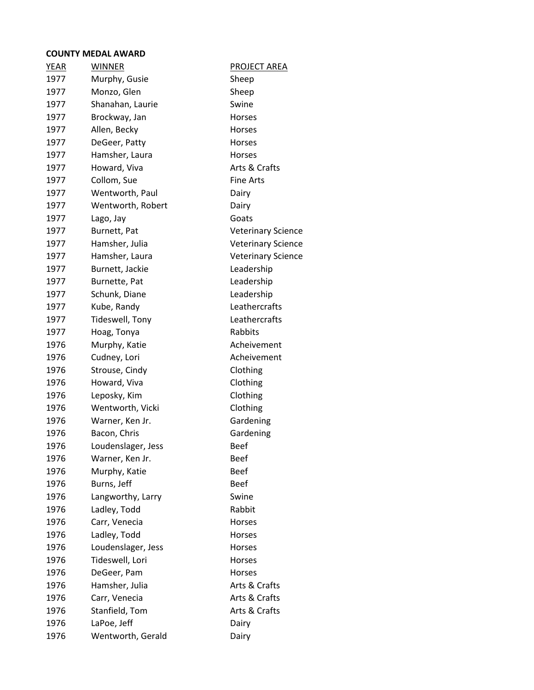| YEAR | <b>WINNER</b>      | <b>PROJECT AREA</b>       |
|------|--------------------|---------------------------|
| 1977 | Murphy, Gusie      | Sheep                     |
| 1977 | Monzo, Glen        | Sheep                     |
| 1977 | Shanahan, Laurie   | Swine                     |
| 1977 | Brockway, Jan      | Horses                    |
| 1977 | Allen, Becky       | Horses                    |
| 1977 | DeGeer, Patty      | Horses                    |
| 1977 | Hamsher, Laura     | Horses                    |
| 1977 | Howard, Viva       | Arts & Crafts             |
| 1977 | Collom, Sue        | <b>Fine Arts</b>          |
| 1977 | Wentworth, Paul    | Dairy                     |
| 1977 | Wentworth, Robert  | Dairy                     |
| 1977 | Lago, Jay          | Goats                     |
| 1977 | Burnett, Pat       | <b>Veterinary Science</b> |
| 1977 | Hamsher, Julia     | <b>Veterinary Science</b> |
| 1977 | Hamsher, Laura     | <b>Veterinary Science</b> |
| 1977 | Burnett, Jackie    | Leadership                |
| 1977 | Burnette, Pat      | Leadership                |
| 1977 | Schunk, Diane      | Leadership                |
| 1977 | Kube, Randy        | Leathercrafts             |
| 1977 | Tideswell, Tony    | Leathercrafts             |
| 1977 | Hoag, Tonya        | Rabbits                   |
| 1976 | Murphy, Katie      | Acheivement               |
| 1976 | Cudney, Lori       | Acheivement               |
| 1976 | Strouse, Cindy     | Clothing                  |
| 1976 | Howard, Viva       | Clothing                  |
| 1976 | Leposky, Kim       | Clothing                  |
| 1976 | Wentworth, Vicki   | Clothing                  |
| 1976 | Warner, Ken Jr.    | Gardening                 |
| 1976 | Bacon, Chris       | Gardening                 |
| 1976 | Loudenslager, Jess | <b>Beef</b>               |
| 1976 | Warner, Ken Jr.    | <b>Beef</b>               |
| 1976 | Murphy, Katie      | <b>Beef</b>               |
| 1976 | Burns, Jeff        | <b>Beef</b>               |
| 1976 | Langworthy, Larry  | Swine                     |
| 1976 | Ladley, Todd       | Rabbit                    |
| 1976 | Carr, Venecia      | Horses                    |
| 1976 | Ladley, Todd       | <b>Horses</b>             |
| 1976 | Loudenslager, Jess | Horses                    |
| 1976 | Tideswell, Lori    | Horses                    |
| 1976 | DeGeer, Pam        | Horses                    |
| 1976 | Hamsher, Julia     | Arts & Crafts             |
| 1976 | Carr, Venecia      | Arts & Crafts             |
| 1976 | Stanfield, Tom     | Arts & Crafts             |
| 1976 | LaPoe, Jeff        | Dairy                     |
| 1976 | Wentworth, Gerald  | Dairy                     |
|      |                    |                           |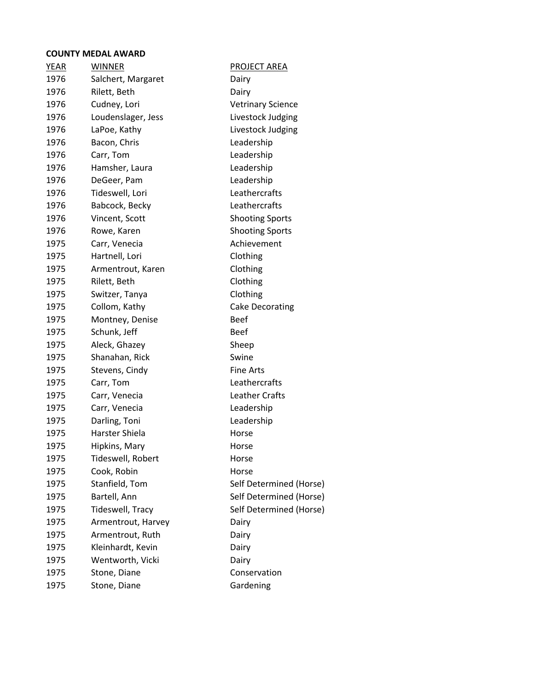| YEAR | <b>WINNER</b>      | <b>PROJECT AREA</b>      |
|------|--------------------|--------------------------|
| 1976 | Salchert, Margaret | Dairy                    |
| 1976 | Rilett, Beth       | Dairy                    |
| 1976 | Cudney, Lori       | <b>Vetrinary Science</b> |
| 1976 | Loudenslager, Jess | Livestock Judging        |
| 1976 | LaPoe, Kathy       | Livestock Judging        |
| 1976 | Bacon, Chris       | Leadership               |
| 1976 | Carr, Tom          | Leadership               |
| 1976 | Hamsher, Laura     | Leadership               |
| 1976 | DeGeer, Pam        | Leadership               |
| 1976 | Tideswell, Lori    | Leathercrafts            |
| 1976 | Babcock, Becky     | Leathercrafts            |
| 1976 | Vincent, Scott     | <b>Shooting Sports</b>   |
| 1976 | Rowe, Karen        | <b>Shooting Sports</b>   |
| 1975 | Carr, Venecia      | Achievement              |
| 1975 | Hartnell, Lori     | Clothing                 |
| 1975 | Armentrout, Karen  | Clothing                 |
| 1975 | Rilett, Beth       | Clothing                 |
| 1975 | Switzer, Tanya     | Clothing                 |
| 1975 | Collom, Kathy      | <b>Cake Decorating</b>   |
| 1975 | Montney, Denise    | <b>Beef</b>              |
| 1975 | Schunk, Jeff       | <b>Beef</b>              |
| 1975 | Aleck, Ghazey      | Sheep                    |
| 1975 | Shanahan, Rick     | Swine                    |
| 1975 | Stevens, Cindy     | <b>Fine Arts</b>         |
| 1975 | Carr, Tom          | Leathercrafts            |
| 1975 | Carr, Venecia      | <b>Leather Crafts</b>    |
| 1975 | Carr, Venecia      | Leadership               |
| 1975 | Darling, Toni      | Leadership               |
| 1975 | Harster Shiela     | Horse                    |
| 1975 | Hipkins, Mary      | Horse                    |
| 1975 | Tideswell, Robert  | Horse                    |
| 1975 | Cook, Robin        | Horse                    |
| 1975 | Stanfield, Tom     | Self Determined (Horse)  |
| 1975 | Bartell, Ann       | Self Determined (Horse)  |
| 1975 | Tideswell, Tracy   | Self Determined (Horse)  |
| 1975 | Armentrout, Harvey | Dairy                    |
| 1975 | Armentrout, Ruth   | Dairy                    |
| 1975 | Kleinhardt, Kevin  | Dairy                    |
| 1975 | Wentworth, Vicki   | Dairy                    |
| 1975 | Stone, Diane       | Conservation             |
| 1975 | Stone, Diane       | Gardening                |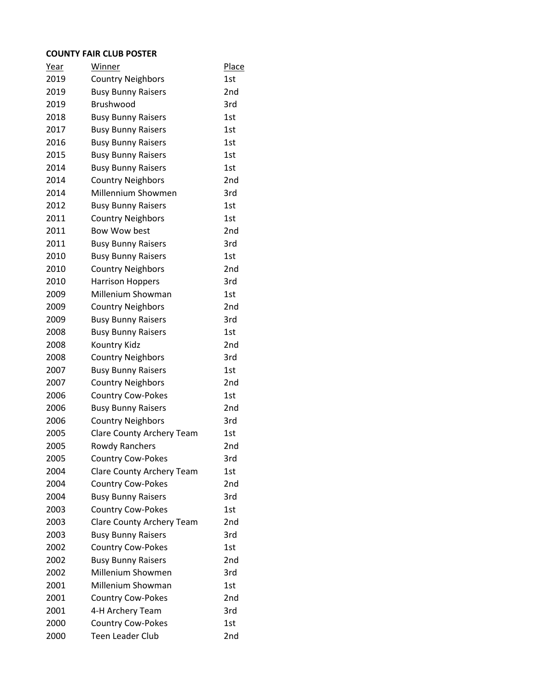#### **COUNTY FAIR CLUB POSTER**

| Year | Winner                    | <b>Place</b> |
|------|---------------------------|--------------|
| 2019 | <b>Country Neighbors</b>  | 1st          |
| 2019 | <b>Busy Bunny Raisers</b> | 2nd          |
| 2019 | Brushwood                 | 3rd          |
| 2018 | <b>Busy Bunny Raisers</b> | 1st          |
| 2017 | <b>Busy Bunny Raisers</b> | 1st          |
| 2016 | <b>Busy Bunny Raisers</b> | 1st          |
| 2015 | <b>Busy Bunny Raisers</b> | 1st          |
| 2014 | <b>Busy Bunny Raisers</b> | 1st          |
| 2014 | <b>Country Neighbors</b>  | 2nd          |
| 2014 | Millennium Showmen        | 3rd          |
| 2012 | <b>Busy Bunny Raisers</b> | 1st          |
| 2011 | <b>Country Neighbors</b>  | 1st          |
| 2011 | Bow Wow best              | 2nd          |
| 2011 | <b>Busy Bunny Raisers</b> | 3rd          |
| 2010 | <b>Busy Bunny Raisers</b> | 1st          |
| 2010 | <b>Country Neighbors</b>  | 2nd          |
| 2010 | <b>Harrison Hoppers</b>   | 3rd          |
| 2009 | Millenium Showman         | 1st          |
| 2009 | <b>Country Neighbors</b>  | 2nd          |
| 2009 | <b>Busy Bunny Raisers</b> | 3rd          |
| 2008 | <b>Busy Bunny Raisers</b> | 1st          |
| 2008 | Kountry Kidz              | 2nd          |
| 2008 | <b>Country Neighbors</b>  | 3rd          |
| 2007 | <b>Busy Bunny Raisers</b> | 1st          |
| 2007 | <b>Country Neighbors</b>  | 2nd          |
| 2006 | <b>Country Cow-Pokes</b>  | 1st          |
| 2006 | <b>Busy Bunny Raisers</b> | 2nd          |
| 2006 | <b>Country Neighbors</b>  | 3rd          |
| 2005 | Clare County Archery Team | 1st          |
| 2005 | <b>Rowdy Ranchers</b>     | 2nd          |
| 2005 | <b>Country Cow-Pokes</b>  | 3rd          |
| 2004 | Clare County Archery Team | 1st          |
| 2004 | <b>Country Cow-Pokes</b>  | 2nd          |
| 2004 | <b>Busy Bunny Raisers</b> | 3rd          |
| 2003 | <b>Country Cow-Pokes</b>  | 1st          |
| 2003 | Clare County Archery Team | 2nd          |
| 2003 | <b>Busy Bunny Raisers</b> | 3rd          |
| 2002 | <b>Country Cow-Pokes</b>  | 1st          |
| 2002 | <b>Busy Bunny Raisers</b> | 2nd          |
| 2002 | Millenium Showmen         | 3rd          |
| 2001 | Millenium Showman         | 1st          |
| 2001 | <b>Country Cow-Pokes</b>  | 2nd          |
| 2001 | 4-H Archery Team          | 3rd          |
| 2000 | <b>Country Cow-Pokes</b>  | 1st          |
| 2000 | Teen Leader Club          | 2nd          |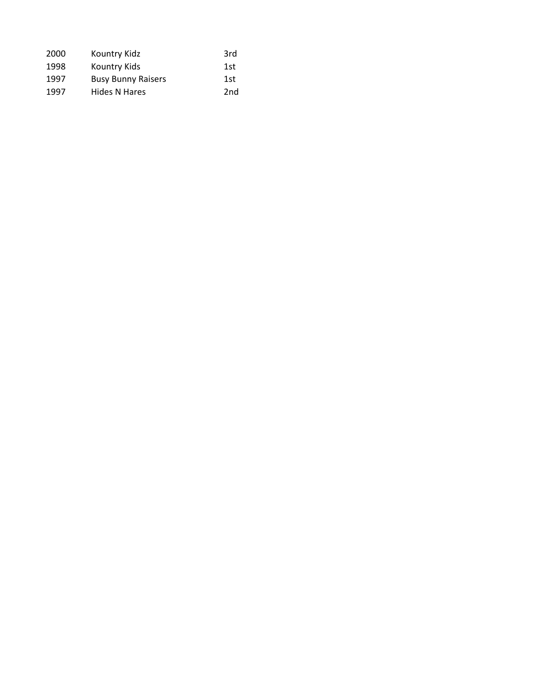| 2000 | Kountry Kidz              | 3rd             |
|------|---------------------------|-----------------|
| 1998 | Kountry Kids              | 1st             |
| 1997 | <b>Busy Bunny Raisers</b> | 1st             |
| 1997 | Hides N Hares             | 2 <sub>nd</sub> |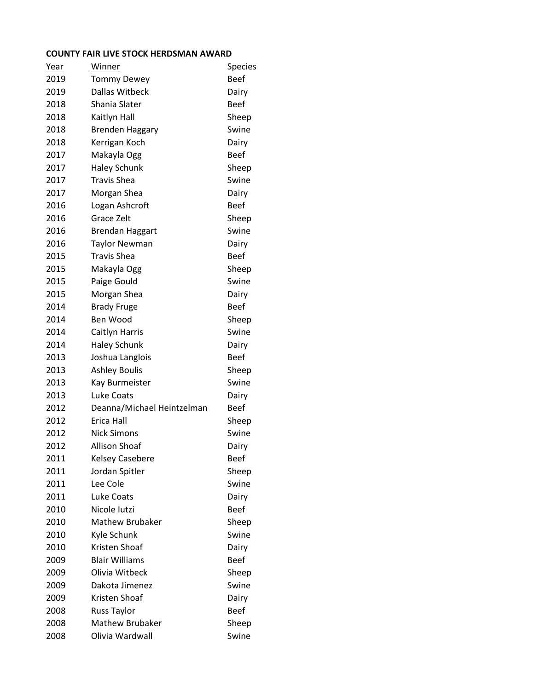#### **COUNTY FAIR LIVE STOCK HERDSMAN AWARD**

| Year | Winner                     | <b>Species</b> |
|------|----------------------------|----------------|
| 2019 | <b>Tommy Dewey</b>         | <b>Beef</b>    |
| 2019 | Dallas Witbeck             | Dairy          |
| 2018 | Shania Slater              | <b>Beef</b>    |
| 2018 | Kaitlyn Hall               | Sheep          |
| 2018 | <b>Brenden Haggary</b>     | Swine          |
| 2018 | Kerrigan Koch              | Dairy          |
| 2017 | Makayla Ogg                | <b>Beef</b>    |
| 2017 | <b>Haley Schunk</b>        | Sheep          |
| 2017 | <b>Travis Shea</b>         | Swine          |
| 2017 | Morgan Shea                | Dairy          |
| 2016 | Logan Ashcroft             | <b>Beef</b>    |
| 2016 | Grace Zelt                 | Sheep          |
| 2016 | <b>Brendan Haggart</b>     | Swine          |
| 2016 | <b>Taylor Newman</b>       | Dairy          |
| 2015 | <b>Travis Shea</b>         | <b>Beef</b>    |
| 2015 | Makayla Ogg                | Sheep          |
| 2015 | Paige Gould                | Swine          |
| 2015 | Morgan Shea                | Dairy          |
| 2014 | <b>Brady Fruge</b>         | <b>Beef</b>    |
| 2014 | Ben Wood                   | Sheep          |
| 2014 | Caitlyn Harris             | Swine          |
| 2014 | <b>Haley Schunk</b>        | Dairy          |
| 2013 | Joshua Langlois            | <b>Beef</b>    |
| 2013 | <b>Ashley Boulis</b>       | Sheep          |
| 2013 | Kay Burmeister             | Swine          |
| 2013 | Luke Coats                 | Dairy          |
| 2012 | Deanna/Michael Heintzelman | <b>Beef</b>    |
| 2012 | Erica Hall                 | Sheep          |
| 2012 | <b>Nick Simons</b>         | Swine          |
| 2012 | <b>Allison Shoaf</b>       | Dairy          |
| 2011 | <b>Kelsey Casebere</b>     | <b>Beef</b>    |
| 2011 | Jordan Spitler             | Sheep          |
| 2011 | Lee Cole                   | Swine          |
| 2011 | Luke Coats                 | Dairy          |
| 2010 | Nicole Iutzi               | <b>Beef</b>    |
| 2010 | <b>Mathew Brubaker</b>     | Sheep          |
| 2010 | Kyle Schunk                | Swine          |
| 2010 | Kristen Shoaf              | Dairy          |
| 2009 | <b>Blair Williams</b>      | <b>Beef</b>    |
| 2009 | Olivia Witbeck             | Sheep          |
| 2009 | Dakota Jimenez             | Swine          |
| 2009 | Kristen Shoaf              | Dairy          |
| 2008 | <b>Russ Taylor</b>         | <b>Beef</b>    |
| 2008 | <b>Mathew Brubaker</b>     | Sheep          |
| 2008 | Olivia Wardwall            | Swine          |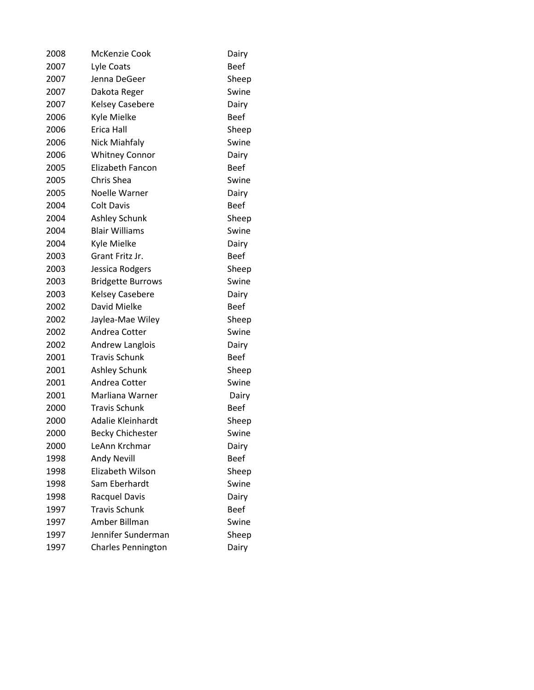| 2008 | McKenzie Cook             | Dairy       |
|------|---------------------------|-------------|
| 2007 | Lyle Coats                | <b>Beef</b> |
| 2007 | Jenna DeGeer              | Sheep       |
| 2007 | Dakota Reger              | Swine       |
| 2007 | <b>Kelsey Casebere</b>    | Dairy       |
| 2006 | Kyle Mielke               | <b>Beef</b> |
| 2006 | Erica Hall                | Sheep       |
| 2006 | Nick Miahfaly             | Swine       |
| 2006 | <b>Whitney Connor</b>     | Dairy       |
| 2005 | <b>Elizabeth Fancon</b>   | <b>Beef</b> |
| 2005 | Chris Shea                | Swine       |
| 2005 | Noelle Warner             | Dairy       |
| 2004 | <b>Colt Davis</b>         | <b>Beef</b> |
| 2004 | <b>Ashley Schunk</b>      | Sheep       |
| 2004 | <b>Blair Williams</b>     | Swine       |
| 2004 | Kyle Mielke               | Dairy       |
| 2003 | Grant Fritz Jr.           | <b>Beef</b> |
| 2003 | Jessica Rodgers           | Sheep       |
| 2003 | <b>Bridgette Burrows</b>  | Swine       |
| 2003 | <b>Kelsey Casebere</b>    | Dairy       |
| 2002 | David Mielke              | <b>Beef</b> |
| 2002 | Jaylea-Mae Wiley          | Sheep       |
| 2002 | Andrea Cotter             | Swine       |
| 2002 | Andrew Langlois           | Dairy       |
| 2001 | <b>Travis Schunk</b>      | <b>Beef</b> |
| 2001 | Ashley Schunk             | Sheep       |
| 2001 | Andrea Cotter             | Swine       |
| 2001 | Marliana Warner           | Dairy       |
| 2000 | <b>Travis Schunk</b>      | <b>Beef</b> |
| 2000 | Adalie Kleinhardt         | Sheep       |
| 2000 | <b>Becky Chichester</b>   | Swine       |
| 2000 | LeAnn Krchmar             | Dairy       |
| 1998 | <b>Andy Nevill</b>        | <b>Beef</b> |
| 1998 | Elizabeth Wilson          | Sheep       |
| 1998 | Sam Eberhardt             | Swine       |
| 1998 | Racquel Davis             | Dairy       |
| 1997 | <b>Travis Schunk</b>      | <b>Beef</b> |
| 1997 | Amber Billman             | Swine       |
| 1997 | Jennifer Sunderman        | Sheep       |
| 1997 | <b>Charles Pennington</b> | Dairy       |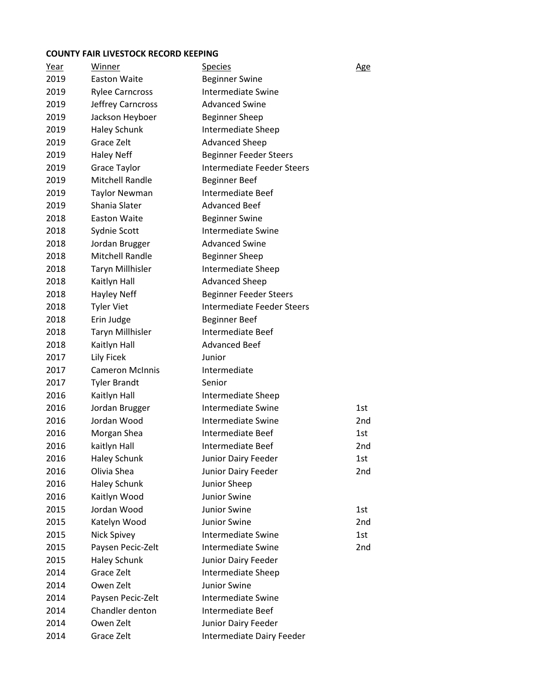#### **COUNTY FAIR LIVESTOCK RECORD KEEPING**

| <u>Year</u> | Winner                  | <b>Species</b>                    | <u>Age</u>      |
|-------------|-------------------------|-----------------------------------|-----------------|
| 2019        | <b>Easton Waite</b>     | <b>Beginner Swine</b>             |                 |
| 2019        | <b>Rylee Carncross</b>  | <b>Intermediate Swine</b>         |                 |
| 2019        | Jeffrey Carncross       | <b>Advanced Swine</b>             |                 |
| 2019        | Jackson Heyboer         | <b>Beginner Sheep</b>             |                 |
| 2019        | <b>Haley Schunk</b>     | Intermediate Sheep                |                 |
| 2019        | Grace Zelt              | <b>Advanced Sheep</b>             |                 |
| 2019        | <b>Haley Neff</b>       | <b>Beginner Feeder Steers</b>     |                 |
| 2019        | Grace Taylor            | <b>Intermediate Feeder Steers</b> |                 |
| 2019        | <b>Mitchell Randle</b>  | <b>Beginner Beef</b>              |                 |
| 2019        | <b>Taylor Newman</b>    | Intermediate Beef                 |                 |
| 2019        | Shania Slater           | <b>Advanced Beef</b>              |                 |
| 2018        | <b>Easton Waite</b>     | <b>Beginner Swine</b>             |                 |
| 2018        | Sydnie Scott            | Intermediate Swine                |                 |
| 2018        | Jordan Brugger          | <b>Advanced Swine</b>             |                 |
| 2018        | <b>Mitchell Randle</b>  | <b>Beginner Sheep</b>             |                 |
| 2018        | <b>Taryn Millhisler</b> | Intermediate Sheep                |                 |
| 2018        | Kaitlyn Hall            | <b>Advanced Sheep</b>             |                 |
| 2018        | <b>Hayley Neff</b>      | <b>Beginner Feeder Steers</b>     |                 |
| 2018        | <b>Tyler Viet</b>       | <b>Intermediate Feeder Steers</b> |                 |
| 2018        | Erin Judge              | <b>Beginner Beef</b>              |                 |
| 2018        | Taryn Millhisler        | Intermediate Beef                 |                 |
| 2018        | Kaitlyn Hall            | <b>Advanced Beef</b>              |                 |
| 2017        | Lily Ficek              | Junior                            |                 |
| 2017        | <b>Cameron McInnis</b>  | Intermediate                      |                 |
| 2017        | <b>Tyler Brandt</b>     | Senior                            |                 |
| 2016        | Kaitlyn Hall            | Intermediate Sheep                |                 |
| 2016        | Jordan Brugger          | <b>Intermediate Swine</b>         | 1st             |
| 2016        | Jordan Wood             | Intermediate Swine                | 2nd             |
| 2016        | Morgan Shea             | Intermediate Beef                 | 1st.            |
| 2016        | kaitlyn Hall            | Intermediate Beef                 | 2nd             |
| 2016        | <b>Haley Schunk</b>     | Junior Dairy Feeder               | 1st             |
| 2016        | Olivia Shea             | Junior Dairy Feeder               | 2 <sub>nd</sub> |
| 2016        | <b>Haley Schunk</b>     | Junior Sheep                      |                 |
| 2016        | Kaitlyn Wood            | Junior Swine                      |                 |
| 2015        | Jordan Wood             | Junior Swine                      | 1st             |
| 2015        | Katelyn Wood            | Junior Swine                      | 2nd             |
| 2015        | Nick Spivey             | <b>Intermediate Swine</b>         | 1st             |
| 2015        | Paysen Pecic-Zelt       | <b>Intermediate Swine</b>         | 2nd             |
| 2015        | <b>Haley Schunk</b>     | Junior Dairy Feeder               |                 |
| 2014        | Grace Zelt              | Intermediate Sheep                |                 |
| 2014        | Owen Zelt               | Junior Swine                      |                 |
| 2014        | Paysen Pecic-Zelt       | Intermediate Swine                |                 |
| 2014        | Chandler denton         | Intermediate Beef                 |                 |
| 2014        | Owen Zelt               | Junior Dairy Feeder               |                 |
| 2014        | Grace Zelt              | Intermediate Dairy Feeder         |                 |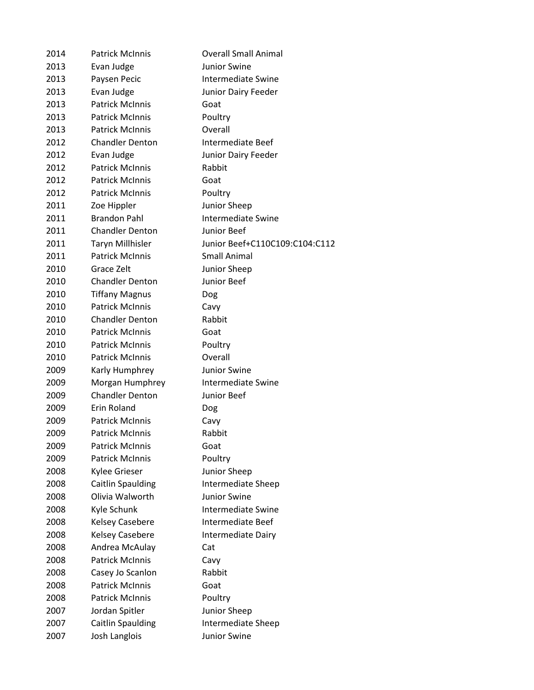| 2014 | <b>Patrick McInnis</b>   | <b>Overall Small Animal</b>    |
|------|--------------------------|--------------------------------|
| 2013 | Evan Judge               | <b>Junior Swine</b>            |
| 2013 | Paysen Pecic             | <b>Intermediate Swine</b>      |
| 2013 | Evan Judge               | Junior Dairy Feeder            |
| 2013 | <b>Patrick McInnis</b>   | Goat                           |
| 2013 | <b>Patrick McInnis</b>   | Poultry                        |
| 2013 | <b>Patrick McInnis</b>   | Overall                        |
| 2012 | <b>Chandler Denton</b>   | Intermediate Beef              |
| 2012 | Evan Judge               | Junior Dairy Feeder            |
| 2012 | <b>Patrick McInnis</b>   | Rabbit                         |
| 2012 | <b>Patrick McInnis</b>   | Goat                           |
| 2012 | <b>Patrick McInnis</b>   | Poultry                        |
| 2011 | Zoe Hippler              | Junior Sheep                   |
| 2011 | <b>Brandon Pahl</b>      | <b>Intermediate Swine</b>      |
| 2011 | <b>Chandler Denton</b>   | Junior Beef                    |
| 2011 | <b>Taryn Millhisler</b>  | Junior Beef+C110C109:C104:C112 |
| 2011 | <b>Patrick McInnis</b>   | <b>Small Animal</b>            |
| 2010 | Grace Zelt               | Junior Sheep                   |
| 2010 | <b>Chandler Denton</b>   | Junior Beef                    |
| 2010 | <b>Tiffany Magnus</b>    | Dog                            |
| 2010 | <b>Patrick McInnis</b>   | Cavy                           |
| 2010 | <b>Chandler Denton</b>   | Rabbit                         |
| 2010 | <b>Patrick McInnis</b>   | Goat                           |
| 2010 | <b>Patrick McInnis</b>   | Poultry                        |
| 2010 | <b>Patrick McInnis</b>   | Overall                        |
| 2009 | Karly Humphrey           | Junior Swine                   |
| 2009 | Morgan Humphrey          | <b>Intermediate Swine</b>      |
| 2009 | <b>Chandler Denton</b>   | Junior Beef                    |
| 2009 | Erin Roland              | Dog                            |
| 2009 | <b>Patrick McInnis</b>   | Cavy                           |
| 2009 | <b>Patrick McInnis</b>   | Rabbit                         |
| 2009 | <b>Patrick McInnis</b>   | Goat                           |
| 2009 | <b>Patrick McInnis</b>   | Poultry                        |
| 2008 | Kylee Grieser            | Junior Sheep                   |
| 2008 | <b>Caitlin Spaulding</b> | Intermediate Sheep             |
| 2008 | Olivia Walworth          | Junior Swine                   |
| 2008 | Kyle Schunk              | <b>Intermediate Swine</b>      |
| 2008 | <b>Kelsey Casebere</b>   | Intermediate Beef              |
| 2008 | <b>Kelsey Casebere</b>   | Intermediate Dairy             |
| 2008 | Andrea McAulay           | Cat                            |
| 2008 | <b>Patrick McInnis</b>   | Cavy                           |
| 2008 | Casey Jo Scanlon         | Rabbit                         |
| 2008 | <b>Patrick McInnis</b>   | Goat                           |
| 2008 | <b>Patrick McInnis</b>   | Poultry                        |
| 2007 | Jordan Spitler           | Junior Sheep                   |
| 2007 | <b>Caitlin Spaulding</b> | Intermediate Sheep             |
| 2007 | Josh Langlois            | Junior Swine                   |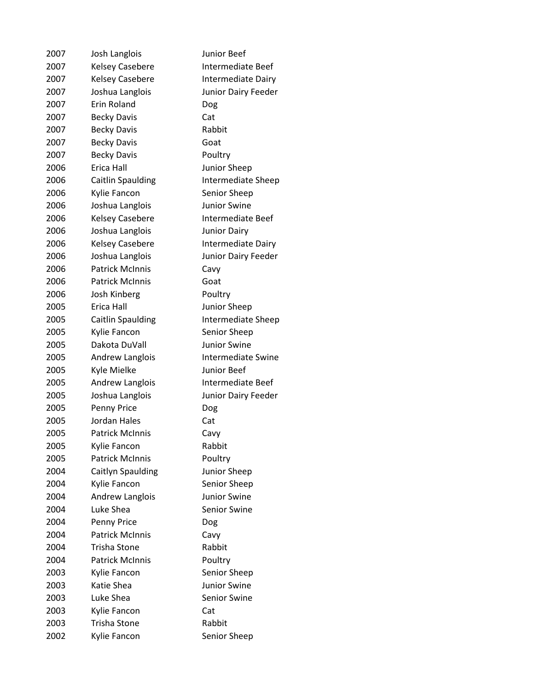| 2007 | Josh Langlois            | Junior Beef               |
|------|--------------------------|---------------------------|
| 2007 | Kelsey Casebere          | <b>Intermediate Beef</b>  |
| 2007 | <b>Kelsey Casebere</b>   | <b>Intermediate Dairy</b> |
| 2007 | Joshua Langlois          | Junior Dairy Feeder       |
| 2007 | <b>Erin Roland</b>       | Dog                       |
| 2007 | <b>Becky Davis</b>       | Cat                       |
| 2007 | <b>Becky Davis</b>       | Rabbit                    |
| 2007 | <b>Becky Davis</b>       | Goat                      |
| 2007 | <b>Becky Davis</b>       | Poultry                   |
| 2006 | Erica Hall               | Junior Sheep              |
| 2006 | <b>Caitlin Spaulding</b> | Intermediate Sheep        |
| 2006 | Kylie Fancon             | Senior Sheep              |
| 2006 | Joshua Langlois          | <b>Junior Swine</b>       |
| 2006 | <b>Kelsey Casebere</b>   | Intermediate Beef         |
| 2006 | Joshua Langlois          | <b>Junior Dairy</b>       |
| 2006 | Kelsey Casebere          | Intermediate Dairy        |
| 2006 | Joshua Langlois          | Junior Dairy Feeder       |
| 2006 | <b>Patrick McInnis</b>   | Cavy                      |
| 2006 | <b>Patrick McInnis</b>   | Goat                      |
| 2006 | Josh Kinberg             | Poultry                   |
| 2005 | Erica Hall               | Junior Sheep              |
| 2005 | <b>Caitlin Spaulding</b> | Intermediate Sheep        |
| 2005 | Kylie Fancon             | Senior Sheep              |
| 2005 | Dakota DuVall            | <b>Junior Swine</b>       |
| 2005 | Andrew Langlois          | Intermediate Swine        |
| 2005 | Kyle Mielke              | Junior Beef               |
| 2005 | Andrew Langlois          | Intermediate Beef         |
| 2005 | Joshua Langlois          | Junior Dairy Feeder       |
| 2005 | Penny Price              | Dog                       |
| 2005 | <b>Jordan Hales</b>      | Cat                       |
| 2005 | <b>Patrick McInnis</b>   | Cavy                      |
| 2005 | Kylie Fancon             | Rabbit                    |
| 2005 | <b>Patrick McInnis</b>   | Poultry                   |
| 2004 | Caitlyn Spaulding        | Junior Sheep              |
| 2004 | Kylie Fancon             | Senior Sheep              |
| 2004 | Andrew Langlois          | <b>Junior Swine</b>       |
| 2004 | Luke Shea                | Senior Swine              |
| 2004 | Penny Price              | Dog                       |
| 2004 | <b>Patrick McInnis</b>   | Cavy                      |
| 2004 | Trisha Stone             | Rabbit                    |
| 2004 | <b>Patrick McInnis</b>   | Poultry                   |
| 2003 | Kylie Fancon             | Senior Sheep              |
| 2003 | Katie Shea               | <b>Junior Swine</b>       |
| 2003 | Luke Shea                | <b>Senior Swine</b>       |
| 2003 | Kylie Fancon             | Cat                       |
| 2003 | Trisha Stone             | Rabbit                    |
| 2002 | Kylie Fancon             | Senior Sheep              |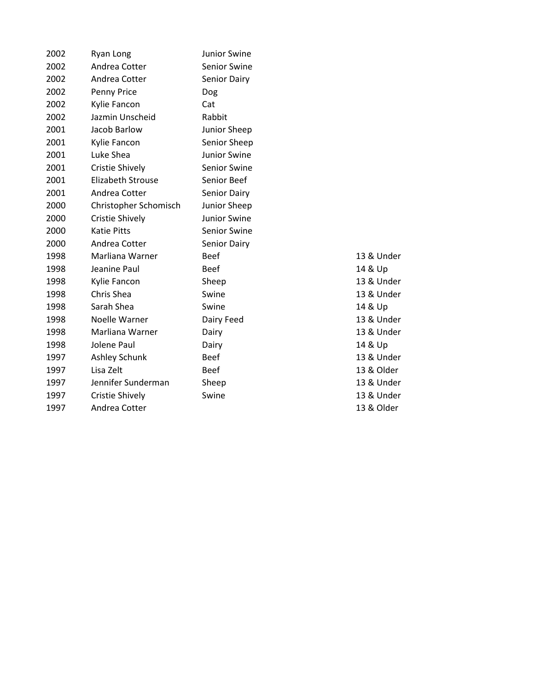| 2002 | Ryan Long                | Junior Swine        |          |
|------|--------------------------|---------------------|----------|
| 2002 | Andrea Cotter            | Senior Swine        |          |
| 2002 | Andrea Cotter            | Senior Dairy        |          |
| 2002 | Penny Price              | Dog                 |          |
| 2002 | Kylie Fancon             | Cat                 |          |
| 2002 | Jazmin Unscheid          | Rabbit              |          |
| 2001 | Jacob Barlow             | Junior Sheep        |          |
| 2001 | Kylie Fancon             | Senior Sheep        |          |
| 2001 | Luke Shea                | Junior Swine        |          |
| 2001 | Cristie Shively          | Senior Swine        |          |
| 2001 | <b>Elizabeth Strouse</b> | Senior Beef         |          |
| 2001 | Andrea Cotter            | Senior Dairy        |          |
| 2000 | Christopher Schomisch    | Junior Sheep        |          |
| 2000 | Cristie Shively          | <b>Junior Swine</b> |          |
| 2000 | <b>Katie Pitts</b>       | Senior Swine        |          |
| 2000 | Andrea Cotter            | Senior Dairy        |          |
| 1998 | Marliana Warner          | <b>Beef</b>         | 13 & Un  |
| 1998 | Jeanine Paul             | <b>Beef</b>         | 14 & Up  |
| 1998 | Kylie Fancon             | Sheep               | 13 & Un  |
| 1998 | Chris Shea               | Swine               | 13 & Un  |
| 1998 | Sarah Shea               | Swine               | 14 & Up  |
| 1998 | Noelle Warner            | Dairy Feed          | 13 & Un  |
| 1998 | Marliana Warner          | Dairy               | 13 & Un  |
| 1998 | Jolene Paul              | Dairy               | 14 & Up  |
| 1997 | Ashley Schunk            | <b>Beef</b>         | 13 & Un  |
| 1997 | Lisa Zelt                | <b>Beef</b>         | 13 & Old |
| 1997 | Jennifer Sunderman       | Sheep               | 13 & Un  |
| 1997 | Cristie Shively          | Swine               | 13 & Un  |
| 1997 | Andrea Cotter            |                     | 13 & Old |
|      |                          |                     |          |

13 & Under 13 & Under 13 & Under 13 & Under 13 & Under 13 & Under 13 & Older 13 & Under 13 & Under 13 & Older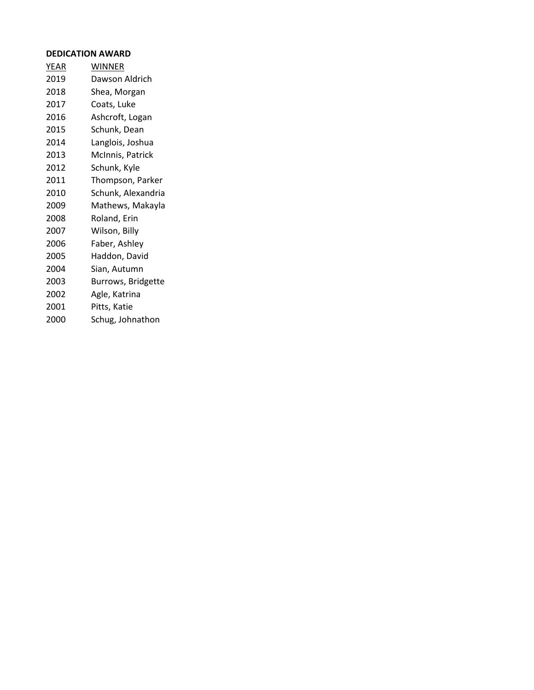# **DEDICATION AWARD**

| <b>YEAR</b> | <b>WINNER</b>      |
|-------------|--------------------|
| 2019        | Dawson Aldrich     |
| 2018        | Shea, Morgan       |
| 2017        | Coats, Luke        |
| 2016        | Ashcroft, Logan    |
| 2015        | Schunk, Dean       |
| 2014        | Langlois, Joshua   |
| 2013        | McInnis, Patrick   |
| 2012        | Schunk, Kyle       |
| 2011        | Thompson, Parker   |
| 2010        | Schunk, Alexandria |
| 2009        | Mathews, Makayla   |
| 2008        | Roland, Erin       |
| 2007        | Wilson, Billy      |
| 2006        | Faber, Ashley      |
| 2005        | Haddon, David      |
| 2004        | Sian, Autumn       |
| 2003        | Burrows, Bridgette |
| 2002        | Agle, Katrina      |
| 2001        | Pitts, Katie       |
| 2000        | Schug, Johnathon   |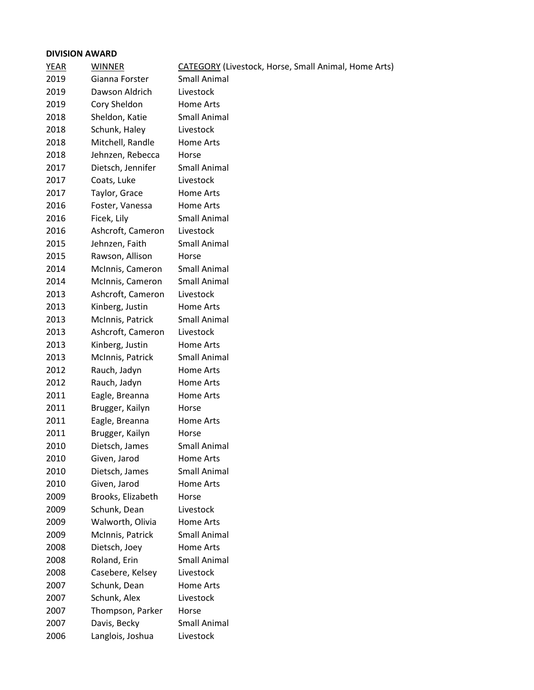# **DIVISION AWARD**

| <b>YEAR</b> | <b>WINNER</b>     | <b>CATEGORY</b> (Livestock, Horse, Small Animal, Home Arts) |
|-------------|-------------------|-------------------------------------------------------------|
| 2019        | Gianna Forster    | <b>Small Animal</b>                                         |
| 2019        | Dawson Aldrich    | Livestock                                                   |
| 2019        | Cory Sheldon      | Home Arts                                                   |
| 2018        | Sheldon, Katie    | <b>Small Animal</b>                                         |
| 2018        | Schunk, Haley     | Livestock                                                   |
| 2018        | Mitchell, Randle  | Home Arts                                                   |
| 2018        | Jehnzen, Rebecca  | Horse                                                       |
| 2017        | Dietsch, Jennifer | Small Animal                                                |
| 2017        | Coats, Luke       | Livestock                                                   |
| 2017        | Taylor, Grace     | Home Arts                                                   |
| 2016        | Foster, Vanessa   | Home Arts                                                   |
| 2016        | Ficek, Lily       | <b>Small Animal</b>                                         |
| 2016        | Ashcroft, Cameron | Livestock                                                   |
| 2015        | Jehnzen, Faith    | Small Animal                                                |
| 2015        | Rawson, Allison   | Horse                                                       |
| 2014        | McInnis, Cameron  | Small Animal                                                |
| 2014        | McInnis, Cameron  | <b>Small Animal</b>                                         |
| 2013        | Ashcroft, Cameron | Livestock                                                   |
| 2013        | Kinberg, Justin   | Home Arts                                                   |
| 2013        | McInnis, Patrick  | <b>Small Animal</b>                                         |
| 2013        | Ashcroft, Cameron | Livestock                                                   |
| 2013        | Kinberg, Justin   | Home Arts                                                   |
| 2013        | McInnis, Patrick  | <b>Small Animal</b>                                         |
| 2012        | Rauch, Jadyn      | Home Arts                                                   |
| 2012        | Rauch, Jadyn      | Home Arts                                                   |
| 2011        | Eagle, Breanna    | Home Arts                                                   |
| 2011        | Brugger, Kailyn   | Horse                                                       |
| 2011        | Eagle, Breanna    | Home Arts                                                   |
| 2011        | Brugger, Kailyn   | Horse                                                       |
| 2010        | Dietsch, James    | Small Animal                                                |
| 2010        | Given, Jarod      | Home Arts                                                   |
| 2010        | Dietsch, James    | <b>Small Animal</b>                                         |
| 2010        | Given, Jarod      | Home Arts                                                   |
| 2009        | Brooks, Elizabeth | Horse                                                       |
| 2009        | Schunk, Dean      | Livestock                                                   |
| 2009        | Walworth, Olivia  | Home Arts                                                   |
| 2009        | McInnis, Patrick  | Small Animal                                                |
| 2008        | Dietsch, Joey     | Home Arts                                                   |
| 2008        | Roland, Erin      | <b>Small Animal</b>                                         |
| 2008        | Casebere, Kelsey  | Livestock                                                   |
| 2007        | Schunk, Dean      | Home Arts                                                   |
| 2007        | Schunk, Alex      | Livestock                                                   |
| 2007        | Thompson, Parker  | Horse                                                       |
| 2007        | Davis, Becky      | <b>Small Animal</b>                                         |
| 2006        | Langlois, Joshua  | Livestock                                                   |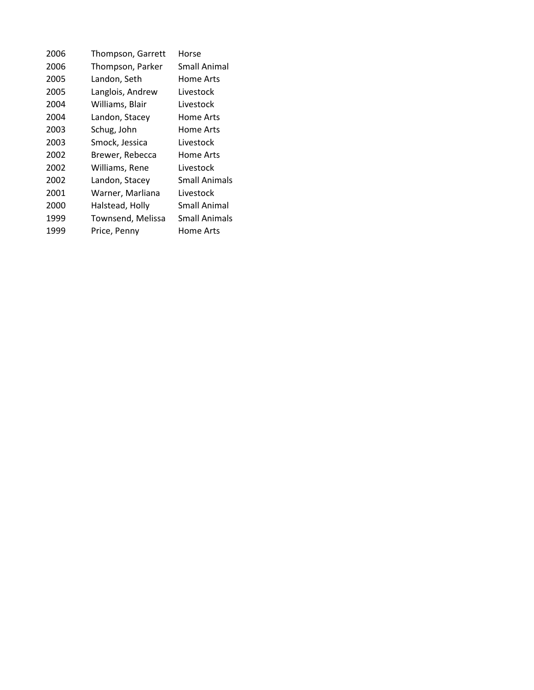| 2006 | Thompson, Garrett | Horse         |
|------|-------------------|---------------|
| 2006 | Thompson, Parker  | Small Animal  |
| 2005 | Landon, Seth      | Home Arts     |
| 2005 | Langlois, Andrew  | Livestock     |
| 2004 | Williams, Blair   | Livestock     |
| 2004 | Landon, Stacey    | Home Arts     |
| 2003 | Schug, John       | Home Arts     |
| 2003 | Smock, Jessica    | Livestock     |
| 2002 | Brewer, Rebecca   | Home Arts     |
| 2002 | Williams, Rene    | Livestock     |
| 2002 | Landon, Stacey    | Small Animals |
| 2001 | Warner, Marliana  | Livestock     |
| 2000 | Halstead, Holly   | Small Animal  |
| 1999 | Townsend, Melissa | Small Animals |
| 1999 | Price, Penny      | Home Arts     |
|      |                   |               |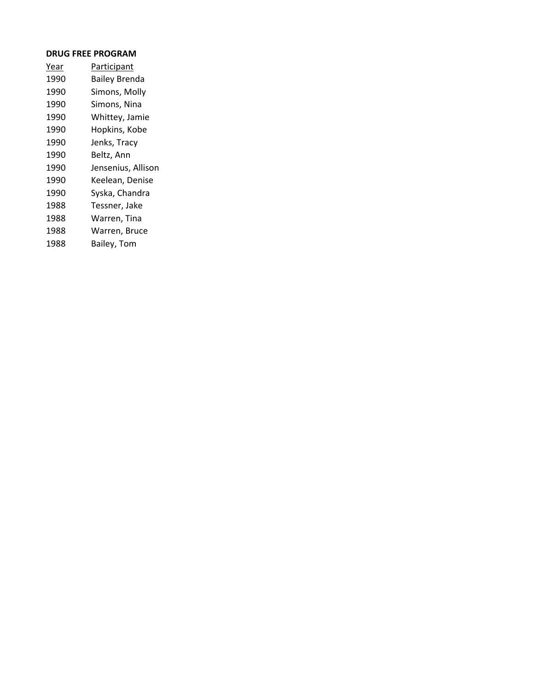#### **DRUG FREE PROGRAM**

| Year | Participant          |
|------|----------------------|
| 1990 | <b>Bailey Brenda</b> |
| 1990 | Simons, Molly        |
| 1990 | Simons, Nina         |
| 1990 | Whittey, Jamie       |
| 1990 | Hopkins, Kobe        |
| 1990 | Jenks, Tracy         |
| 1990 | Beltz, Ann           |
| 1990 | Jensenius, Allison   |
| 1990 | Keelean, Denise      |
| 1990 | Syska, Chandra       |
| 1988 | Tessner, Jake        |
| 1988 | Warren, Tina         |
| 1988 | Warren, Bruce        |
| 1988 | Bailey, Tom          |
|      |                      |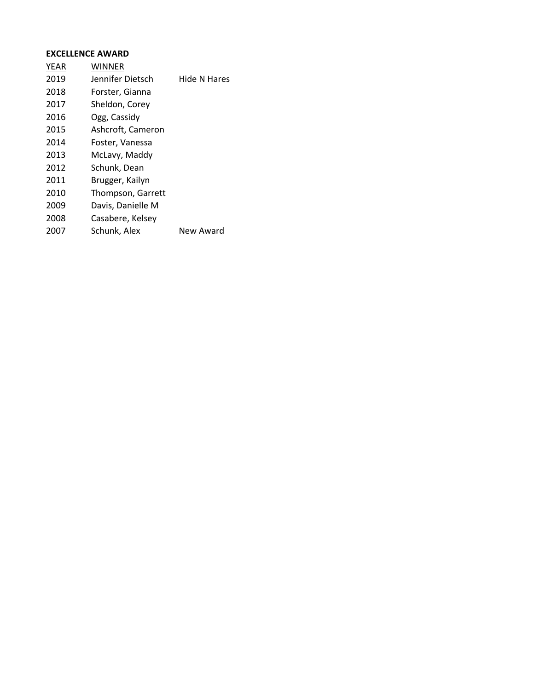# **EXCELLENCE AWARD**

| <b>YEAR</b> | WINNER            |              |
|-------------|-------------------|--------------|
| 2019        | Jennifer Dietsch  | Hide N Hares |
| 2018        | Forster, Gianna   |              |
| 2017        | Sheldon, Corey    |              |
| 2016        | Ogg, Cassidy      |              |
| 2015        | Ashcroft, Cameron |              |
| 2014        | Foster, Vanessa   |              |
| 2013        | McLavy, Maddy     |              |
| 2012        | Schunk, Dean      |              |
| 2011        | Brugger, Kailyn   |              |
| 2010        | Thompson, Garrett |              |
| 2009        | Davis, Danielle M |              |
| 2008        | Casabere, Kelsey  |              |
| 2007        | Schunk, Alex      | New Award    |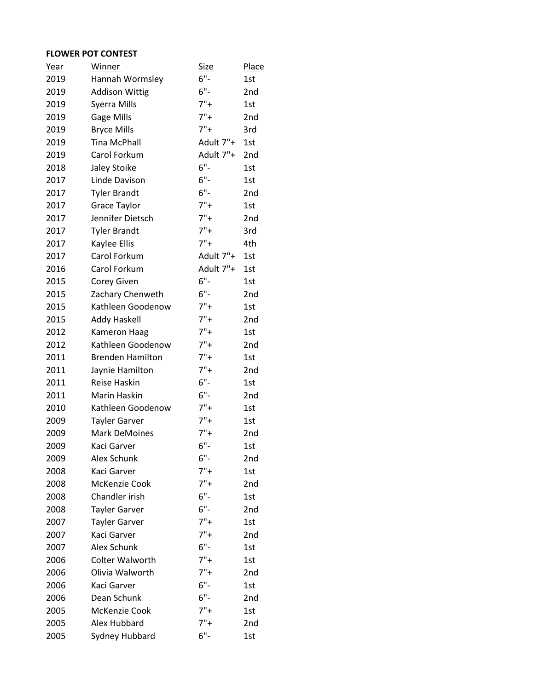# **FLOWER POT CONTEST**

| <u>Year</u> | <b>Winner</b>           | <u>Size</u> | <b>Place</b>    |
|-------------|-------------------------|-------------|-----------------|
| 2019        | Hannah Wormsley         | $6"$ -      | 1st             |
| 2019        | <b>Addison Wittig</b>   | $6"$ -      | 2 <sub>nd</sub> |
| 2019        | Syerra Mills            | $7"+$       | 1st             |
| 2019        | Gage Mills              | $7"+$       | 2 <sub>nd</sub> |
| 2019        | <b>Bryce Mills</b>      | $7"+$       | 3rd             |
| 2019        | <b>Tina McPhall</b>     | Adult 7"+   | 1st             |
| 2019        | Carol Forkum            | Adult 7"+   | 2nd             |
| 2018        | Jaley Stoike            | $6"$ -      | 1st             |
| 2017        | Linde Davison           | $6"$ -      | 1st             |
| 2017        | <b>Tyler Brandt</b>     | $6"$ -      | 2nd             |
| 2017        | Grace Taylor            | $7"+$       | 1st             |
| 2017        | Jennifer Dietsch        | $7"+$       | 2nd             |
| 2017        | <b>Tyler Brandt</b>     | $7"+$       | 3rd             |
| 2017        | Kaylee Ellis            | $7"+$       | 4th             |
| 2017        | Carol Forkum            | Adult 7"+   | 1st             |
| 2016        | Carol Forkum            | Adult 7"+   | 1st             |
| 2015        | Corey Given             | $6"$ -      | 1st             |
| 2015        | Zachary Chenweth        | $6"$ -      | 2nd             |
| 2015        | Kathleen Goodenow       | $7"+$       | 1st             |
| 2015        | <b>Addy Haskell</b>     | $7"+$       | 2nd             |
| 2012        | <b>Kameron Haag</b>     | $7"+$       | 1st             |
| 2012        | Kathleen Goodenow       | $7"+$       | 2nd             |
| 2011        | <b>Brenden Hamilton</b> | $7"+$       | 1st             |
| 2011        | Jaynie Hamilton         | $7"+$       | 2 <sub>nd</sub> |
| 2011        | Reise Haskin            | $6"$ -      | 1st             |
| 2011        | Marin Haskin            | $6"$ -      | 2 <sub>nd</sub> |
| 2010        | Kathleen Goodenow       | $7"+$       | 1st             |
| 2009        | <b>Tayler Garver</b>    | $7"+$       | 1st             |
| 2009        | <b>Mark DeMoines</b>    | $7"+$       | 2nd             |
| 2009        | Kaci Garver             | $6"$ -      | 1st             |
| 2009        | Alex Schunk             | $6"$ -      | 2nd             |
| 2008        | Kaci Garver             | $7"+$       | 1st             |
| 2008        | McKenzie Cook           | $7"+$       | 2nd             |
| 2008        | Chandler irish          | $6"$ -      | 1st             |
| 2008        | <b>Tayler Garver</b>    | $6"$ -      | 2nd             |
| 2007        | <b>Tayler Garver</b>    | $7"+$       | 1st             |
| 2007        | Kaci Garver             | $7"+$       | 2nd             |
| 2007        | Alex Schunk             | $6"$ -      | 1st             |
| 2006        | <b>Colter Walworth</b>  | $7"+$       | 1st             |
| 2006        | Olivia Walworth         | $7"+$       | 2nd             |
| 2006        | Kaci Garver             | $6"$ -      | 1st             |
| 2006        | Dean Schunk             | $6"$ -      | 2nd             |
| 2005        | McKenzie Cook           | $7"+$       | 1st             |
| 2005        | Alex Hubbard            | $7"+$       | 2nd             |
| 2005        | Sydney Hubbard          | $6"$ -      | 1st             |
|             |                         |             |                 |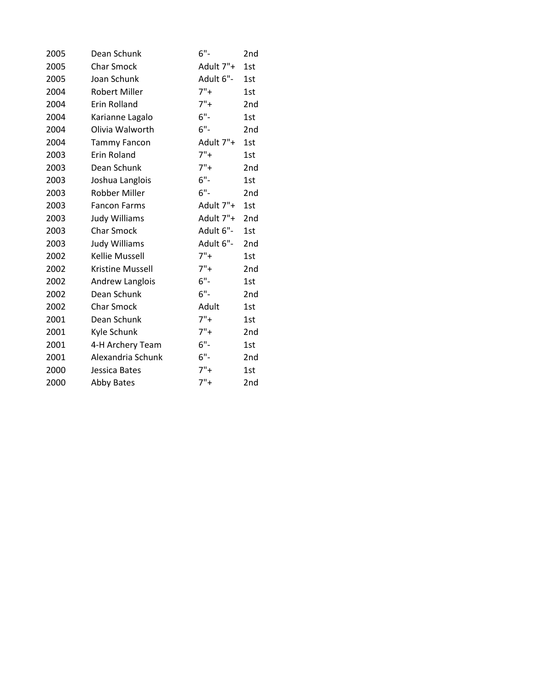| 2005 | Dean Schunk           | $6"$ -    | 2nd             |
|------|-----------------------|-----------|-----------------|
| 2005 | <b>Char Smock</b>     | Adult 7"+ | 1st             |
| 2005 | Joan Schunk           | Adult 6"- | 1st             |
| 2004 | <b>Robert Miller</b>  | $7"+$     | 1st             |
| 2004 | Erin Rolland          | $7"+$     | 2 <sub>nd</sub> |
| 2004 | Karianne Lagalo       | $6"$ -    | 1st             |
| 2004 | Olivia Walworth       | $6"$ -    | 2nd             |
| 2004 | <b>Tammy Fancon</b>   | Adult 7"+ | 1st             |
| 2003 | Erin Roland           | $7"+$     | 1st             |
| 2003 | Dean Schunk           | $7"+$     | 2 <sub>nd</sub> |
| 2003 | Joshua Langlois       | $6"$ -    | 1st             |
| 2003 | Robber Miller         | $6"$ -    | 2nd             |
| 2003 | <b>Fancon Farms</b>   | Adult 7"+ | 1st             |
| 2003 | <b>Judy Williams</b>  | Adult 7"+ | 2 <sub>nd</sub> |
| 2003 | <b>Char Smock</b>     | Adult 6"- | 1st             |
| 2003 | Judy Williams         | Adult 6"- | 2nd             |
| 2002 | <b>Kellie Mussell</b> | $7"+$     | 1st             |
| 2002 | Kristine Mussell      | $7"+$     | 2nd             |
| 2002 | Andrew Langlois       | $6"$ -    | 1st             |
| 2002 | Dean Schunk           | $6"$ -    | 2 <sub>nd</sub> |
| 2002 | <b>Char Smock</b>     | Adult     | 1st             |
| 2001 | Dean Schunk           | $7"+$     | 1st             |
| 2001 | Kyle Schunk           | $7"+$     | 2nd             |
| 2001 | 4-H Archery Team      | $6"$ -    | 1st             |
| 2001 | Alexandria Schunk     | $6"$ -    | 2 <sub>nd</sub> |
| 2000 | Jessica Bates         | $7"+$     | 1st             |
| 2000 | <b>Abby Bates</b>     | $7"+$     | 2nd             |
|      |                       |           |                 |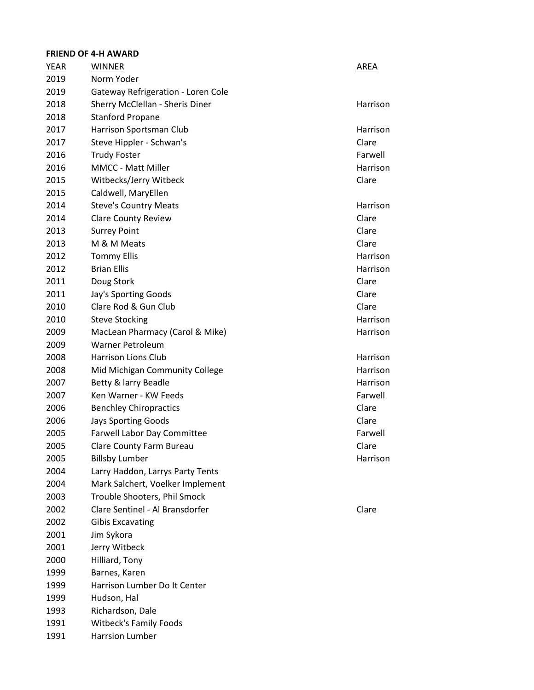# **FRIEND OF 4-H AWARD**

| YEAR | <b>WINNER</b>                      | AREA     |
|------|------------------------------------|----------|
| 2019 | Norm Yoder                         |          |
| 2019 | Gateway Refrigeration - Loren Cole |          |
| 2018 | Sherry McClellan - Sheris Diner    | Harrison |
| 2018 | <b>Stanford Propane</b>            |          |
| 2017 | Harrison Sportsman Club            | Harrison |
| 2017 | Steve Hippler - Schwan's           | Clare    |
| 2016 | <b>Trudy Foster</b>                | Farwell  |
| 2016 | <b>MMCC - Matt Miller</b>          | Harrison |
| 2015 | Witbecks/Jerry Witbeck             | Clare    |
| 2015 | Caldwell, MaryEllen                |          |
| 2014 | <b>Steve's Country Meats</b>       | Harrison |
| 2014 | <b>Clare County Review</b>         | Clare    |
| 2013 | <b>Surrey Point</b>                | Clare    |
| 2013 | M & M Meats                        | Clare    |
| 2012 | <b>Tommy Ellis</b>                 | Harrison |
| 2012 | <b>Brian Ellis</b>                 | Harrison |
| 2011 | Doug Stork                         | Clare    |
| 2011 | Jay's Sporting Goods               | Clare    |
| 2010 | Clare Rod & Gun Club               | Clare    |
| 2010 | <b>Steve Stocking</b>              | Harrison |
| 2009 | MacLean Pharmacy (Carol & Mike)    | Harrison |
| 2009 | <b>Warner Petroleum</b>            |          |
| 2008 | <b>Harrison Lions Club</b>         | Harrison |
| 2008 | Mid Michigan Community College     | Harrison |
| 2007 | Betty & larry Beadle               | Harrison |
| 2007 | Ken Warner - KW Feeds              | Farwell  |
| 2006 | <b>Benchley Chiropractics</b>      | Clare    |
| 2006 | <b>Jays Sporting Goods</b>         | Clare    |
| 2005 | Farwell Labor Day Committee        | Farwell  |
| 2005 | Clare County Farm Bureau           | Clare    |
| 2005 | <b>Billsby Lumber</b>              | Harrison |
| 2004 | Larry Haddon, Larrys Party Tents   |          |
| 2004 | Mark Salchert, Voelker Implement   |          |
| 2003 | Trouble Shooters, Phil Smock       |          |
| 2002 | Clare Sentinel - Al Bransdorfer    | Clare    |
| 2002 | <b>Gibis Excavating</b>            |          |
| 2001 | Jim Sykora                         |          |
| 2001 | Jerry Witbeck                      |          |
| 2000 | Hilliard, Tony                     |          |
| 1999 | Barnes, Karen                      |          |
| 1999 | Harrison Lumber Do It Center       |          |
| 1999 | Hudson, Hal                        |          |
| 1993 | Richardson, Dale                   |          |
| 1991 | <b>Witbeck's Family Foods</b>      |          |
| 1991 | <b>Harrsion Lumber</b>             |          |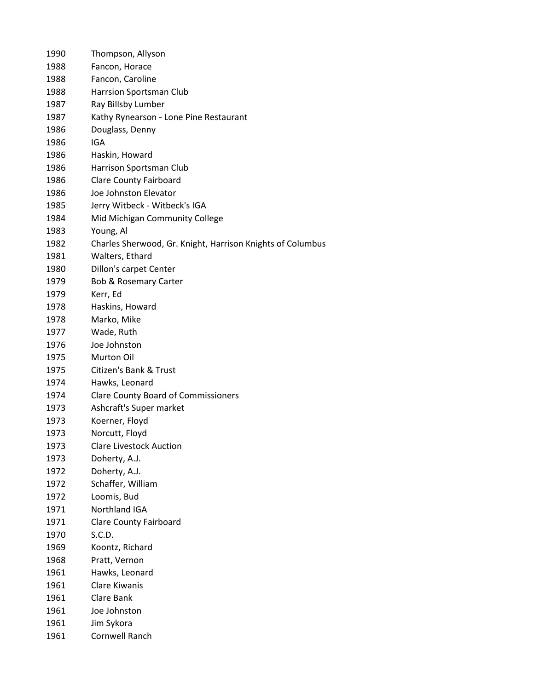| 1990 | Thompson, Allyson                                          |
|------|------------------------------------------------------------|
| 1988 | Fancon, Horace                                             |
| 1988 | Fancon, Caroline                                           |
| 1988 | Harrsion Sportsman Club                                    |
| 1987 | Ray Billsby Lumber                                         |
| 1987 | Kathy Rynearson - Lone Pine Restaurant                     |
| 1986 | Douglass, Denny                                            |
| 1986 | IGA                                                        |
| 1986 | Haskin, Howard                                             |
| 1986 | Harrison Sportsman Club                                    |
| 1986 | <b>Clare County Fairboard</b>                              |
| 1986 | Joe Johnston Elevator                                      |
| 1985 | Jerry Witbeck - Witbeck's IGA                              |
| 1984 | Mid Michigan Community College                             |
| 1983 | Young, Al                                                  |
| 1982 | Charles Sherwood, Gr. Knight, Harrison Knights of Columbus |
| 1981 | Walters, Ethard                                            |
| 1980 | Dillon's carpet Center                                     |
| 1979 | <b>Bob &amp; Rosemary Carter</b>                           |
| 1979 | Kerr, Ed                                                   |
| 1978 | Haskins, Howard                                            |
| 1978 | Marko, Mike                                                |
| 1977 | Wade, Ruth                                                 |
| 1976 | Joe Johnston                                               |
| 1975 | Murton Oil                                                 |
| 1975 | Citizen's Bank & Trust                                     |
| 1974 | Hawks, Leonard                                             |
| 1974 | <b>Clare County Board of Commissioners</b>                 |
| 1973 | Ashcraft's Super market                                    |
| 1973 | Koerner, Floyd                                             |
| 1973 | Norcutt, Floyd                                             |
| 1973 | <b>Clare Livestock Auction</b>                             |
| 1973 | Doherty, A.J.                                              |
| 1972 | Doherty, A.J.                                              |
| 1972 | Schaffer, William                                          |
| 1972 | Loomis, Bud                                                |
| 1971 | Northland IGA                                              |
| 1971 | <b>Clare County Fairboard</b>                              |
| 1970 | S.C.D.                                                     |
| 1969 | Koontz, Richard                                            |
| 1968 | Pratt, Vernon                                              |
| 1961 | Hawks, Leonard                                             |
| 1961 | <b>Clare Kiwanis</b>                                       |
| 1961 | Clare Bank                                                 |
| 1961 | Joe Johnston                                               |
| 1961 | Jim Sykora                                                 |
| 1961 | Cornwell Ranch                                             |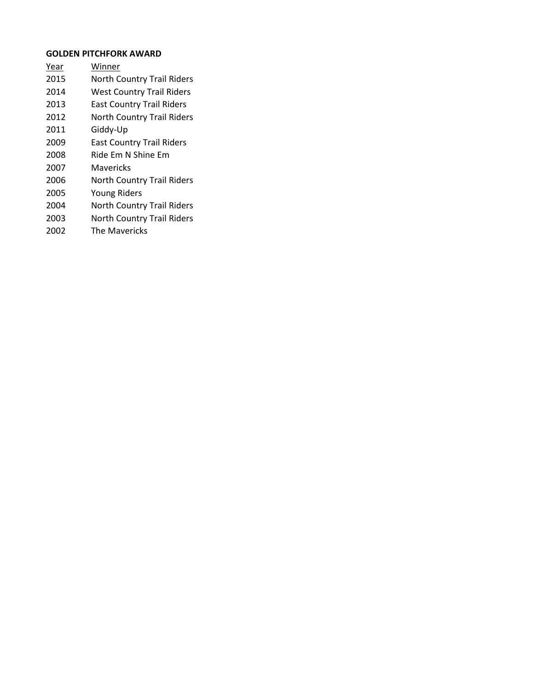# **GOLDEN PITCHFORK AWARD**

- Year Winner
- North Country Trail Riders
- West Country Trail Riders
- East Country Trail Riders
- North Country Trail Riders
- Giddy-Up
- East Country Trail Riders
- Ride Em N Shine Em
- Mavericks
- North Country Trail Riders
- Young Riders
- North Country Trail Riders
- North Country Trail Riders
- The Mavericks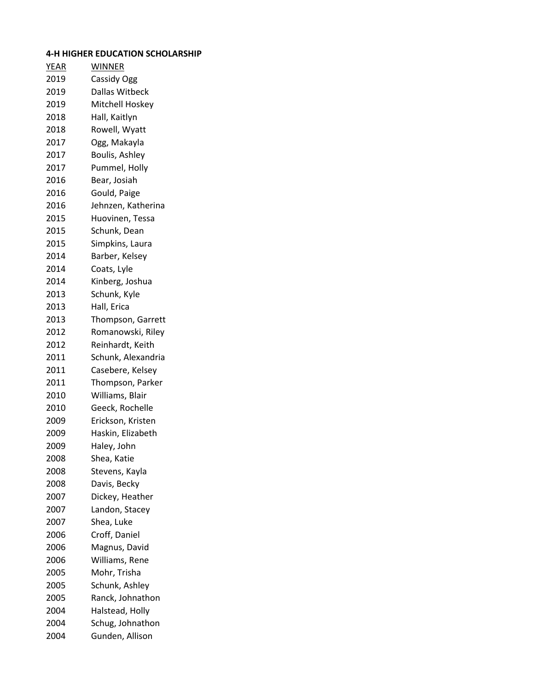# **4-H HIGHER EDUCATION SCHOLARSHIP**

| <b>WINNER</b>      |
|--------------------|
| Cassidy Ogg        |
| Dallas Witbeck     |
| Mitchell Hoskey    |
| Hall, Kaitlyn      |
| Rowell, Wyatt      |
| Ogg, Makayla       |
| Boulis, Ashley     |
| Pummel, Holly      |
| Bear, Josiah       |
| Gould, Paige       |
| Jehnzen, Katherina |
| Huovinen, Tessa    |
| Schunk, Dean       |
| Simpkins, Laura    |
| Barber, Kelsey     |
| Coats, Lyle        |
| Kinberg, Joshua    |
| Schunk, Kyle       |
| Hall, Erica        |
| Thompson, Garrett  |
| Romanowski, Riley  |
| Reinhardt, Keith   |
| Schunk, Alexandria |
| Casebere, Kelsey   |
| Thompson, Parker   |
| Williams, Blair    |
| Geeck, Rochelle    |
| Erickson, Kristen  |
| Haskin, Elizabeth  |
| Haley, John        |
| Shea, Katie        |
| Stevens, Kayla     |
| Davis, Becky       |
| Dickey, Heather    |
| Landon, Stacey     |
| Shea, Luke         |
| Croff, Daniel      |
| Magnus, David      |
| Williams, Rene     |
| Mohr, Trisha       |
| Schunk, Ashley     |
| Ranck, Johnathon   |
| Halstead, Holly    |
| Schug, Johnathon   |
| Gunden, Allison    |
|                    |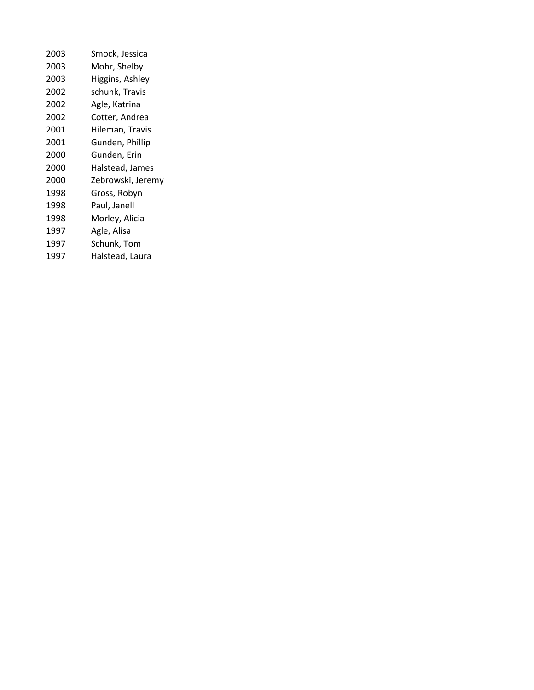| 2003 | Smock, Jessica    |
|------|-------------------|
| 2003 | Mohr, Shelby      |
| 2003 | Higgins, Ashley   |
| 2002 | schunk, Travis    |
| 2002 | Agle, Katrina     |
| 2002 | Cotter, Andrea    |
| 2001 | Hileman, Travis   |
| 2001 | Gunden, Phillip   |
| 2000 | Gunden, Erin      |
| 2000 | Halstead, James   |
| 2000 | Zebrowski, Jeremy |
| 1998 | Gross, Robyn      |
| 1998 | Paul, Janell      |
| 1998 | Morley, Alicia    |
| 1997 | Agle, Alisa       |
| 1997 | Schunk, Tom       |
| 1997 | Halstead, Laura   |
|      |                   |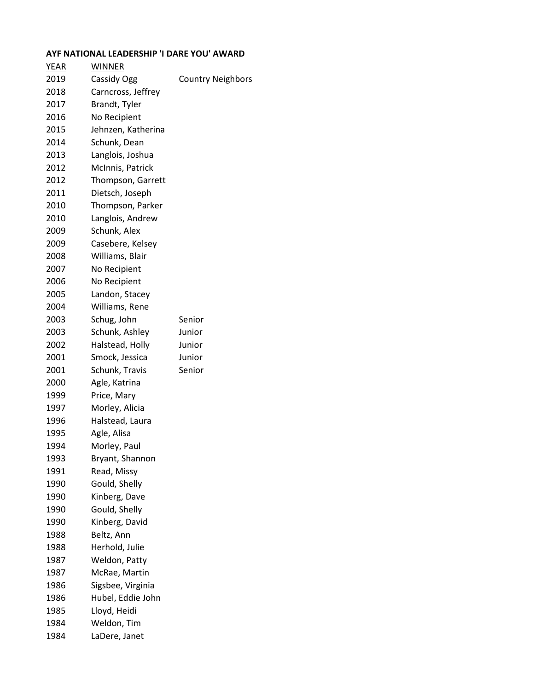## **AYF NATIONAL LEADERSHIP 'I DARE YOU' AWARD**

| <u>YEAR</u> | <b>WINNER</b>      |                          |
|-------------|--------------------|--------------------------|
| 2019        | Cassidy Ogg        | <b>Country Neighbors</b> |
| 2018        | Carncross, Jeffrey |                          |
| 2017        | Brandt, Tyler      |                          |
| 2016        | No Recipient       |                          |
| 2015        | Jehnzen, Katherina |                          |
| 2014        | Schunk, Dean       |                          |
| 2013        | Langlois, Joshua   |                          |
| 2012        | McInnis, Patrick   |                          |
| 2012        | Thompson, Garrett  |                          |
| 2011        | Dietsch, Joseph    |                          |
| 2010        | Thompson, Parker   |                          |
| 2010        | Langlois, Andrew   |                          |
| 2009        | Schunk, Alex       |                          |
| 2009        | Casebere, Kelsey   |                          |
| 2008        | Williams, Blair    |                          |
| 2007        | No Recipient       |                          |
| 2006        | No Recipient       |                          |
| 2005        | Landon, Stacey     |                          |
| 2004        | Williams, Rene     |                          |
| 2003        | Schug, John        | Senior                   |
| 2003        | Schunk, Ashley     | Junior                   |
| 2002        | Halstead, Holly    | Junior                   |
| 2001        | Smock, Jessica     | Junior                   |
| 2001        | Schunk, Travis     | Senior                   |
| 2000        | Agle, Katrina      |                          |
| 1999        | Price, Mary        |                          |
| 1997        | Morley, Alicia     |                          |
| 1996        | Halstead, Laura    |                          |
| 1995        | Agle, Alisa        |                          |
| 1994        | Morley, Paul       |                          |
| 1993        | Bryant, Shannon    |                          |
| 1991        | Read, Missy        |                          |
| 1990        | Gould, Shelly      |                          |
| 1990        | Kinberg, Dave      |                          |
| 1990        | Gould, Shelly      |                          |
| 1990        | Kinberg, David     |                          |
| 1988        | Beltz, Ann         |                          |
| 1988        | Herhold, Julie     |                          |
| 1987        | Weldon, Patty      |                          |
| 1987        | McRae, Martin      |                          |
| 1986        | Sigsbee, Virginia  |                          |
| 1986        | Hubel, Eddie John  |                          |
| 1985        | Lloyd, Heidi       |                          |
| 1984        | Weldon, Tim        |                          |
| 1984        | LaDere, Janet      |                          |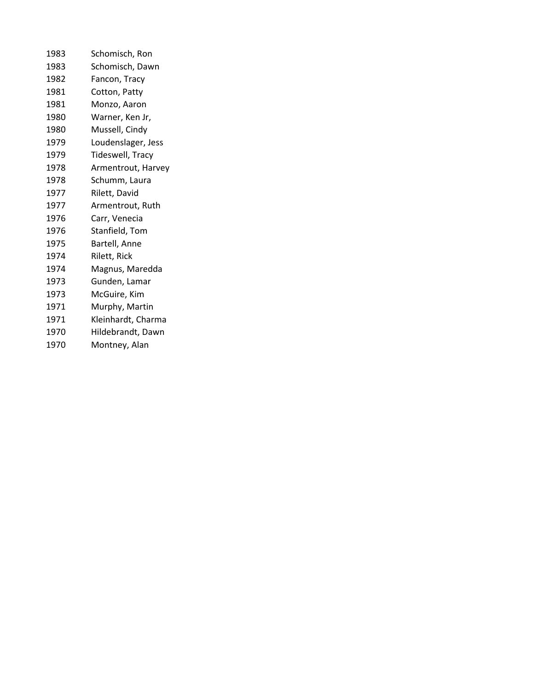| 1983 | Schomisch, Ron     |
|------|--------------------|
| 1983 | Schomisch, Dawn    |
| 1982 | Fancon, Tracy      |
| 1981 | Cotton, Patty      |
| 1981 | Monzo, Aaron       |
| 1980 | Warner, Ken Jr,    |
| 1980 | Mussell, Cindy     |
| 1979 | Loudenslager, Jess |
| 1979 | Tideswell, Tracy   |
| 1978 | Armentrout, Harvey |
| 1978 | Schumm, Laura      |
| 1977 | Rilett, David      |
| 1977 | Armentrout, Ruth   |
| 1976 | Carr, Venecia      |
| 1976 | Stanfield, Tom     |
| 1975 | Bartell, Anne      |
| 1974 | Rilett, Rick       |
| 1974 | Magnus, Maredda    |
| 1973 | Gunden, Lamar      |
| 1973 | McGuire, Kim       |
| 1971 | Murphy, Martin     |
| 1971 | Kleinhardt, Charma |
| 1970 | Hildebrandt, Dawn  |
| 1970 | Montney, Alan      |
|      |                    |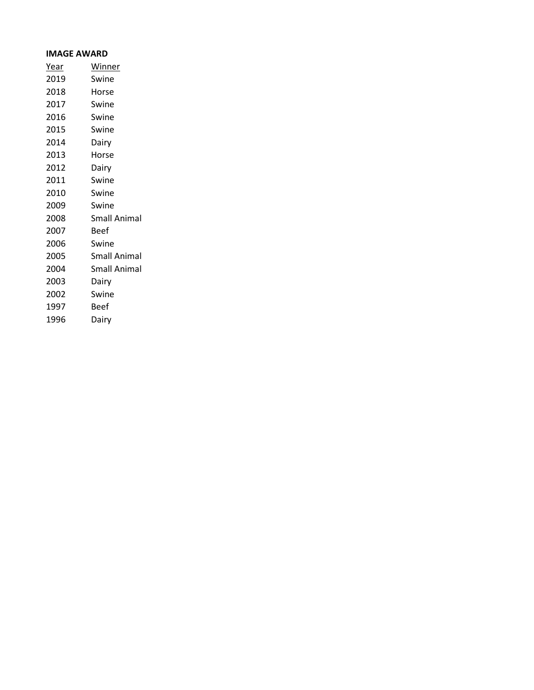#### **IMAGE AWARD**

| <u>Year</u> | <b>Winner</b>       |
|-------------|---------------------|
| 2019        | Swine               |
| 2018        | Horse               |
| 2017        | Swine               |
| 2016        | Swine               |
| 2015        | Swine               |
| 2014        | Dairy               |
| 2013        | Horse               |
| 2012        | Dairy               |
| 2011        | Swine               |
| 2010        | Swine               |
| 2009        | Swine               |
| 2008        | <b>Small Animal</b> |
| 2007        | Beef                |
| 2006        | Swine               |
| 2005        | Small Animal        |
| 2004        | <b>Small Animal</b> |
| 2003        | Dairy               |
| 2002        | Swine               |
| 1997        | Beef                |
| 1996        | Dairy               |
|             |                     |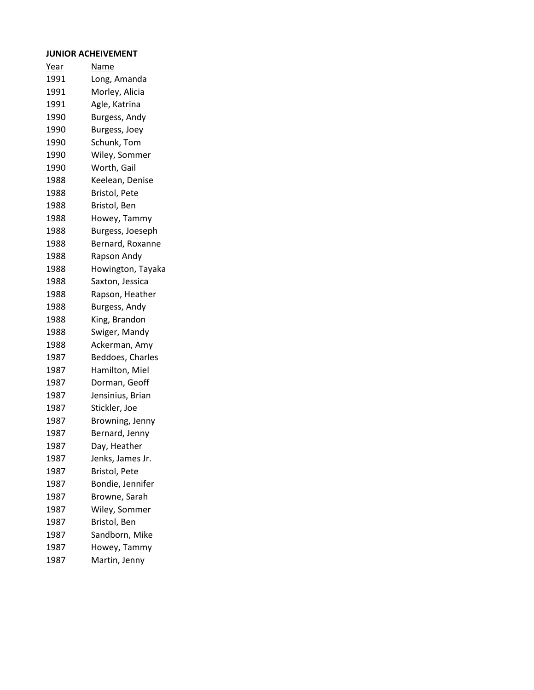#### **JUNIOR ACHEIVEMENT**

Year Name Long, Amanda Morley, Alicia Agle, Katrina Burgess, Andy Burgess, Joey Schunk, Tom Wiley, Sommer Worth, Gail Keelean, Denise Bristol, Pete Bristol, Ben Howey, Tammy Burgess, Joeseph Bernard, Roxanne Rapson Andy Howington, Tayaka Saxton, Jessica Rapson, Heather Burgess, Andy King, Brandon Swiger, Mandy Ackerman, Amy Beddoes, Charles Hamilton, Miel Dorman, Geoff Jensinius, Brian Stickler, Joe Browning, Jenny Bernard, Jenny Day, Heather Jenks, James Jr. Bristol, Pete Bondie, Jennifer Browne, Sarah Wiley, Sommer Bristol, Ben Sandborn, Mike Howey, Tammy Martin, Jenny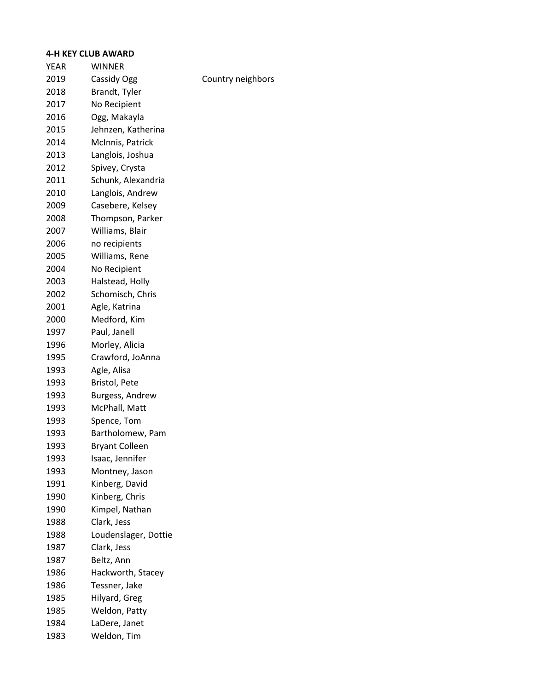#### **4-H KEY CLUB AWARD**

| <u>YEAR</u> | WINNER                |                   |
|-------------|-----------------------|-------------------|
| 2019        | Cassidy Ogg           | Country neighbors |
| 2018        | Brandt, Tyler         |                   |
| 2017        | No Recipient          |                   |
| 2016        | Ogg, Makayla          |                   |
| 2015        | Jehnzen, Katherina    |                   |
| 2014        | McInnis, Patrick      |                   |
| 2013        | Langlois, Joshua      |                   |
| 2012        | Spivey, Crysta        |                   |
| 2011        | Schunk, Alexandria    |                   |
| 2010        | Langlois, Andrew      |                   |
| 2009        | Casebere, Kelsey      |                   |
| 2008        | Thompson, Parker      |                   |
| 2007        | Williams, Blair       |                   |
| 2006        | no recipients         |                   |
| 2005        | Williams, Rene        |                   |
| 2004        | No Recipient          |                   |
| 2003        | Halstead, Holly       |                   |
| 2002        | Schomisch, Chris      |                   |
| 2001        | Agle, Katrina         |                   |
| 2000        | Medford, Kim          |                   |
| 1997        | Paul, Janell          |                   |
| 1996        | Morley, Alicia        |                   |
| 1995        | Crawford, JoAnna      |                   |
| 1993        | Agle, Alisa           |                   |
| 1993        | Bristol, Pete         |                   |
| 1993        | Burgess, Andrew       |                   |
| 1993        | McPhall, Matt         |                   |
| 1993        | Spence, Tom           |                   |
| 1993        | Bartholomew, Pam      |                   |
| 1993        | <b>Bryant Colleen</b> |                   |
| 1993        | Isaac, Jennifer       |                   |
| 1993        | Montney, Jason        |                   |
| 1991        | Kinberg, David        |                   |
| 1990        | Kinberg, Chris        |                   |
| 1990        | Kimpel, Nathan        |                   |
| 1988        | Clark, Jess           |                   |
| 1988        | Loudenslager, Dottie  |                   |
| 1987        | Clark, Jess           |                   |
| 1987        | Beltz, Ann            |                   |
| 1986        | Hackworth, Stacey     |                   |
| 1986        | Tessner, Jake         |                   |
| 1985        | Hilyard, Greg         |                   |
| 1985        | Weldon, Patty         |                   |
| 1984        | LaDere, Janet         |                   |
| 1983        | Weldon, Tim           |                   |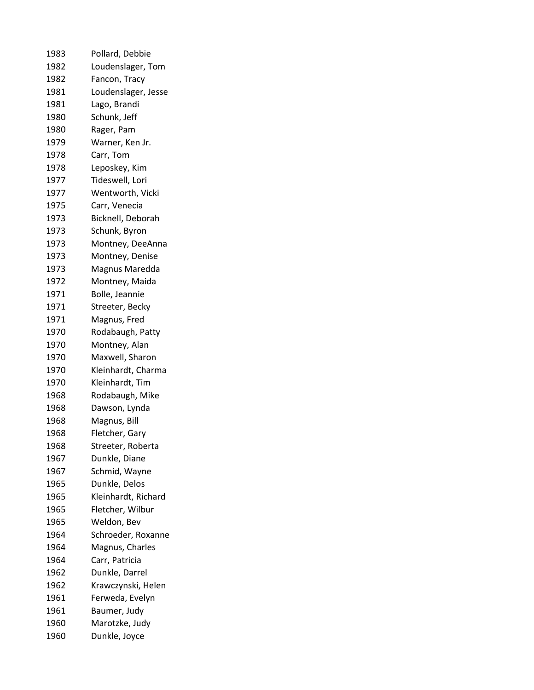| 1983 | Pollard, Debbie     |
|------|---------------------|
| 1982 | Loudenslager, Tom   |
| 1982 | Fancon, Tracy       |
| 1981 | Loudenslager, Jesse |
| 1981 | Lago, Brandi        |
| 1980 | Schunk, Jeff        |
| 1980 | Rager, Pam          |
| 1979 | Warner, Ken Jr.     |
| 1978 | Carr, Tom           |
| 1978 | Leposkey, Kim       |
| 1977 | Tideswell, Lori     |
| 1977 | Wentworth, Vicki    |
| 1975 | Carr, Venecia       |
| 1973 | Bicknell, Deborah   |
| 1973 | Schunk, Byron       |
| 1973 | Montney, DeeAnna    |
| 1973 | Montney, Denise     |
| 1973 | Magnus Maredda      |
| 1972 | Montney, Maida      |
| 1971 | Bolle, Jeannie      |
| 1971 | Streeter, Becky     |
| 1971 | Magnus, Fred        |
| 1970 | Rodabaugh, Patty    |
| 1970 | Montney, Alan       |
| 1970 | Maxwell, Sharon     |
| 1970 | Kleinhardt, Charma  |
| 1970 | Kleinhardt, Tim     |
| 1968 | Rodabaugh, Mike     |
| 1968 | Dawson, Lynda       |
| 1968 | Magnus, Bill        |
| 1968 | Fletcher, Gary      |
| 1968 | Streeter, Roberta   |
| 1967 | Dunkle, Diane       |
| 1967 | Schmid, Wayne       |
| 1965 | Dunkle, Delos       |
| 1965 | Kleinhardt, Richard |
| 1965 | Fletcher, Wilbur    |
| 1965 | Weldon, Bev         |
| 1964 | Schroeder, Roxanne  |
| 1964 | Magnus, Charles     |
| 1964 | Carr, Patricia      |
| 1962 | Dunkle, Darrel      |
| 1962 | Krawczynski, Helen  |
| 1961 | Ferweda, Evelyn     |
| 1961 | Baumer, Judy        |
| 1960 | Marotzke, Judy      |
| 1960 | Dunkle, Joyce       |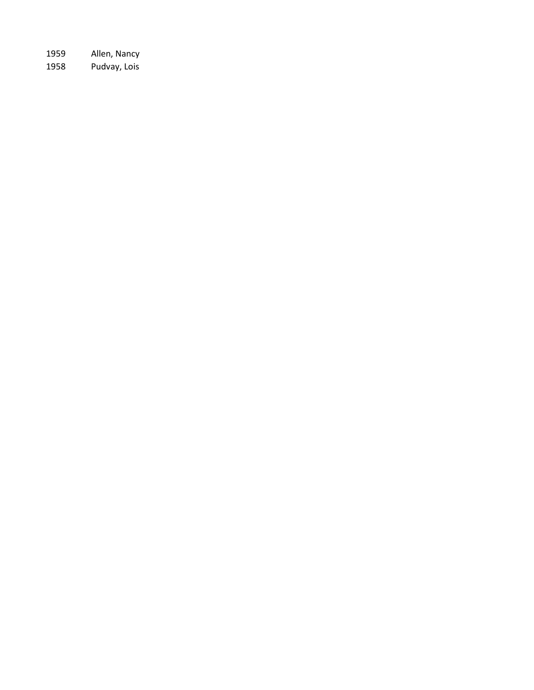Allen, Nancy Pudvay, Lois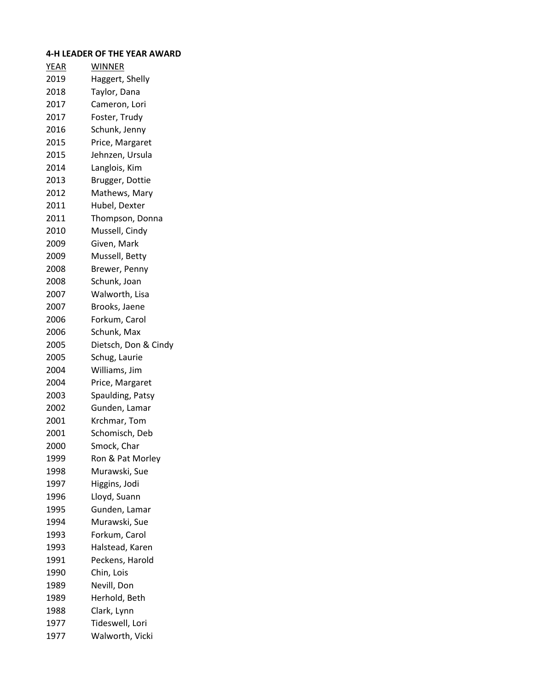# **4-H LEADER OF THE YEAR AWARD**

| <b>YEAR</b> | <u>WINNER</u>        |
|-------------|----------------------|
| 2019        | Haggert, Shelly      |
| 2018        | Taylor, Dana         |
| 2017        | Cameron, Lori        |
| 2017        | Foster, Trudy        |
| 2016        | Schunk, Jenny        |
| 2015        | Price, Margaret      |
| 2015        | Jehnzen, Ursula      |
| 2014        | Langlois, Kim        |
| 2013        | Brugger, Dottie      |
| 2012        | Mathews, Mary        |
| 2011        | Hubel, Dexter        |
| 2011        | Thompson, Donna      |
| 2010        | Mussell, Cindy       |
| 2009        | Given, Mark          |
| 2009        | Mussell, Betty       |
| 2008        | Brewer, Penny        |
| 2008        | Schunk, Joan         |
| 2007        | Walworth, Lisa       |
| 2007        | Brooks, Jaene        |
| 2006        | Forkum, Carol        |
| 2006        | Schunk, Max          |
| 2005        | Dietsch, Don & Cindy |
| 2005        | Schug, Laurie        |
| 2004        | Williams, Jim        |
| 2004        | Price, Margaret      |
| 2003        | Spaulding, Patsy     |
| 2002        | Gunden, Lamar        |
| 2001        | Krchmar, Tom         |
| 2001        | Schomisch, Deb       |
| 2000        | Smock, Char          |
| 1999        | Ron & Pat Morley     |
| 1998        | Murawski, Sue        |
| 1997        | Higgins, Jodi        |
| 1996        | Lloyd, Suann         |
| 1995        | Gunden, Lamar        |
| 1994        | Murawski, Sue        |
| 1993        | Forkum, Carol        |
| 1993        | Halstead, Karen      |
| 1991        | Peckens, Harold      |
| 1990        | Chin, Lois           |
| 1989        | Nevill, Don          |
| 1989        | Herhold, Beth        |
| 1988        | Clark, Lynn          |
| 1977        | Tideswell, Lori      |
| 1977        | Walworth, Vicki      |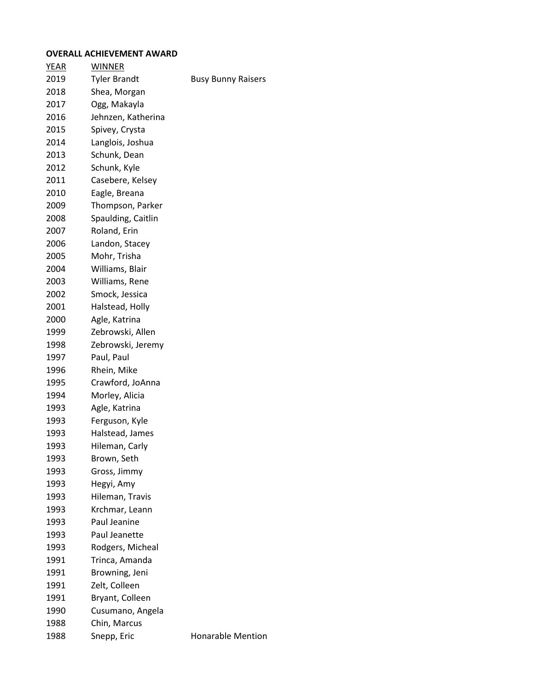#### **OVERALL ACHIEVEMENT AWARD**

| <b>YEAR</b> | <b>WINNER</b>       |                           |
|-------------|---------------------|---------------------------|
| 2019        | <b>Tyler Brandt</b> | <b>Busy Bunny Raisers</b> |
| 2018        | Shea, Morgan        |                           |
| 2017        | Ogg, Makayla        |                           |
| 2016        | Jehnzen, Katherina  |                           |
| 2015        | Spivey, Crysta      |                           |
| 2014        | Langlois, Joshua    |                           |
| 2013        | Schunk, Dean        |                           |
| 2012        | Schunk, Kyle        |                           |
| 2011        | Casebere, Kelsey    |                           |
| 2010        | Eagle, Breana       |                           |
| 2009        | Thompson, Parker    |                           |
| 2008        | Spaulding, Caitlin  |                           |
| 2007        | Roland, Erin        |                           |
| 2006        | Landon, Stacey      |                           |
| 2005        | Mohr, Trisha        |                           |
| 2004        | Williams, Blair     |                           |
| 2003        | Williams, Rene      |                           |
| 2002        | Smock, Jessica      |                           |
| 2001        | Halstead, Holly     |                           |
| 2000        | Agle, Katrina       |                           |
| 1999        | Zebrowski, Allen    |                           |
| 1998        | Zebrowski, Jeremy   |                           |
| 1997        | Paul, Paul          |                           |
| 1996        | Rhein, Mike         |                           |
| 1995        | Crawford, JoAnna    |                           |
| 1994        | Morley, Alicia      |                           |
| 1993        | Agle, Katrina       |                           |
| 1993        | Ferguson, Kyle      |                           |
| 1993        | Halstead, James     |                           |
| 1993        | Hileman, Carly      |                           |
| 1993        | Brown, Seth         |                           |
| 1993        | Gross, Jimmy        |                           |
| 1993        | Hegyi, Amy          |                           |
| 1993        | Hileman, Travis     |                           |
| 1993        | Krchmar, Leann      |                           |
| 1993        | Paul Jeanine        |                           |
| 1993        | Paul Jeanette       |                           |
| 1993        | Rodgers, Micheal    |                           |
| 1991        | Trinca, Amanda      |                           |
| 1991        | Browning, Jeni      |                           |
| 1991        | Zelt, Colleen       |                           |
| 1991        | Bryant, Colleen     |                           |
| 1990        | Cusumano, Angela    |                           |
| 1988        | Chin, Marcus        |                           |
| 1988        | Snepp, Eric         | <b>Honarable Mention</b>  |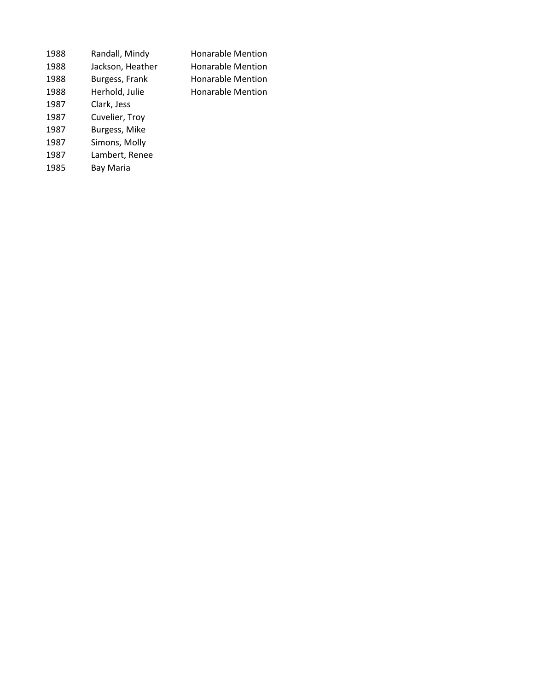| 1988 | Randall, Mindy   | <b>Honarable Mention</b> |
|------|------------------|--------------------------|
| 1988 | Jackson, Heather | <b>Honarable Mention</b> |
| 1988 | Burgess, Frank   | <b>Honarable Mention</b> |
| 1988 | Herhold, Julie   | <b>Honarable Mention</b> |
| 1987 | Clark, Jess      |                          |
| 1987 | Cuvelier, Troy   |                          |
| 1987 | Burgess, Mike    |                          |
| 1987 | Simons, Molly    |                          |
| 1987 | Lambert, Renee   |                          |
| 1985 | Bay Maria        |                          |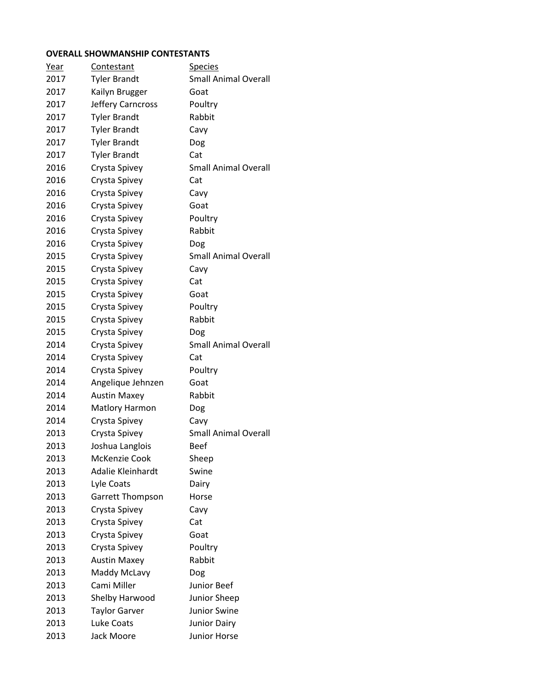## **OVERALL SHOWMANSHIP CONTESTANTS**

| Year | Contestant            | <b>Species</b>              |
|------|-----------------------|-----------------------------|
| 2017 | <b>Tyler Brandt</b>   | <b>Small Animal Overall</b> |
| 2017 | Kailyn Brugger        | Goat                        |
| 2017 | Jeffery Carncross     | Poultry                     |
| 2017 | <b>Tyler Brandt</b>   | Rabbit                      |
| 2017 | <b>Tyler Brandt</b>   | Cavy                        |
| 2017 | <b>Tyler Brandt</b>   | Dog                         |
| 2017 | <b>Tyler Brandt</b>   | Cat                         |
| 2016 | Crysta Spivey         | Small Animal Overall        |
| 2016 | Crysta Spivey         | Cat                         |
| 2016 | Crysta Spivey         | Cavy                        |
| 2016 | Crysta Spivey         | Goat                        |
| 2016 | Crysta Spivey         | Poultry                     |
| 2016 | Crysta Spivey         | Rabbit                      |
| 2016 | Crysta Spivey         | Dog                         |
| 2015 | Crysta Spivey         | <b>Small Animal Overall</b> |
| 2015 | Crysta Spivey         | Cavy                        |
| 2015 | Crysta Spivey         | Cat                         |
| 2015 | Crysta Spivey         | Goat                        |
| 2015 | Crysta Spivey         | Poultry                     |
| 2015 | Crysta Spivey         | Rabbit                      |
| 2015 | Crysta Spivey         | Dog                         |
| 2014 | Crysta Spivey         | <b>Small Animal Overall</b> |
| 2014 | Crysta Spivey         | Cat                         |
| 2014 | Crysta Spivey         | Poultry                     |
| 2014 | Angelique Jehnzen     | Goat                        |
| 2014 | <b>Austin Maxey</b>   | Rabbit                      |
| 2014 | <b>Matlory Harmon</b> | Dog                         |
| 2014 | Crysta Spivey         | Cavy                        |
| 2013 | Crysta Spivey         | <b>Small Animal Overall</b> |
| 2013 | Joshua Langlois       | <b>Beef</b>                 |
| 2013 | McKenzie Cook         | Sheep                       |
| 2013 | Adalie Kleinhardt     | Swine                       |
| 2013 | Lyle Coats            | Dairy                       |
| 2013 | Garrett Thompson      | Horse                       |
| 2013 | Crysta Spivey         | Cavy                        |
| 2013 | Crysta Spivey         | Cat                         |
| 2013 | Crysta Spivey         | Goat                        |
| 2013 | Crysta Spivey         | Poultry                     |
| 2013 | <b>Austin Maxey</b>   | Rabbit                      |
| 2013 | Maddy McLavy          | Dog                         |
| 2013 | Cami Miller           | <b>Junior Beef</b>          |
| 2013 | Shelby Harwood        | Junior Sheep                |
| 2013 | <b>Taylor Garver</b>  | <b>Junior Swine</b>         |
| 2013 | Luke Coats            | <b>Junior Dairy</b>         |
| 2013 | Jack Moore            | Junior Horse                |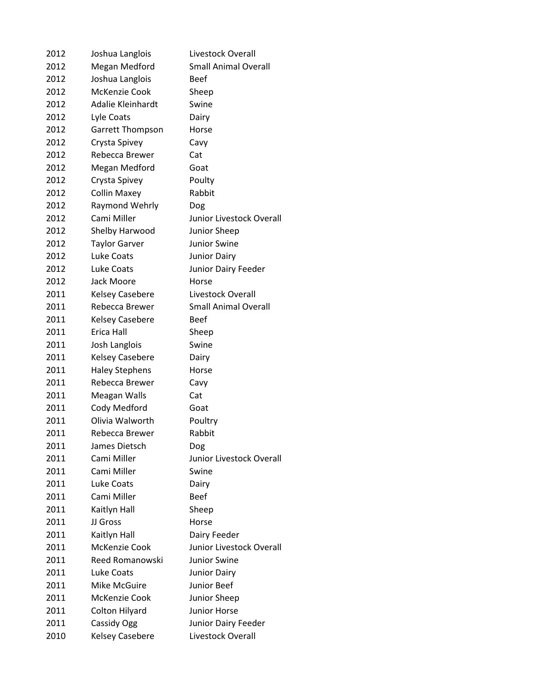| 2012 | Joshua Langlois         | Livestock Overall           |
|------|-------------------------|-----------------------------|
| 2012 | Megan Medford           | <b>Small Animal Overall</b> |
| 2012 | Joshua Langlois         | <b>Beef</b>                 |
| 2012 | McKenzie Cook           | Sheep                       |
| 2012 | Adalie Kleinhardt       | Swine                       |
| 2012 | Lyle Coats              | Dairy                       |
| 2012 | <b>Garrett Thompson</b> | Horse                       |
| 2012 | Crysta Spivey           | Cavy                        |
| 2012 | Rebecca Brewer          | Cat                         |
| 2012 | Megan Medford           | Goat                        |
| 2012 | Crysta Spivey           | Poulty                      |
| 2012 | <b>Collin Maxey</b>     | Rabbit                      |
| 2012 | Raymond Wehrly          | Dog                         |
| 2012 | Cami Miller             | Junior Livestock Overall    |
| 2012 | Shelby Harwood          | Junior Sheep                |
| 2012 | <b>Taylor Garver</b>    | Junior Swine                |
| 2012 | Luke Coats              | <b>Junior Dairy</b>         |
| 2012 | Luke Coats              | Junior Dairy Feeder         |
| 2012 | Jack Moore              | Horse                       |
| 2011 | <b>Kelsey Casebere</b>  | Livestock Overall           |
| 2011 | Rebecca Brewer          | <b>Small Animal Overall</b> |
| 2011 | <b>Kelsey Casebere</b>  | <b>Beef</b>                 |
| 2011 | Erica Hall              | Sheep                       |
| 2011 | Josh Langlois           | Swine                       |
| 2011 | <b>Kelsey Casebere</b>  | Dairy                       |
| 2011 | <b>Haley Stephens</b>   | Horse                       |
| 2011 | Rebecca Brewer          | Cavy                        |
| 2011 | Meagan Walls            | Cat                         |
| 2011 | Cody Medford            | Goat                        |
| 2011 | Olivia Walworth         | Poultry                     |
| 2011 | Rebecca Brewer          | Rabbit                      |
| 2011 | James Dietsch           | Dog                         |
| 2011 | Cami Miller             | Junior Livestock Overall    |
| 2011 | Cami Miller             | Swine                       |
| 2011 | Luke Coats              | Dairy                       |
| 2011 | Cami Miller             | <b>Beef</b>                 |
| 2011 | Kaitlyn Hall            | Sheep                       |
| 2011 | JJ Gross                | Horse                       |
| 2011 | Kaitlyn Hall            | Dairy Feeder                |
| 2011 | McKenzie Cook           | Junior Livestock Overall    |
| 2011 | Reed Romanowski         | <b>Junior Swine</b>         |
| 2011 | Luke Coats              | <b>Junior Dairy</b>         |
| 2011 | Mike McGuire            | Junior Beef                 |
| 2011 | McKenzie Cook           | Junior Sheep                |
| 2011 | Colton Hilyard          | <b>Junior Horse</b>         |
| 2011 | Cassidy Ogg             | Junior Dairy Feeder         |
| 2010 | <b>Kelsey Casebere</b>  | Livestock Overall           |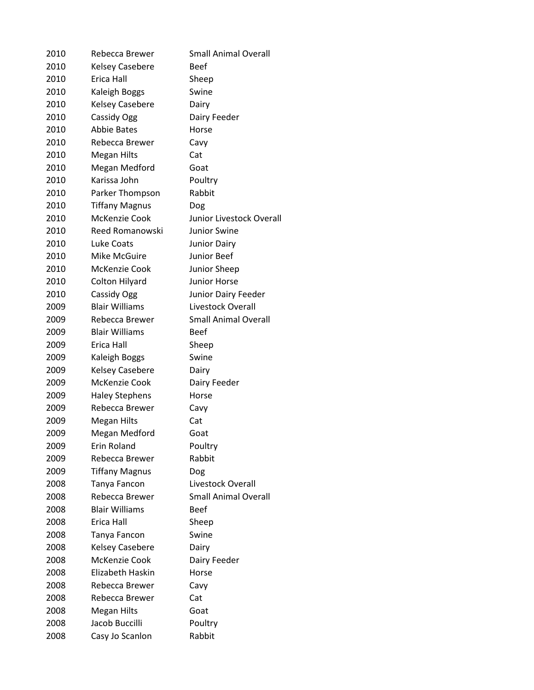| 2010 | Rebecca Brewer         | <b>Small Animal Overall</b> |
|------|------------------------|-----------------------------|
| 2010 | <b>Kelsey Casebere</b> | <b>Beef</b>                 |
| 2010 | Erica Hall             | Sheep                       |
| 2010 | Kaleigh Boggs          | Swine                       |
| 2010 | Kelsey Casebere        | Dairy                       |
| 2010 | Cassidy Ogg            | Dairy Feeder                |
| 2010 | <b>Abbie Bates</b>     | Horse                       |
| 2010 | Rebecca Brewer         | Cavy                        |
| 2010 | <b>Megan Hilts</b>     | Cat                         |
| 2010 | Megan Medford          | Goat                        |
| 2010 | Karissa John           | Poultry                     |
| 2010 | Parker Thompson        | Rabbit                      |
| 2010 | <b>Tiffany Magnus</b>  | Dog                         |
| 2010 | McKenzie Cook          | Junior Livestock Overall    |
| 2010 | Reed Romanowski        | <b>Junior Swine</b>         |
| 2010 | Luke Coats             | <b>Junior Dairy</b>         |
| 2010 | Mike McGuire           | Junior Beef                 |
| 2010 | McKenzie Cook          | Junior Sheep                |
| 2010 | Colton Hilyard         | <b>Junior Horse</b>         |
| 2010 | Cassidy Ogg            | Junior Dairy Feeder         |
| 2009 | <b>Blair Williams</b>  | Livestock Overall           |
| 2009 | Rebecca Brewer         | <b>Small Animal Overall</b> |
| 2009 | <b>Blair Williams</b>  | <b>Beef</b>                 |
| 2009 | Erica Hall             | Sheep                       |
| 2009 | Kaleigh Boggs          | Swine                       |
| 2009 | <b>Kelsey Casebere</b> | Dairy                       |
| 2009 | McKenzie Cook          | Dairy Feeder                |
| 2009 | <b>Haley Stephens</b>  | Horse                       |
| 2009 | Rebecca Brewer         | Cavy                        |
| 2009 | Megan Hilts            | Cat                         |
| 2009 | Megan Medford          | Goat                        |
| 2009 | Erin Roland            | Poultry                     |
| 2009 | Rebecca Brewer         | Rabbit                      |
| 2009 | <b>Tiffany Magnus</b>  | Dog                         |
| 2008 | Tanya Fancon           | Livestock Overall           |
| 2008 | Rebecca Brewer         | <b>Small Animal Overall</b> |
| 2008 | <b>Blair Williams</b>  | <b>Beef</b>                 |
| 2008 | Erica Hall             | Sheep                       |
| 2008 | Tanya Fancon           | Swine                       |
| 2008 | <b>Kelsey Casebere</b> | Dairy                       |
| 2008 | McKenzie Cook          | Dairy Feeder                |
| 2008 | Elizabeth Haskin       | Horse                       |
| 2008 | Rebecca Brewer         | Cavy                        |
| 2008 | Rebecca Brewer         | Cat                         |
| 2008 | <b>Megan Hilts</b>     | Goat                        |
| 2008 | Jacob Buccilli         | Poultry                     |
| 2008 | Casy Jo Scanlon        | Rabbit                      |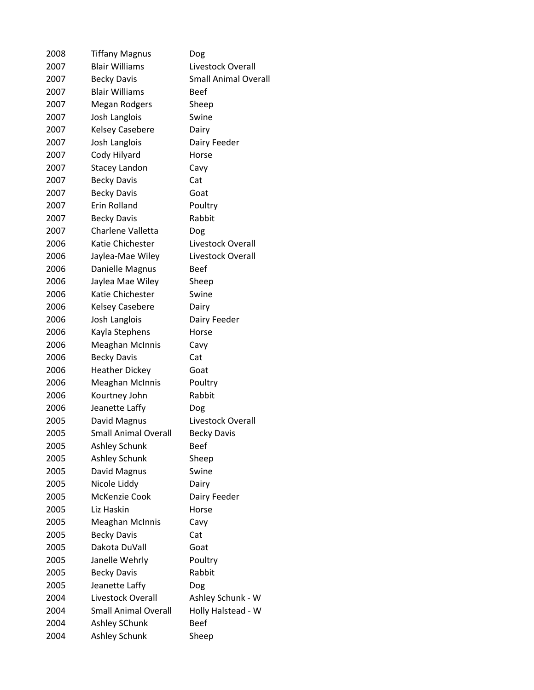| 2008 | <b>Tiffany Magnus</b>       | Dog                         |
|------|-----------------------------|-----------------------------|
| 2007 | <b>Blair Williams</b>       | Livestock Overall           |
| 2007 | <b>Becky Davis</b>          | <b>Small Animal Overall</b> |
| 2007 | <b>Blair Williams</b>       | Beef                        |
| 2007 | Megan Rodgers               | Sheep                       |
| 2007 | Josh Langlois               | Swine                       |
| 2007 | <b>Kelsey Casebere</b>      | Dairy                       |
| 2007 | Josh Langlois               | Dairy Feeder                |
| 2007 | Cody Hilyard                | Horse                       |
| 2007 | <b>Stacey Landon</b>        | Cavy                        |
| 2007 | <b>Becky Davis</b>          | Cat                         |
| 2007 | <b>Becky Davis</b>          | Goat                        |
| 2007 | Erin Rolland                | Poultry                     |
| 2007 | <b>Becky Davis</b>          | Rabbit                      |
| 2007 | Charlene Valletta           | Dog                         |
| 2006 | Katie Chichester            | Livestock Overall           |
| 2006 | Jaylea-Mae Wiley            | Livestock Overall           |
| 2006 | Danielle Magnus             | <b>Beef</b>                 |
| 2006 | Jaylea Mae Wiley            | Sheep                       |
| 2006 | Katie Chichester            | Swine                       |
| 2006 | <b>Kelsey Casebere</b>      | Dairy                       |
| 2006 | Josh Langlois               | Dairy Feeder                |
| 2006 | Kayla Stephens              | Horse                       |
| 2006 | <b>Meaghan McInnis</b>      | Cavy                        |
| 2006 | <b>Becky Davis</b>          | Cat                         |
| 2006 | <b>Heather Dickey</b>       | Goat                        |
| 2006 | <b>Meaghan McInnis</b>      | Poultry                     |
| 2006 | Kourtney John               | Rabbit                      |
| 2006 | Jeanette Laffy              | Dog                         |
| 2005 | David Magnus                | Livestock Overall           |
| 2005 | <b>Small Animal Overall</b> | <b>Becky Davis</b>          |
| 2005 | Ashley Schunk               | <b>Beef</b>                 |
| 2005 | Ashley Schunk               | Sheep                       |
| 2005 | David Magnus                | Swine                       |
| 2005 | Nicole Liddy                | Dairy                       |
| 2005 | McKenzie Cook               | Dairy Feeder                |
| 2005 | Liz Haskin                  | Horse                       |
| 2005 | <b>Meaghan McInnis</b>      | Cavy                        |
| 2005 | <b>Becky Davis</b>          | Cat                         |
| 2005 | Dakota DuVall               | Goat                        |
| 2005 | Janelle Wehrly              | Poultry                     |
| 2005 | <b>Becky Davis</b>          | Rabbit                      |
| 2005 | Jeanette Laffy              | Dog                         |
| 2004 | Livestock Overall           | Ashley Schunk - W           |
| 2004 | <b>Small Animal Overall</b> | Holly Halstead - W          |
| 2004 | Ashley SChunk               | <b>Beef</b>                 |
| 2004 | Ashley Schunk               | Sheep                       |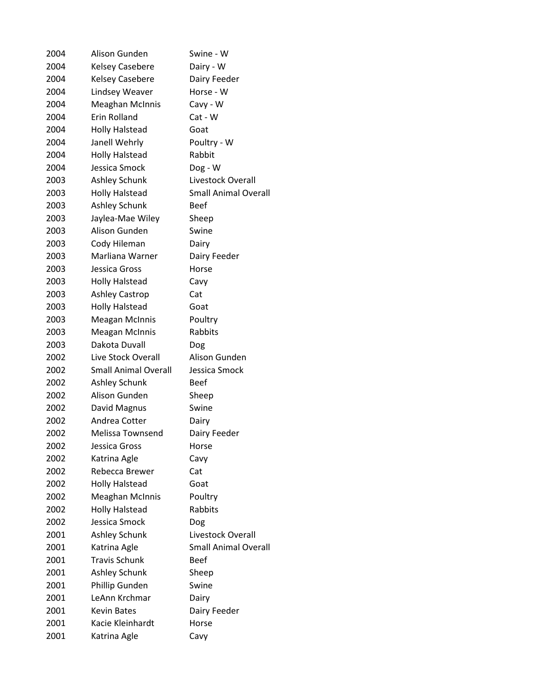| 2004 | Alison Gunden               | Swine - W                   |
|------|-----------------------------|-----------------------------|
| 2004 | <b>Kelsey Casebere</b>      | Dairy - W                   |
| 2004 | <b>Kelsey Casebere</b>      | Dairy Feeder                |
| 2004 | Lindsey Weaver              | Horse - W                   |
| 2004 | Meaghan McInnis             | Cavy - W                    |
| 2004 | <b>Erin Rolland</b>         | Cat - W                     |
| 2004 | <b>Holly Halstead</b>       | Goat                        |
| 2004 | Janell Wehrly               | Poultry - W                 |
| 2004 | <b>Holly Halstead</b>       | Rabbit                      |
| 2004 | Jessica Smock               | Dog - W                     |
| 2003 | Ashley Schunk               | Livestock Overall           |
| 2003 | <b>Holly Halstead</b>       | <b>Small Animal Overall</b> |
| 2003 | Ashley Schunk               | <b>Beef</b>                 |
| 2003 | Jaylea-Mae Wiley            | Sheep                       |
| 2003 | Alison Gunden               | Swine                       |
| 2003 | Cody Hileman                | Dairy                       |
| 2003 | Marliana Warner             | Dairy Feeder                |
| 2003 | Jessica Gross               | Horse                       |
| 2003 | <b>Holly Halstead</b>       | Cavy                        |
| 2003 | <b>Ashley Castrop</b>       | Cat                         |
| 2003 | <b>Holly Halstead</b>       | Goat                        |
| 2003 | <b>Meagan McInnis</b>       | Poultry                     |
| 2003 | <b>Meagan McInnis</b>       | Rabbits                     |
| 2003 | Dakota Duvall               | Dog                         |
| 2002 | Live Stock Overall          | Alison Gunden               |
| 2002 | <b>Small Animal Overall</b> | Jessica Smock               |
| 2002 | Ashley Schunk               | <b>Beef</b>                 |
| 2002 | Alison Gunden               | Sheep                       |
| 2002 | David Magnus                | Swine                       |
| 2002 | Andrea Cotter               | Dairy                       |
| 2002 | <b>Melissa Townsend</b>     | Dairy Feeder                |
| 2002 | Jessica Gross               | Horse                       |
| 2002 | Katrina Agle                | Cavy                        |
| 2002 | Rebecca Brewer              | Cat                         |
| 2002 | <b>Holly Halstead</b>       | Goat                        |
| 2002 | <b>Meaghan McInnis</b>      | Poultry                     |
| 2002 | <b>Holly Halstead</b>       | Rabbits                     |
| 2002 | Jessica Smock               | Dog                         |
| 2001 | <b>Ashley Schunk</b>        | Livestock Overall           |
| 2001 | Katrina Agle                | <b>Small Animal Overall</b> |
| 2001 | <b>Travis Schunk</b>        | <b>Beef</b>                 |
| 2001 | Ashley Schunk               | Sheep                       |
| 2001 | Phillip Gunden              | Swine                       |
| 2001 | LeAnn Krchmar               | Dairy                       |
| 2001 | <b>Kevin Bates</b>          | Dairy Feeder                |
| 2001 | Kacie Kleinhardt            | Horse                       |
| 2001 | Katrina Agle                | Cavy                        |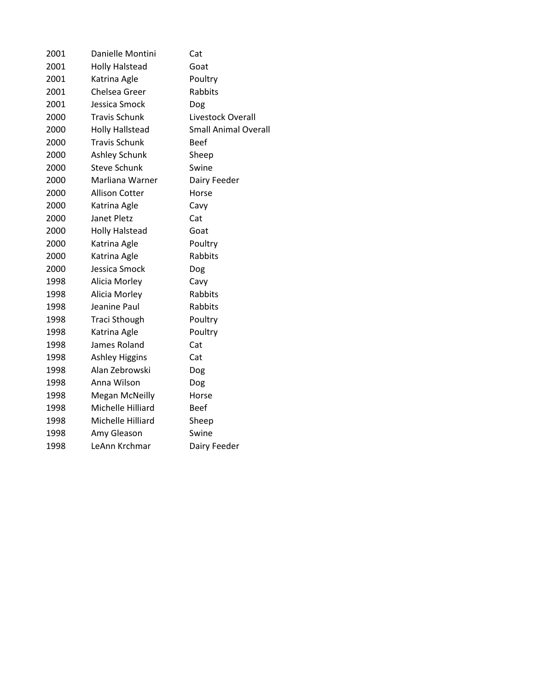| 2001 | Danielle Montini       | Cat                         |
|------|------------------------|-----------------------------|
| 2001 | <b>Holly Halstead</b>  | Goat                        |
| 2001 | Katrina Agle           | Poultry                     |
| 2001 | Chelsea Greer          | Rabbits                     |
| 2001 | Jessica Smock          | Dog                         |
| 2000 | <b>Travis Schunk</b>   | Livestock Overall           |
| 2000 | <b>Holly Hallstead</b> | <b>Small Animal Overall</b> |
| 2000 | <b>Travis Schunk</b>   | Beef                        |
| 2000 | <b>Ashley Schunk</b>   | Sheep                       |
| 2000 | Steve Schunk           | Swine                       |
| 2000 | Marliana Warner        | Dairy Feeder                |
| 2000 | <b>Allison Cotter</b>  | Horse                       |
| 2000 | Katrina Agle           | Cavy                        |
| 2000 | Janet Pletz            | Cat                         |
| 2000 | <b>Holly Halstead</b>  | Goat                        |
| 2000 | Katrina Agle           | Poultry                     |
| 2000 | Katrina Agle           | Rabbits                     |
| 2000 | Jessica Smock          | Dog                         |
| 1998 | Alicia Morley          | Cavy                        |
| 1998 | Alicia Morley          | Rabbits                     |
| 1998 | Jeanine Paul           | Rabbits                     |
| 1998 | <b>Traci Sthough</b>   | Poultry                     |
| 1998 | Katrina Agle           | Poultry                     |
| 1998 | James Roland           | Cat                         |
| 1998 | <b>Ashley Higgins</b>  | Cat                         |
| 1998 | Alan Zebrowski         | Dog                         |
| 1998 | Anna Wilson            | Dog                         |
| 1998 | <b>Megan McNeilly</b>  | Horse                       |
| 1998 | Michelle Hilliard      | <b>Beef</b>                 |
| 1998 | Michelle Hilliard      | Sheep                       |
| 1998 | Amy Gleason            | Swine                       |
| 1998 | LeAnn Krchmar          | Dairy Feeder                |
|      |                        |                             |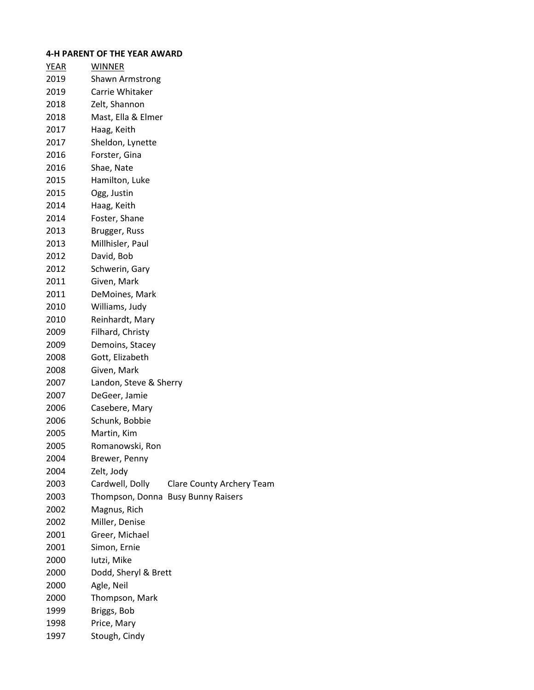# **4-H PARENT OF THE YEAR AWARD**

| YEAR | <b>WINNER</b>                                       |
|------|-----------------------------------------------------|
| 2019 | <b>Shawn Armstrong</b>                              |
| 2019 | Carrie Whitaker                                     |
| 2018 | Zelt, Shannon                                       |
| 2018 | Mast, Ella & Elmer                                  |
| 2017 | Haag, Keith                                         |
| 2017 | Sheldon, Lynette                                    |
| 2016 | Forster, Gina                                       |
| 2016 | Shae, Nate                                          |
| 2015 | Hamilton, Luke                                      |
| 2015 | Ogg, Justin                                         |
| 2014 | Haag, Keith                                         |
| 2014 | Foster, Shane                                       |
| 2013 | Brugger, Russ                                       |
| 2013 | Millhisler, Paul                                    |
| 2012 | David, Bob                                          |
| 2012 | Schwerin, Gary                                      |
| 2011 | Given, Mark                                         |
| 2011 | DeMoines, Mark                                      |
| 2010 | Williams, Judy                                      |
| 2010 | Reinhardt, Mary                                     |
| 2009 | Filhard, Christy                                    |
| 2009 | Demoins, Stacey                                     |
| 2008 | Gott, Elizabeth                                     |
| 2008 | Given, Mark                                         |
| 2007 | Landon, Steve & Sherry                              |
| 2007 | DeGeer, Jamie                                       |
| 2006 | Casebere, Mary                                      |
| 2006 | Schunk, Bobbie                                      |
| 2005 | Martin, Kim                                         |
| 2005 | Romanowski, Ron                                     |
| 2004 | Brewer, Penny                                       |
| 2004 | Zelt, Jody                                          |
| 2003 | Cardwell, Dolly<br><b>Clare County Archery Team</b> |
| 2003 | Thompson, Donna Busy Bunny Raisers                  |
| 2002 | Magnus, Rich                                        |
| 2002 | Miller, Denise                                      |
| 2001 | Greer, Michael                                      |
| 2001 | Simon, Ernie                                        |
| 2000 | lutzi, Mike                                         |
| 2000 | Dodd, Sheryl & Brett                                |
| 2000 | Agle, Neil                                          |
| 2000 | Thompson, Mark                                      |
| 1999 | Briggs, Bob                                         |
| 1998 | Price, Mary                                         |
| 1997 | Stough, Cindy                                       |
|      |                                                     |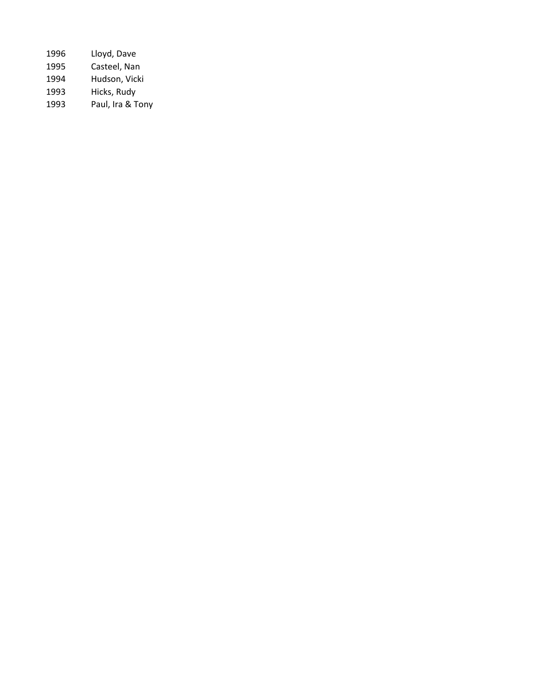| 1996 | Lloyd, Dave      |
|------|------------------|
| 1995 | Casteel, Nan     |
| 1994 | Hudson, Vicki    |
| 1993 | Hicks, Rudy      |
| 1993 | Paul, Ira & Tony |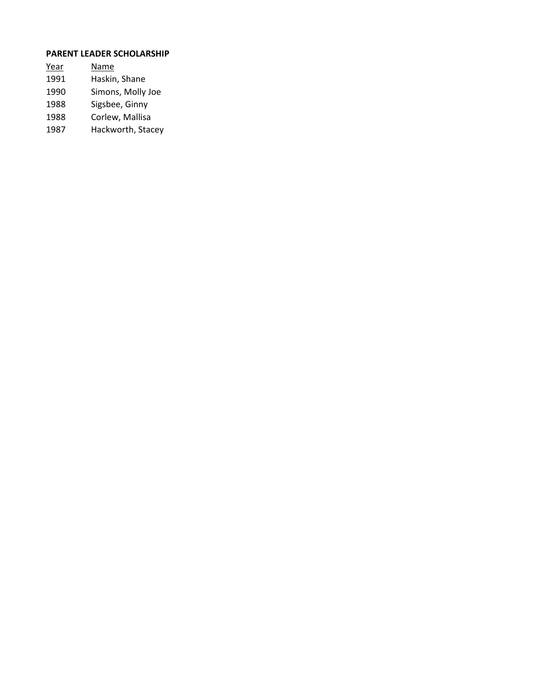# **PARENT LEADER SCHOLARSHIP**

| Year | Name              |
|------|-------------------|
| 1991 | Haskin, Shane     |
| 1990 | Simons, Molly Joe |
| 1988 | Sigsbee, Ginny    |
| 1988 | Corlew, Mallisa   |
|      |                   |

Hackworth, Stacey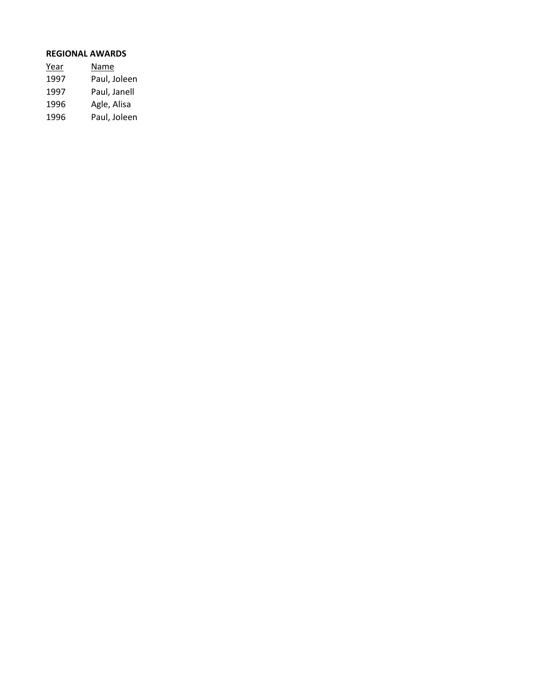### **REGIONAL AWARDS**

| Year | Name         |
|------|--------------|
| 1997 | Paul, Joleen |
| 1997 | Paul, Janell |
| 1996 | Agle, Alisa  |
| 1996 | Paul, Joleen |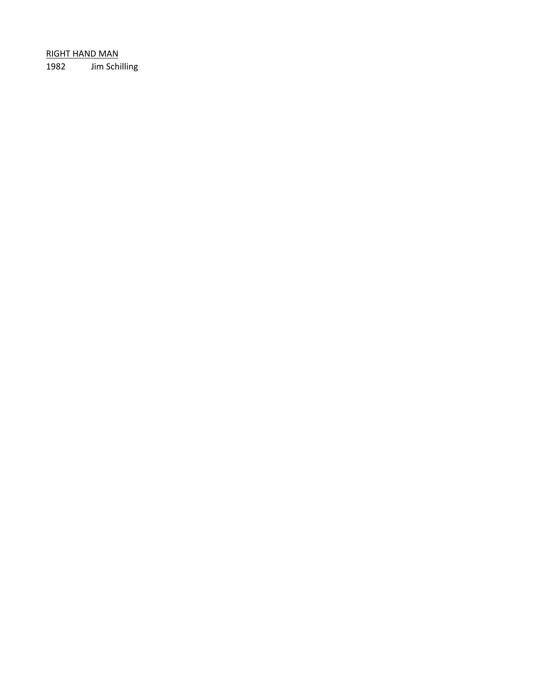RIGHT HAND MAN 1982 Jim Schilling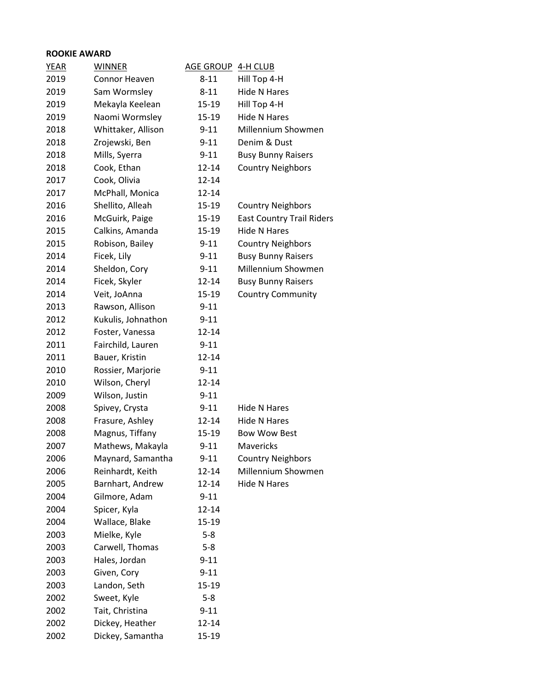# **ROOKIE AWARD**

| <b>YEAR</b> | <b>WINNER</b>      | <b>AGE GROUP</b> | 4-H CLUB                         |
|-------------|--------------------|------------------|----------------------------------|
| 2019        | Connor Heaven      | $8 - 11$         | Hill Top 4-H                     |
| 2019        | Sam Wormsley       | $8 - 11$         | <b>Hide N Hares</b>              |
| 2019        | Mekayla Keelean    | 15-19            | Hill Top 4-H                     |
| 2019        | Naomi Wormsley     | 15-19            | <b>Hide N Hares</b>              |
| 2018        | Whittaker, Allison | $9 - 11$         | Millennium Showmen               |
| 2018        | Zrojewski, Ben     | $9 - 11$         | Denim & Dust                     |
| 2018        | Mills, Syerra      | $9 - 11$         | <b>Busy Bunny Raisers</b>        |
| 2018        | Cook, Ethan        | 12-14            | <b>Country Neighbors</b>         |
| 2017        | Cook, Olivia       | 12-14            |                                  |
| 2017        | McPhall, Monica    | 12-14            |                                  |
| 2016        | Shellito, Alleah   | 15-19            | <b>Country Neighbors</b>         |
| 2016        | McGuirk, Paige     | 15-19            | <b>East Country Trail Riders</b> |
| 2015        | Calkins, Amanda    | 15-19            | <b>Hide N Hares</b>              |
| 2015        | Robison, Bailey    | $9 - 11$         | <b>Country Neighbors</b>         |
| 2014        | Ficek, Lily        | $9 - 11$         | <b>Busy Bunny Raisers</b>        |
| 2014        | Sheldon, Cory      | $9 - 11$         | Millennium Showmen               |
| 2014        | Ficek, Skyler      | 12-14            | <b>Busy Bunny Raisers</b>        |
| 2014        | Veit, JoAnna       | 15-19            | Country Community                |
| 2013        | Rawson, Allison    | $9 - 11$         |                                  |
| 2012        | Kukulis, Johnathon | $9 - 11$         |                                  |
| 2012        | Foster, Vanessa    | 12-14            |                                  |
| 2011        | Fairchild, Lauren  | $9 - 11$         |                                  |
| 2011        | Bauer, Kristin     | $12 - 14$        |                                  |
| 2010        | Rossier, Marjorie  | $9 - 11$         |                                  |
| 2010        | Wilson, Cheryl     | 12-14            |                                  |
| 2009        | Wilson, Justin     | $9 - 11$         |                                  |
| 2008        | Spivey, Crysta     | $9 - 11$         | Hide N Hares                     |
| 2008        | Frasure, Ashley    | 12-14            | <b>Hide N Hares</b>              |
| 2008        | Magnus, Tiffany    | 15-19            | <b>Bow Wow Best</b>              |
| 2007        | Mathews, Makayla   | $9 - 11$         | Mavericks                        |
| 2006        | Maynard, Samantha  | $9 - 11$         | <b>Country Neighbors</b>         |
| 2006        | Reinhardt, Keith   | 12-14            | Millennium Showmen               |
| 2005        | Barnhart, Andrew   | 12-14            | <b>Hide N Hares</b>              |
| 2004        | Gilmore, Adam      | $9 - 11$         |                                  |
| 2004        | Spicer, Kyla       | 12-14            |                                  |
| 2004        | Wallace, Blake     | 15-19            |                                  |
| 2003        | Mielke, Kyle       | $5 - 8$          |                                  |
| 2003        | Carwell, Thomas    | $5 - 8$          |                                  |
| 2003        | Hales, Jordan      | $9 - 11$         |                                  |
| 2003        | Given, Cory        | $9 - 11$         |                                  |
| 2003        | Landon, Seth       | 15-19            |                                  |
| 2002        | Sweet, Kyle        | $5 - 8$          |                                  |
| 2002        | Tait, Christina    | $9 - 11$         |                                  |
| 2002        | Dickey, Heather    | 12-14            |                                  |
| 2002        | Dickey, Samantha   | 15-19            |                                  |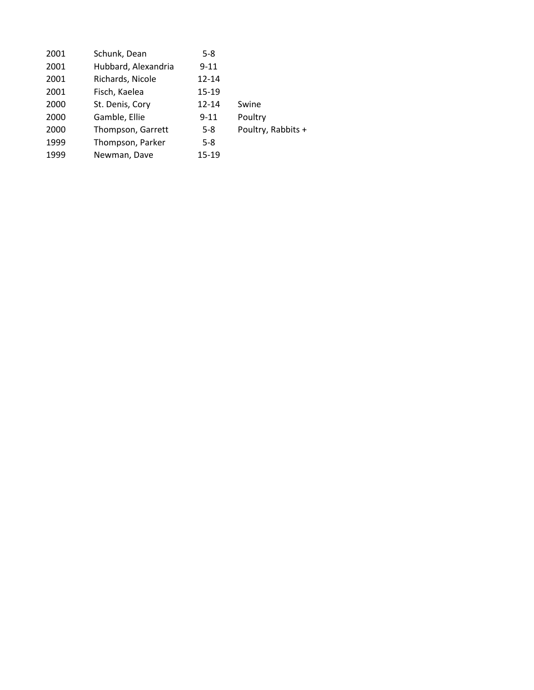| 2001 | Schunk, Dean        | $5 - 8$   |                    |
|------|---------------------|-----------|--------------------|
| 2001 | Hubbard, Alexandria | $9 - 11$  |                    |
| 2001 | Richards, Nicole    | $12 - 14$ |                    |
| 2001 | Fisch, Kaelea       | 15-19     |                    |
| 2000 | St. Denis, Cory     | $12 - 14$ | Swine              |
| 2000 | Gamble, Ellie       | $9 - 11$  | Poultry            |
| 2000 | Thompson, Garrett   | $5-8$     | Poultry, Rabbits + |
| 1999 | Thompson, Parker    | $5-8$     |                    |
| 1999 | Newman, Dave        | 15-19     |                    |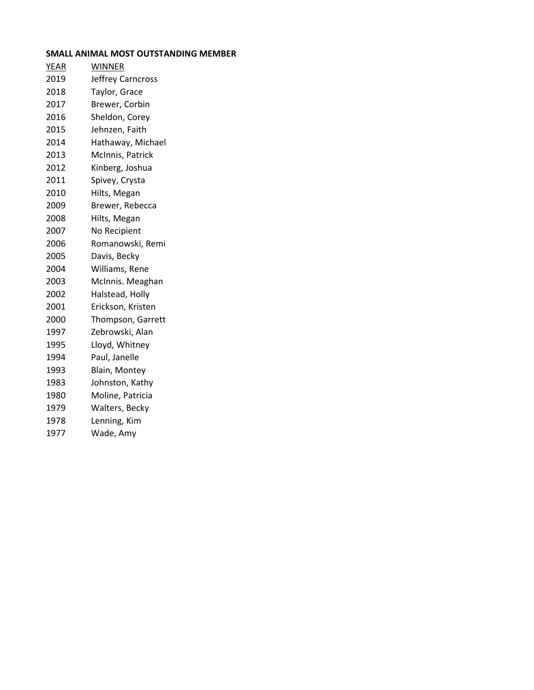# **SMALL ANIMAL MOST OUTSTANDING MEMBER**

| <b>YEAR</b> | <b>WINNER</b>     |
|-------------|-------------------|
| 2019        | Jeffrey Carncross |
| 2018        | Taylor, Grace     |
| 2017        | Brewer, Corbin    |
| 2016        | Sheldon, Corey    |
| 2015        | Jehnzen, Faith    |
| 2014        | Hathaway, Michael |
| 2013        | McInnis, Patrick  |
| 2012        | Kinberg, Joshua   |
| 2011        | Spivey, Crysta    |
| 2010        | Hilts, Megan      |
| 2009        | Brewer, Rebecca   |
| 2008        | Hilts, Megan      |
| 2007        | No Recipient      |
| 2006        | Romanowski, Remi  |
| 2005        | Davis, Becky      |
| 2004        | Williams, Rene    |
| 2003        | McInnis. Meaghan  |
| 2002        | Halstead, Holly   |
| 2001        | Erickson, Kristen |
| 2000        | Thompson, Garrett |
| 1997        | Zebrowski, Alan   |
| 1995        | Lloyd, Whitney    |
| 1994        | Paul, Janelle     |
| 1993        | Blain, Montey     |
| 1983        | Johnston, Kathy   |
| 1980        | Moline, Patricia  |
| 1979        | Walters, Becky    |
| 1978        | Lenning, Kim      |
| 1977        | Wade, Amy         |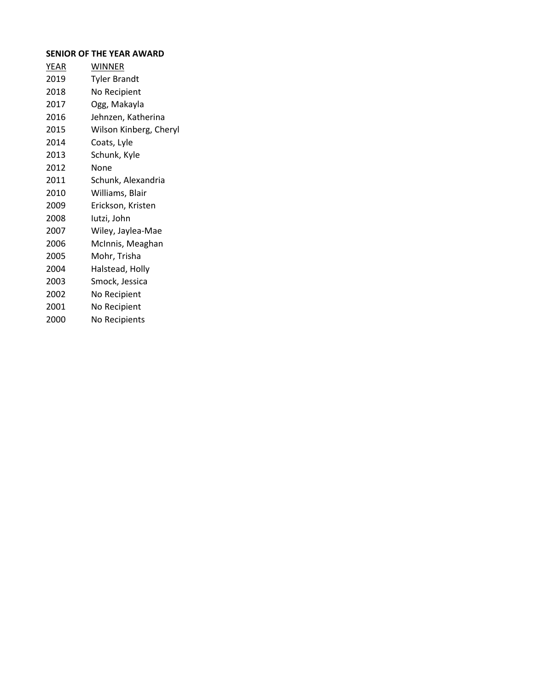# **SENIOR OF THE YEAR AWARD**

| YEAR | <b>WINNER</b>          |
|------|------------------------|
| 2019 | <b>Tyler Brandt</b>    |
| 2018 | No Recipient           |
| 2017 | Ogg, Makayla           |
| 2016 | Jehnzen, Katherina     |
| 2015 | Wilson Kinberg, Cheryl |
| 2014 | Coats, Lyle            |
| 2013 | Schunk, Kyle           |
| 2012 | None                   |
| 2011 | Schunk, Alexandria     |
| 2010 | Williams, Blair        |
| 2009 | Erickson, Kristen      |
| 2008 | lutzi, John            |
| 2007 | Wiley, Jaylea-Mae      |
| 2006 | McInnis, Meaghan       |
| 2005 | Mohr, Trisha           |
| 2004 | Halstead, Holly        |
| 2003 | Smock, Jessica         |
| 2002 | No Recipient           |
| 2001 | No Recipient           |
| 2000 | No Recipients          |
|      |                        |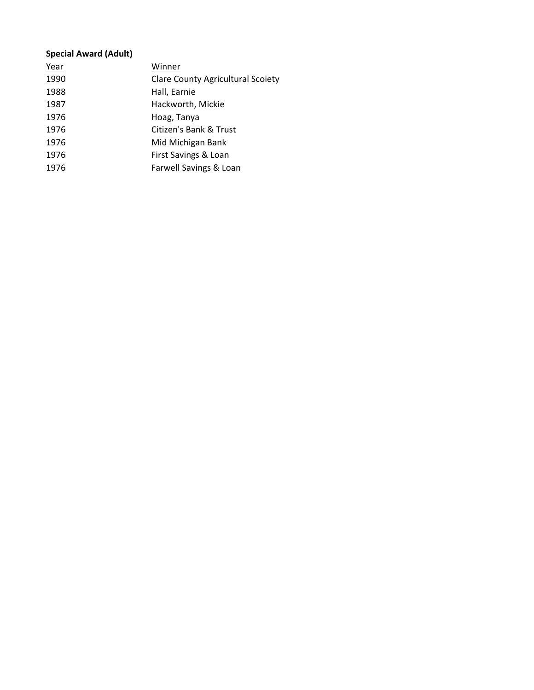# **Special Award (Adult)**

| Year | Winner                                   |
|------|------------------------------------------|
| 1990 | <b>Clare County Agricultural Scoiety</b> |
| 1988 | Hall, Earnie                             |
| 1987 | Hackworth, Mickie                        |
| 1976 | Hoag, Tanya                              |
| 1976 | Citizen's Bank & Trust                   |
| 1976 | Mid Michigan Bank                        |
| 1976 | First Savings & Loan                     |
| 1976 | Farwell Savings & Loan                   |
|      |                                          |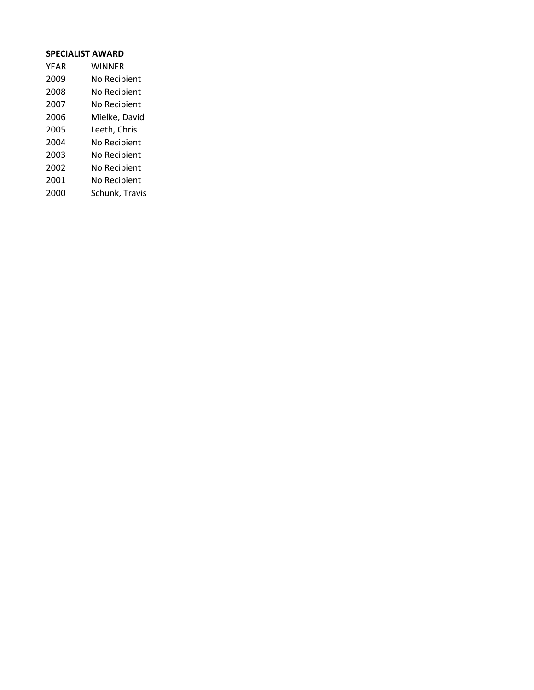## **SPECIALIST AWARD**

| <b>YEAR</b> | WINNER         |
|-------------|----------------|
| 2009        | No Recipient   |
| 2008        | No Recipient   |
| 2007        | No Recipient   |
| 2006        | Mielke, David  |
| 2005        | Leeth, Chris   |
| 2004        | No Recipient   |
| 2003        | No Recipient   |
| 2002        | No Recipient   |
| 2001        | No Recipient   |
| 2000        | Schunk, Travis |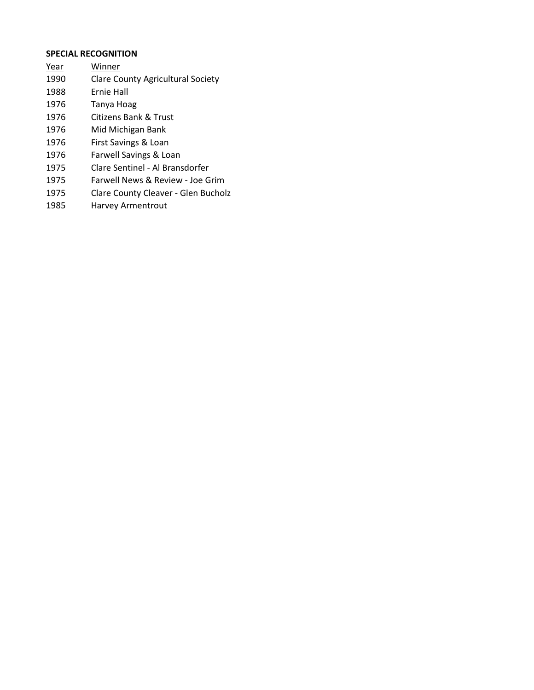# **SPECIAL RECOGNITION**

- Year Winner
- Clare County Agricultural Society
- Ernie Hall
- Tanya Hoag
- Citizens Bank & Trust
- Mid Michigan Bank
- First Savings & Loan
- Farwell Savings & Loan
- Clare Sentinel Al Bransdorfer
- Farwell News & Review Joe Grim
- Clare County Cleaver Glen Bucholz
- Harvey Armentrout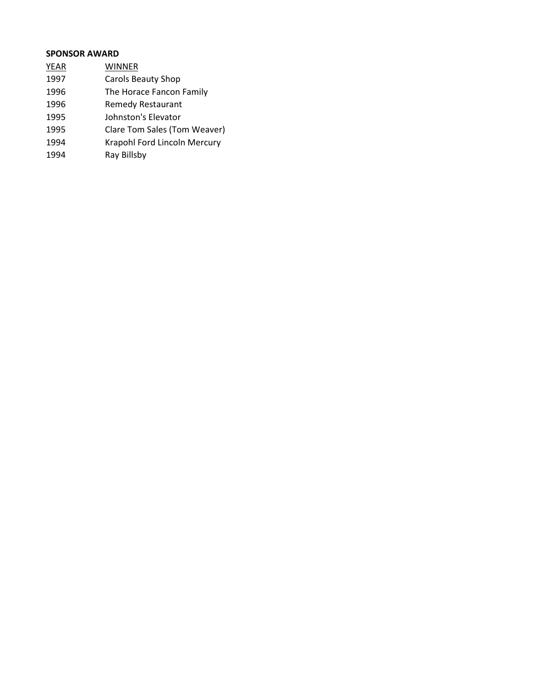# **SPONSOR AWARD**

YEAR WINNER Carols Beauty Shop The Horace Fancon Family Remedy Restaurant Johnston's Elevator Clare Tom Sales (Tom Weaver) Krapohl Ford Lincoln Mercury Ray Billsby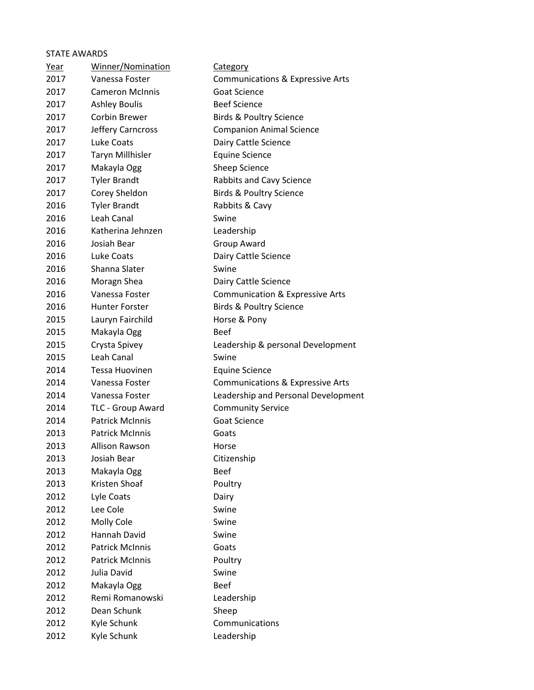# STATE AWARDS

| Year | Winner/Nomination      | <b>Category</b>                             |
|------|------------------------|---------------------------------------------|
| 2017 | Vanessa Foster         | <b>Communications &amp; Expressive Arts</b> |
| 2017 | <b>Cameron McInnis</b> | <b>Goat Science</b>                         |
| 2017 | <b>Ashley Boulis</b>   | <b>Beef Science</b>                         |
| 2017 | Corbin Brewer          | <b>Birds &amp; Poultry Science</b>          |
| 2017 | Jeffery Carncross      | <b>Companion Animal Science</b>             |
| 2017 | Luke Coats             | Dairy Cattle Science                        |
| 2017 | Taryn Millhisler       | <b>Equine Science</b>                       |
| 2017 | Makayla Ogg            | Sheep Science                               |
| 2017 | <b>Tyler Brandt</b>    | Rabbits and Cavy Science                    |
| 2017 | Corey Sheldon          | <b>Birds &amp; Poultry Science</b>          |
| 2016 | <b>Tyler Brandt</b>    | Rabbits & Cavy                              |
| 2016 | Leah Canal             | Swine                                       |
| 2016 | Katherina Jehnzen      | Leadership                                  |
| 2016 | Josiah Bear            | Group Award                                 |
| 2016 | Luke Coats             | Dairy Cattle Science                        |
| 2016 | Shanna Slater          | Swine                                       |
| 2016 | Moragn Shea            | Dairy Cattle Science                        |
| 2016 | Vanessa Foster         | Communication & Expressive Arts             |
| 2016 | <b>Hunter Forster</b>  | <b>Birds &amp; Poultry Science</b>          |
| 2015 | Lauryn Fairchild       | Horse & Pony                                |
| 2015 | Makayla Ogg            | <b>Beef</b>                                 |
| 2015 | Crysta Spivey          | Leadership & personal Development           |
| 2015 | Leah Canal             | Swine                                       |
| 2014 | Tessa Huovinen         | <b>Equine Science</b>                       |
| 2014 | Vanessa Foster         | <b>Communications &amp; Expressive Arts</b> |
| 2014 | Vanessa Foster         | Leadership and Personal Development         |
| 2014 | TLC - Group Award      | <b>Community Service</b>                    |
| 2014 | <b>Patrick McInnis</b> | <b>Goat Science</b>                         |
| 2013 | <b>Patrick McInnis</b> | Goats                                       |
| 2013 | Allison Rawson         | Horse                                       |
| 2013 | Josiah Bear            | Citizenship                                 |
| 2013 | Makayla Ogg            | <b>Beef</b>                                 |
| 2013 | Kristen Shoaf          | Poultry                                     |
| 2012 | Lyle Coats             | Dairy                                       |
| 2012 | Lee Cole               | Swine                                       |
| 2012 | Molly Cole             | Swine                                       |
| 2012 | Hannah David           | Swine                                       |
| 2012 | <b>Patrick McInnis</b> | Goats                                       |
| 2012 | <b>Patrick McInnis</b> | Poultry                                     |
| 2012 | Julia David            | Swine                                       |
| 2012 | Makayla Ogg            | <b>Beef</b>                                 |
| 2012 | Remi Romanowski        | Leadership                                  |
| 2012 | Dean Schunk            | Sheep                                       |
| 2012 | Kyle Schunk            | Communications                              |
| 2012 | Kyle Schunk            | Leadership                                  |
|      |                        |                                             |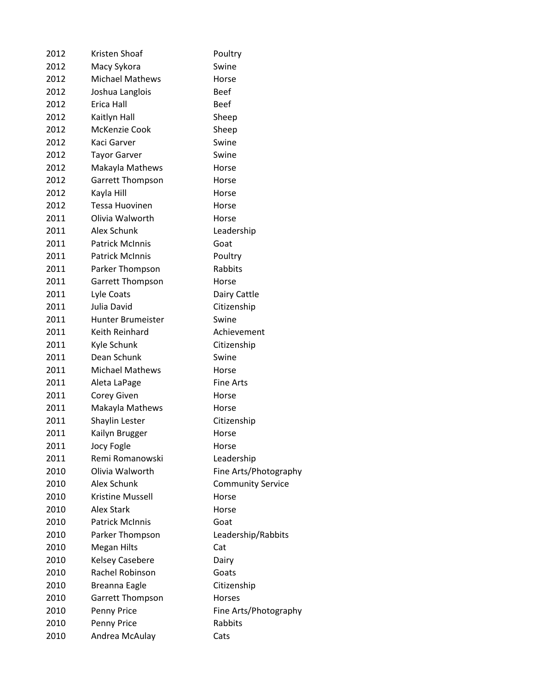| 2012 | Kristen Shoaf           | Poultry                  |
|------|-------------------------|--------------------------|
| 2012 | Macy Sykora             | Swine                    |
| 2012 | <b>Michael Mathews</b>  | Horse                    |
| 2012 | Joshua Langlois         | <b>Beef</b>              |
| 2012 | Erica Hall              | <b>Beef</b>              |
| 2012 | Kaitlyn Hall            | Sheep                    |
| 2012 | McKenzie Cook           | Sheep                    |
| 2012 | Kaci Garver             | Swine                    |
| 2012 | <b>Tayor Garver</b>     | Swine                    |
| 2012 | Makayla Mathews         | Horse                    |
| 2012 | <b>Garrett Thompson</b> | Horse                    |
| 2012 | Kayla Hill              | Horse                    |
| 2012 | <b>Tessa Huovinen</b>   | Horse                    |
| 2011 | Olivia Walworth         | Horse                    |
| 2011 | Alex Schunk             | Leadership               |
| 2011 | <b>Patrick McInnis</b>  | Goat                     |
| 2011 | <b>Patrick McInnis</b>  | Poultry                  |
| 2011 | Parker Thompson         | Rabbits                  |
| 2011 | <b>Garrett Thompson</b> | Horse                    |
| 2011 | Lyle Coats              | Dairy Cattle             |
| 2011 | Julia David             | Citizenship              |
| 2011 | Hunter Brumeister       | Swine                    |
| 2011 | Keith Reinhard          | Achievement              |
| 2011 | Kyle Schunk             | Citizenship              |
| 2011 | Dean Schunk             | Swine                    |
| 2011 | <b>Michael Mathews</b>  | Horse                    |
| 2011 | Aleta LaPage            | <b>Fine Arts</b>         |
| 2011 | Corey Given             | Horse                    |
| 2011 | Makayla Mathews         | Horse                    |
| 2011 | Shaylin Lester          | Citizenship              |
| 2011 | Kailyn Brugger          | Horse                    |
| 2011 | Jocy Fogle              | Horse                    |
| 2011 | Remi Romanowski         | Leadership               |
| 2010 | Olivia Walworth         | Fine Arts/Photography    |
| 2010 | Alex Schunk             | <b>Community Service</b> |
| 2010 | <b>Kristine Mussell</b> | Horse                    |
| 2010 | <b>Alex Stark</b>       | Horse                    |
| 2010 | <b>Patrick McInnis</b>  | Goat                     |
| 2010 | Parker Thompson         | Leadership/Rabbits       |
| 2010 | <b>Megan Hilts</b>      | Cat                      |
| 2010 | <b>Kelsey Casebere</b>  | Dairy                    |
| 2010 | Rachel Robinson         | Goats                    |
| 2010 | <b>Breanna Eagle</b>    | Citizenship              |
| 2010 | <b>Garrett Thompson</b> | <b>Horses</b>            |
| 2010 | Penny Price             | Fine Arts/Photography    |
| 2010 | Penny Price             | Rabbits                  |
| 2010 | Andrea McAulay          | Cats                     |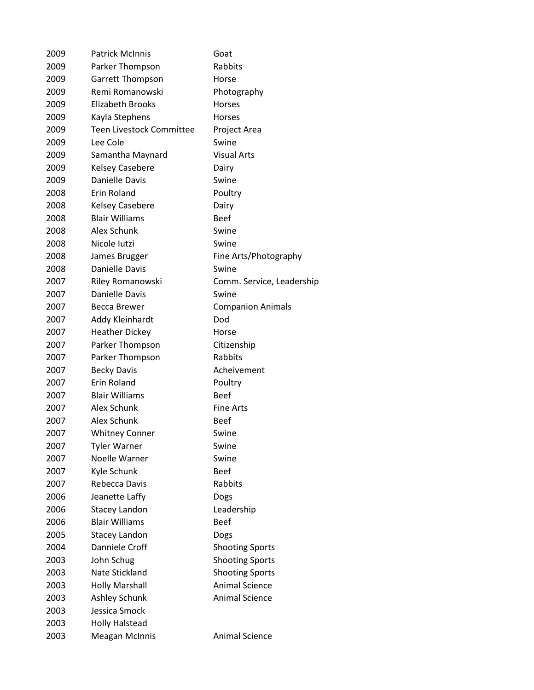| 2009 | <b>Patrick McInnis</b>          | Goat                      |
|------|---------------------------------|---------------------------|
| 2009 | Parker Thompson                 | Rabbits                   |
| 2009 | <b>Garrett Thompson</b>         | Horse                     |
| 2009 | Remi Romanowski                 | Photography               |
| 2009 | <b>Elizabeth Brooks</b>         | <b>Horses</b>             |
| 2009 | Kayla Stephens                  | <b>Horses</b>             |
| 2009 | <b>Teen Livestock Committee</b> | Project Area              |
| 2009 | Lee Cole                        | Swine                     |
| 2009 | Samantha Maynard                | <b>Visual Arts</b>        |
| 2009 | <b>Kelsey Casebere</b>          | Dairy                     |
| 2009 | <b>Danielle Davis</b>           | Swine                     |
| 2008 | Erin Roland                     | Poultry                   |
| 2008 | <b>Kelsey Casebere</b>          | Dairy                     |
| 2008 | <b>Blair Williams</b>           | <b>Beef</b>               |
| 2008 | Alex Schunk                     | Swine                     |
| 2008 | Nicole Iutzi                    | Swine                     |
| 2008 | James Brugger                   | Fine Arts/Photography     |
| 2008 | Danielle Davis                  | Swine                     |
| 2007 | Riley Romanowski                | Comm. Service, Leadership |
| 2007 | Danielle Davis                  | Swine                     |
| 2007 | Becca Brewer                    | <b>Companion Animals</b>  |
| 2007 | Addy Kleinhardt                 | Dod                       |
| 2007 | <b>Heather Dickey</b>           | Horse                     |
| 2007 | Parker Thompson                 | Citizenship               |
| 2007 | Parker Thompson                 | Rabbits                   |
| 2007 | <b>Becky Davis</b>              | Acheivement               |
| 2007 | Erin Roland                     | Poultry                   |
| 2007 | <b>Blair Williams</b>           | <b>Beef</b>               |
| 2007 | Alex Schunk                     | <b>Fine Arts</b>          |
| 2007 | Alex Schunk                     | <b>Beef</b>               |
| 2007 | <b>Whitney Conner</b>           | Swine                     |
| 2007 | <b>Tyler Warner</b>             | Swine                     |
| 2007 | Noelle Warner                   | Swine                     |
| 2007 | Kyle Schunk                     | <b>Beef</b>               |
| 2007 | Rebecca Davis                   | Rabbits                   |
| 2006 | Jeanette Laffy                  | Dogs                      |
| 2006 | Stacey Landon                   | Leadership                |
| 2006 | <b>Blair Williams</b>           | <b>Beef</b>               |
| 2005 | Stacey Landon                   | Dogs                      |
| 2004 | Danniele Croff                  | <b>Shooting Sports</b>    |
| 2003 | John Schug                      | <b>Shooting Sports</b>    |
| 2003 | Nate Stickland                  | <b>Shooting Sports</b>    |
| 2003 | <b>Holly Marshall</b>           | <b>Animal Science</b>     |
| 2003 | Ashley Schunk                   | <b>Animal Science</b>     |
| 2003 | Jessica Smock                   |                           |
| 2003 | <b>Holly Halstead</b>           |                           |
| 2003 | <b>Meagan McInnis</b>           | <b>Animal Science</b>     |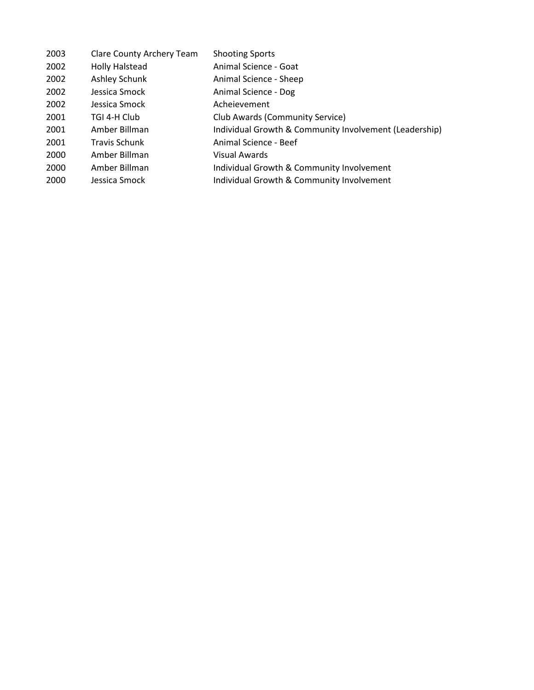| 2003 | Clare County Archery Team | <b>Shooting Sports</b>                                 |
|------|---------------------------|--------------------------------------------------------|
| 2002 | <b>Holly Halstead</b>     | Animal Science - Goat                                  |
| 2002 | Ashley Schunk             | Animal Science - Sheep                                 |
| 2002 | Jessica Smock             | Animal Science - Dog                                   |
| 2002 | Jessica Smock             | Acheievement                                           |
| 2001 | TGI 4-H Club              | Club Awards (Community Service)                        |
| 2001 | Amber Billman             | Individual Growth & Community Involvement (Leadership) |
| 2001 | <b>Travis Schunk</b>      | Animal Science - Beef                                  |
| 2000 | Amber Billman             | Visual Awards                                          |
| 2000 | Amber Billman             | Individual Growth & Community Involvement              |
| 2000 | Jessica Smock             | Individual Growth & Community Involvement              |
|      |                           |                                                        |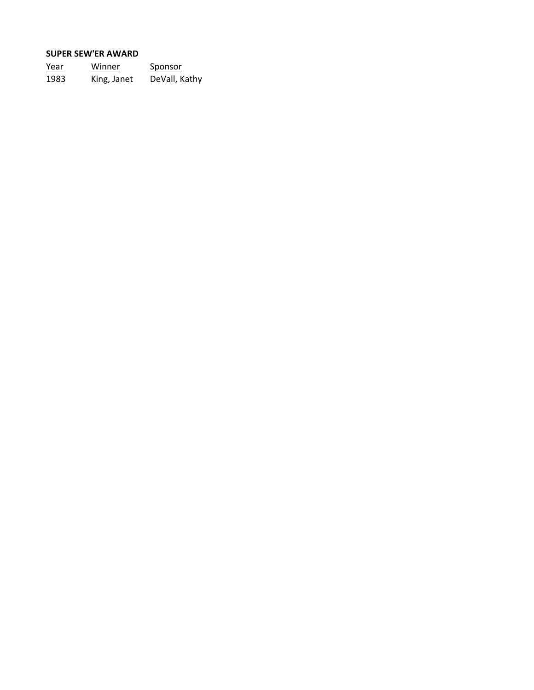### **SUPER SEW'ER AWARD**

| Year | Winner      | <u>Sponsor</u> |  |
|------|-------------|----------------|--|
| 1983 | King, Janet | DeVall, Kathy  |  |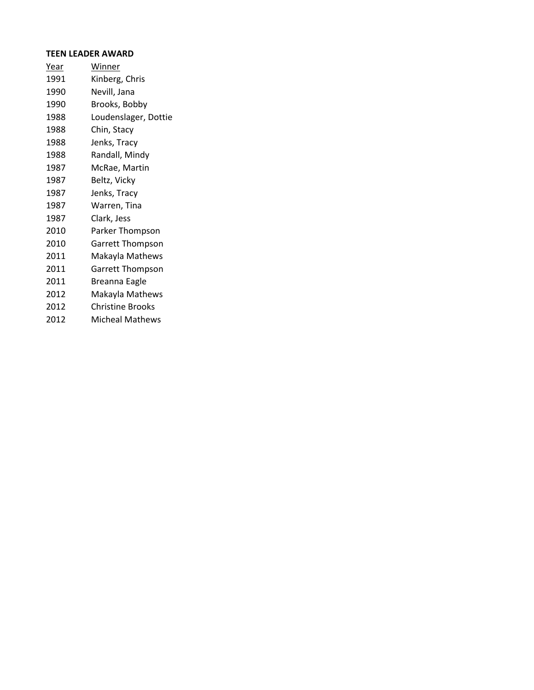# **TEEN LEADER AWARD**

| <u>Year</u> | <b>Winner</b>           |
|-------------|-------------------------|
| 1991        | Kinberg, Chris          |
| 1990        | Nevill, Jana            |
| 1990        | Brooks, Bobby           |
| 1988        | Loudenslager, Dottie    |
| 1988        | Chin, Stacy             |
| 1988        | Jenks, Tracy            |
| 1988        | Randall, Mindy          |
| 1987        | McRae, Martin           |
| 1987        | Beltz, Vicky            |
| 1987        | Jenks, Tracy            |
| 1987        | Warren, Tina            |
| 1987        | Clark, Jess             |
| 2010        | Parker Thompson         |
| 2010        | Garrett Thompson        |
| 2011        | Makayla Mathews         |
| 2011        | <b>Garrett Thompson</b> |
| 2011        | <b>Breanna Eagle</b>    |
| 2012        | Makayla Mathews         |
| 2012        | Christine Brooks        |
| 2012        | <b>Micheal Mathews</b>  |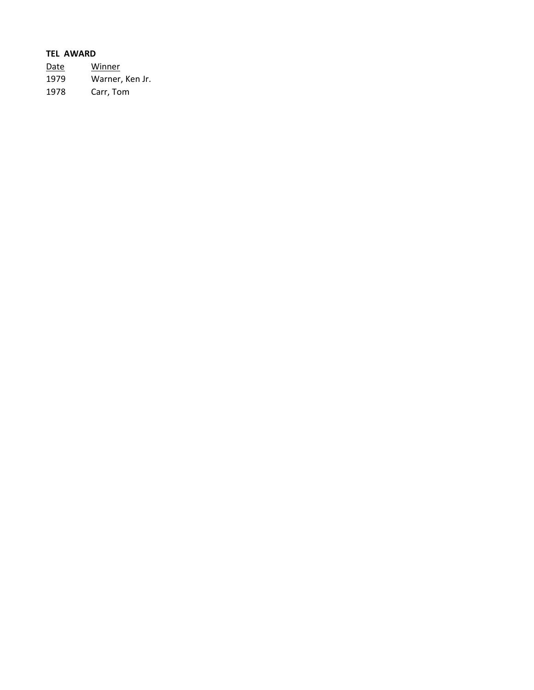# **TEL AWARD**

Date Winner 1979 Warner, Ken Jr. 1978 Carr, Tom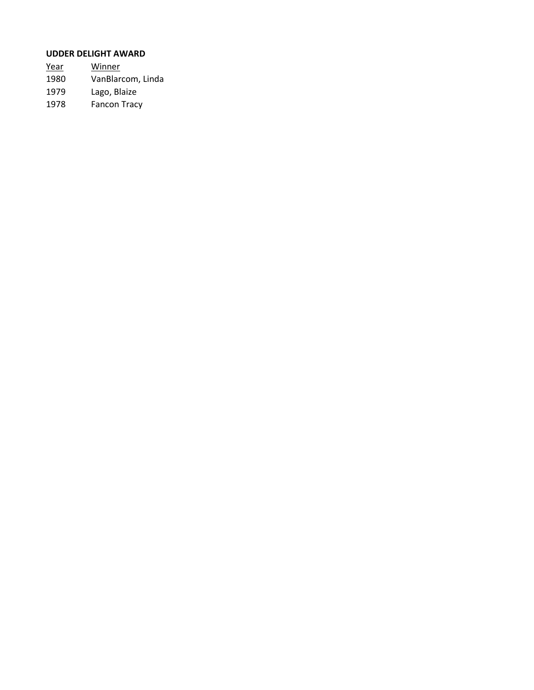# **UDDER DELIGHT AWARD**

| Year | Winner              |
|------|---------------------|
| 1980 | VanBlarcom, Linda   |
| 1979 | Lago, Blaize        |
| 1978 | <b>Fancon Tracy</b> |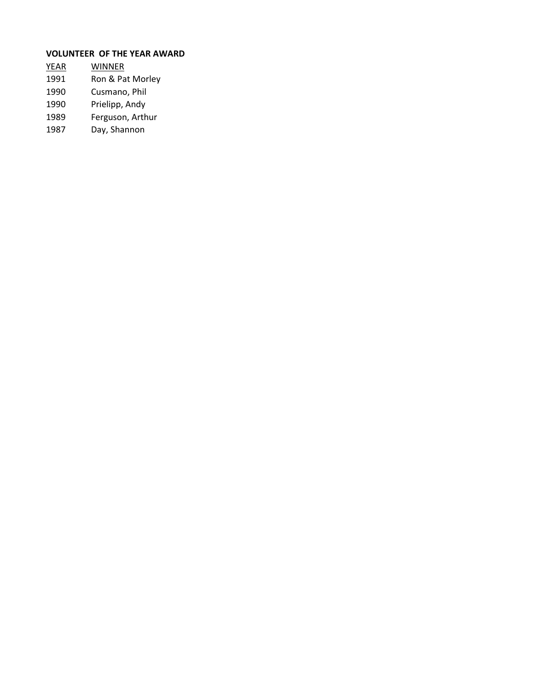# **VOLUNTEER OF THE YEAR AWARD**

- YEAR WINNER 1991 Ron & Pat Morley 1990 Cusmano, Phil
- 
- 1990 Prielipp, Andy<br>1989 Ferguson, Arth
- Ferguson, Arthur
- 1987 Day, Shannon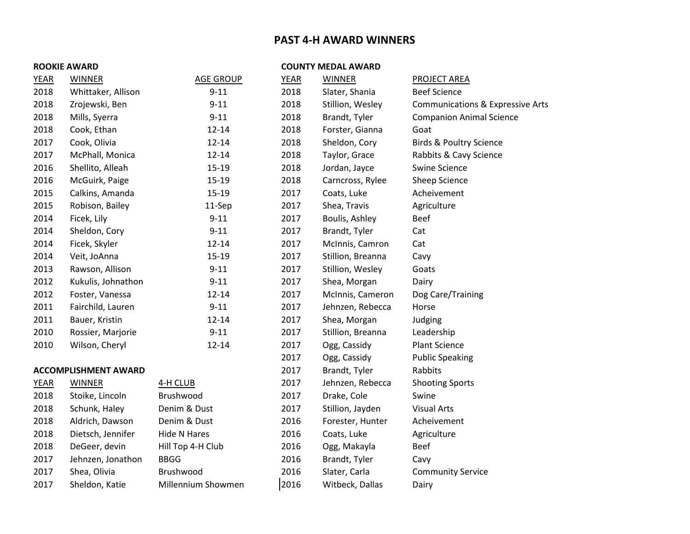# **PAST 4-H AWARD WINNERS**

#### **ROOKIE AWARD COUNTY MEDAL AWARD**

| <b>YEAR</b> | <b>WINNER</b>               | <b>AGE GROUP</b>   | <b>YEAR</b> | <b>WINNER</b>     | <b>PROJECT AREA</b>                         |
|-------------|-----------------------------|--------------------|-------------|-------------------|---------------------------------------------|
| 2018        | Whittaker, Allison          | $9 - 11$           | 2018        | Slater, Shania    | <b>Beef Science</b>                         |
| 2018        | Zrojewski, Ben              | $9 - 11$           | 2018        | Stillion, Wesley  | <b>Communications &amp; Expressive Arts</b> |
| 2018        | Mills, Syerra               | $9 - 11$           | 2018        | Brandt, Tyler     | <b>Companion Animal Science</b>             |
| 2018        | Cook, Ethan                 | $12 - 14$          | 2018        | Forster, Gianna   | Goat                                        |
| 2017        | Cook, Olivia                | $12 - 14$          | 2018        | Sheldon, Cory     | <b>Birds &amp; Poultry Science</b>          |
| 2017        | McPhall, Monica             | $12 - 14$          | 2018        | Taylor, Grace     | Rabbits & Cavy Science                      |
| 2016        | Shellito, Alleah            | $15 - 19$          | 2018        | Jordan, Jayce     | <b>Swine Science</b>                        |
| 2016        | McGuirk, Paige              | $15 - 19$          | 2018        | Carncross, Rylee  | Sheep Science                               |
| 2015        | Calkins, Amanda             | $15 - 19$          | 2017        | Coats, Luke       | Acheivement                                 |
| 2015        | Robison, Bailey             | 11-Sep             | 2017        | Shea, Travis      | Agriculture                                 |
| 2014        | Ficek, Lily                 | $9 - 11$           | 2017        | Boulis, Ashley    | <b>Beef</b>                                 |
| 2014        | Sheldon, Cory               | $9 - 11$           | 2017        | Brandt, Tyler     | Cat                                         |
| 2014        | Ficek, Skyler               | $12 - 14$          | 2017        | McInnis, Camron   | Cat                                         |
| 2014        | Veit, JoAnna                | $15 - 19$          | 2017        | Stillion, Breanna | Cavy                                        |
| 2013        | Rawson, Allison             | $9 - 11$           | 2017        | Stillion, Wesley  | Goats                                       |
| 2012        | Kukulis, Johnathon          | $9 - 11$           | 2017        | Shea, Morgan      | Dairy                                       |
| 2012        | Foster, Vanessa             | $12 - 14$          | 2017        | McInnis, Cameron  | Dog Care/Training                           |
| 2011        | Fairchild, Lauren           | $9 - 11$           | 2017        | Jehnzen, Rebecca  | Horse                                       |
| 2011        | Bauer, Kristin              | $12 - 14$          | 2017        | Shea, Morgan      | Judging                                     |
| 2010        | Rossier, Marjorie           | $9 - 11$           | 2017        | Stillion, Breanna | Leadership                                  |
| 2010        | Wilson, Cheryl              | $12 - 14$          | 2017        | Ogg, Cassidy      | <b>Plant Science</b>                        |
|             |                             |                    | 2017        | Ogg, Cassidy      | <b>Public Speaking</b>                      |
|             | <b>ACCOMPLISHMENT AWARD</b> |                    | 2017        | Brandt, Tyler     | Rabbits                                     |
| <b>YEAR</b> | <b>WINNER</b>               | 4-H CLUB           | 2017        | Jehnzen, Rebecca  | <b>Shooting Sports</b>                      |
| 2018        | Stoike, Lincoln             | Brushwood          | 2017        | Drake, Cole       | Swine                                       |
| 2018        | Schunk, Haley               | Denim & Dust       | 2017        | Stillion, Jayden  | <b>Visual Arts</b>                          |
| 2018        | Aldrich, Dawson             | Denim & Dust       | 2016        | Forester, Hunter  | Acheivement                                 |
| 2018        | Dietsch, Jennifer           | Hide N Hares       | 2016        | Coats, Luke       | Agriculture                                 |
| 2018        | DeGeer, devin               | Hill Top 4-H Club  | 2016        | Ogg, Makayla      | <b>Beef</b>                                 |
| 2017        | Jehnzen, Jonathon           | <b>BBGG</b>        | 2016        | Brandt, Tyler     | Cavy                                        |
| 2017        | Shea, Olivia                | Brushwood          | 2016        | Slater, Carla     | <b>Community Service</b>                    |
| 2017        | Sheldon, Katie              | Millennium Showmen | 2016        | Witbeck, Dallas   | Dairy                                       |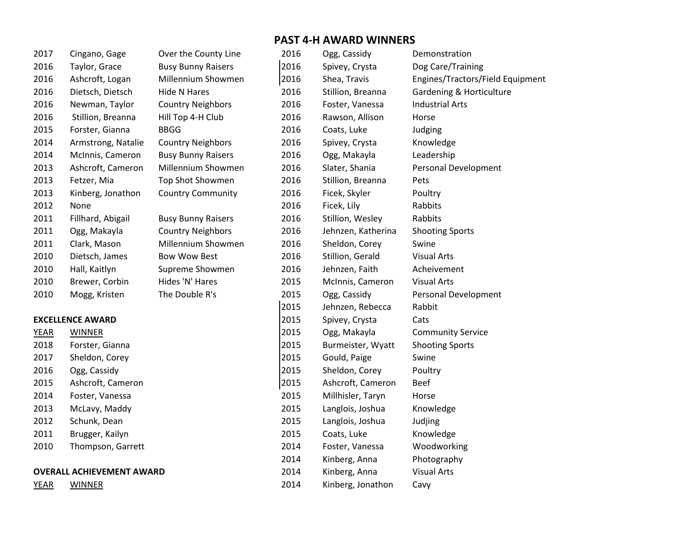| 2017 | Cingano, Gage      |
|------|--------------------|
| 2016 | Taylor, Grace      |
| 2016 | Ashcroft, Logan    |
| 2016 | Dietsch, Dietsch   |
| 2016 | Newman, Taylor     |
| 2016 | Stillion, Breanna  |
| 2015 | Forster, Gianna    |
| 2014 | Armstrong, Natalie |
| 2014 | McInnis, Cameron   |
| 2013 | Ashcroft, Cameron  |
| 2013 | Fetzer, Mia        |
| 2013 | Kinberg, Jonathon  |
| 2012 | None               |
| 2011 | Fillhard, Abigail  |
| 2011 | Ogg, Makayla       |
| 2011 | Clark, Mason       |
| 2010 | Dietsch, James     |
| 2010 | Hall, Kaitlyn      |
| 2010 | Brewer, Corbin     |
| 2010 | Mogg, Kristen      |

# **EXCELLENCE AWARD** 2015 2015 2015 2015 2015 2016

| YEAR                          | WINNER            |  |
|-------------------------------|-------------------|--|
| 2018                          | Forster, Gianna   |  |
| 2017                          | Sheldon, Corey    |  |
| 2016                          | Ogg, Cassidy      |  |
| 2015                          | Ashcroft, Cameron |  |
| 2014                          | Foster, Vanessa   |  |
| 2013                          | McLavy, Maddy     |  |
| 2012                          | Schunk, Dean      |  |
| 2011                          | Brugger, Kailyn   |  |
| 2010                          | Thompson, Garrett |  |
|                               |                   |  |
| <b>OVERALL ACHIFVEMENT AW</b> |                   |  |

| Over the County Line      |
|---------------------------|
| <b>Busy Bunny Raisers</b> |
| Millennium Showmen        |
| Hide N Hares              |
| <b>Country Neighbors</b>  |
| Hill Top 4-H Club         |
| BBGG                      |
| <b>Country Neighbors</b>  |
| <b>Busy Bunny Raisers</b> |
| Millennium Showmen        |
| <b>Top Shot Showmen</b>   |
| <b>Country Community</b>  |
|                           |
| <b>Busy Bunny Raisers</b> |
| Country Neighhors         |

| DUSY DUIIIIY NAISEIS     |
|--------------------------|
| <b>Country Neighbors</b> |
| Millennium Showmen       |
| <b>Bow Wow Best</b>      |
| Supreme Showmen          |
| Hides 'N' Hares          |
| The Double R's           |
|                          |

# **PAST 4-H AWARD WINNERS**

| 2017                             | Cingano, Gage           | Over the County Line      | 2016          | Ogg, Cassidy       | Demonstration                    |
|----------------------------------|-------------------------|---------------------------|---------------|--------------------|----------------------------------|
| 2016                             | Taylor, Grace           | <b>Busy Bunny Raisers</b> | 2016          | Spivey, Crysta     | Dog Care/Training                |
| 2016                             | Ashcroft, Logan         | Millennium Showmen        | 2016          | Shea, Travis       | Engines/Tractors/Field Equipment |
| 2016                             | Dietsch, Dietsch        | <b>Hide N Hares</b>       | 2016          | Stillion, Breanna  | Gardening & Horticulture         |
| 2016                             | Newman, Taylor          | <b>Country Neighbors</b>  | 2016          | Foster, Vanessa    | <b>Industrial Arts</b>           |
| 2016                             | Stillion, Breanna       | Hill Top 4-H Club         | 2016          | Rawson, Allison    | Horse                            |
| 2015                             | Forster, Gianna         | <b>BBGG</b>               | 2016          | Coats, Luke        | Judging                          |
| 2014                             | Armstrong, Natalie      | <b>Country Neighbors</b>  | 2016          | Spivey, Crysta     | Knowledge                        |
| 2014                             | McInnis, Cameron        | <b>Busy Bunny Raisers</b> | 2016          | Ogg, Makayla       | Leadership                       |
| 2013                             | Ashcroft, Cameron       | Millennium Showmen        | 2016          | Slater, Shania     | Personal Development             |
| 2013                             | Fetzer, Mia             | Top Shot Showmen          | 2016          | Stillion, Breanna  | Pets                             |
| 2013                             | Kinberg, Jonathon       | <b>Country Community</b>  | 2016          | Ficek, Skyler      | Poultry                          |
| 2012                             | None                    |                           | 2016          | Ficek, Lily        | Rabbits                          |
| 2011                             | Fillhard, Abigail       | <b>Busy Bunny Raisers</b> | 2016          | Stillion, Wesley   | Rabbits                          |
| 2011                             | Ogg, Makayla            | <b>Country Neighbors</b>  | 2016          | Jehnzen, Katherina | <b>Shooting Sports</b>           |
| 2011                             | Clark, Mason            | Millennium Showmen        | 2016          | Sheldon, Corey     | Swine                            |
| 2010                             | Dietsch, James          | <b>Bow Wow Best</b>       | 2016          | Stillion, Gerald   | <b>Visual Arts</b>               |
| 2010                             | Hall, Kaitlyn           | Supreme Showmen           | 2016          | Jehnzen, Faith     | Acheivement                      |
| 2010                             | Brewer, Corbin          | Hides 'N' Hares           | 2015          | McInnis, Cameron   | <b>Visual Arts</b>               |
| 2010                             | Mogg, Kristen           | The Double R's            | 2015          | Ogg, Cassidy       | Personal Development             |
|                                  |                         |                           | 2015          | Jehnzen, Rebecca   | Rabbit                           |
|                                  | <b>EXCELLENCE AWARD</b> |                           | 2015          | Spivey, Crysta     | Cats                             |
| <b>YEAR</b>                      | <b>WINNER</b>           |                           | 2015          | Ogg, Makayla       | <b>Community Service</b>         |
| 2018                             | Forster, Gianna         |                           | 2015          | Burmeister, Wyatt  | <b>Shooting Sports</b>           |
| 2017                             | Sheldon, Corey          |                           | 2015          | Gould, Paige       | Swine                            |
| 2016                             | Ogg, Cassidy            |                           | 2015          | Sheldon, Corey     | Poultry                          |
| 2015                             | Ashcroft, Cameron       |                           | 2015          | Ashcroft, Cameron  | <b>Beef</b>                      |
| 2014                             | Foster, Vanessa         |                           | 2015          | Millhisler, Taryn  | Horse                            |
| 2013                             | McLavy, Maddy           |                           | 2015          | Langlois, Joshua   | Knowledge                        |
| 2012                             | Schunk, Dean            |                           | 2015          | Langlois, Joshua   | Judjing                          |
| 2011                             | Brugger, Kailyn         |                           | 2015          | Coats, Luke        | Knowledge                        |
| 2010                             | Thompson, Garrett       |                           | 2014          | Foster, Vanessa    | Woodworking                      |
|                                  |                         |                           | 2014          | Kinberg, Anna      | Photography                      |
| <b>OVERALL ACHIEVEMENT AWARD</b> |                         | 2014                      | Kinberg, Anna | <b>Visual Arts</b> |                                  |
| <b>YEAR</b>                      | <b>WINNER</b>           |                           | 2014          | Kinberg, Jonathon  | Cavy                             |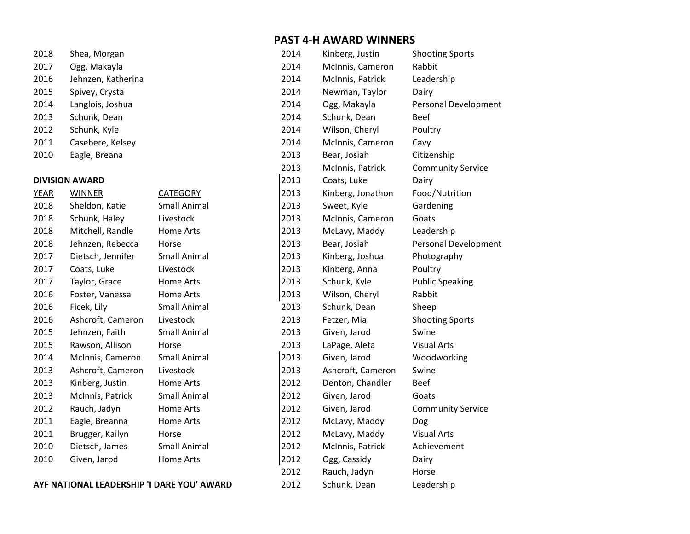| 2018 | Shea, Morgan       |
|------|--------------------|
| 2017 | Ogg, Makayla       |
| 2016 | Jehnzen, Katherina |
| 2015 | Spivey, Crysta     |
| 2014 | Langlois, Joshua   |
| 2013 | Schunk, Dean       |
| 2012 | Schunk, Kyle       |
| 2011 | Casebere, Kelsey   |
| 2010 | Eagle, Breana      |

#### **DIVISION AWARD**

| YEAK | <b>VVIIVIVEK</b>  |
|------|-------------------|
| 2018 | Sheldon, Katie    |
| 2018 | Schunk, Haley     |
| 2018 | Mitchell, Randle  |
| 2018 | Jehnzen, Rebecca  |
| 2017 | Dietsch, Jennifer |
| 2017 | Coats, Luke       |
| 2017 | Taylor, Grace     |
| 2016 | Foster, Vanessa   |
| 2016 | Ficek, Lily       |
| 2016 | Ashcroft, Cameron |
| 2015 | Jehnzen, Faith    |
| 2015 | Rawson, Allison   |
| 2014 | McInnis, Cameron  |
| 2013 | Ashcroft, Cameron |
| 2013 | Kinberg, Justin   |
| 2013 | McInnis, Patrick  |
| 2012 | Rauch, Jadyn      |
| 2011 | Eagle, Breanna    |
| 2011 | Brugger, Kailyn   |
| 2010 | Dietsch, James    |
| 2010 | Given, Jarod      |
|      |                   |

AYF NATIONAL LEADERSHIP 'I DARE YOU' AWARD 2012 Schunk, Dean Leadership

# **PAST 4-H AWARD WINNERS**

| 2018                                              | Shea, Morgan          |                     | 2014 | Kinberg, Justin   | <b>Shooting Sports</b>      |
|---------------------------------------------------|-----------------------|---------------------|------|-------------------|-----------------------------|
| 2017                                              | Ogg, Makayla          |                     | 2014 | McInnis, Cameron  | Rabbit                      |
| 2016                                              | Jehnzen, Katherina    |                     | 2014 | McInnis, Patrick  | Leadership                  |
| 2015                                              | Spivey, Crysta        |                     | 2014 | Newman, Taylor    | Dairy                       |
| 2014                                              | Langlois, Joshua      |                     | 2014 | Ogg, Makayla      | <b>Personal Development</b> |
| 2013                                              | Schunk, Dean          |                     | 2014 | Schunk, Dean      | <b>Beef</b>                 |
| 2012                                              | Schunk, Kyle          |                     | 2014 | Wilson, Cheryl    | Poultry                     |
| 2011                                              | Casebere, Kelsey      |                     | 2014 | McInnis, Cameron  | Cavy                        |
| 2010                                              | Eagle, Breana         |                     | 2013 | Bear, Josiah      | Citizenship                 |
|                                                   |                       |                     | 2013 | McInnis, Patrick  | <b>Community Service</b>    |
|                                                   | <b>DIVISION AWARD</b> |                     | 2013 | Coats, Luke       | Dairy                       |
| <b>YEAR</b>                                       | <b>WINNER</b>         | CATEGORY            | 2013 | Kinberg, Jonathon | Food/Nutrition              |
| 2018                                              | Sheldon, Katie        | <b>Small Animal</b> | 2013 | Sweet, Kyle       | Gardening                   |
| 2018                                              | Schunk, Haley         | Livestock           | 2013 | McInnis, Cameron  | Goats                       |
| 2018                                              | Mitchell, Randle      | Home Arts           | 2013 | McLavy, Maddy     | Leadership                  |
| 2018                                              | Jehnzen, Rebecca      | Horse               | 2013 | Bear, Josiah      | <b>Personal Development</b> |
| 2017                                              | Dietsch, Jennifer     | <b>Small Animal</b> | 2013 | Kinberg, Joshua   | Photography                 |
| 2017                                              | Coats, Luke           | Livestock           | 2013 | Kinberg, Anna     | Poultry                     |
| 2017                                              | Taylor, Grace         | Home Arts           | 2013 | Schunk, Kyle      | <b>Public Speaking</b>      |
| 2016                                              | Foster, Vanessa       | Home Arts           | 2013 | Wilson, Cheryl    | Rabbit                      |
| 2016                                              | Ficek, Lily           | <b>Small Animal</b> | 2013 | Schunk, Dean      | Sheep                       |
| 2016                                              | Ashcroft, Cameron     | Livestock           | 2013 | Fetzer, Mia       | <b>Shooting Sports</b>      |
| 2015                                              | Jehnzen, Faith        | <b>Small Animal</b> | 2013 | Given, Jarod      | Swine                       |
| 2015                                              | Rawson, Allison       | Horse               | 2013 | LaPage, Aleta     | <b>Visual Arts</b>          |
| 2014                                              | McInnis, Cameron      | <b>Small Animal</b> | 2013 | Given, Jarod      | Woodworking                 |
| 2013                                              | Ashcroft, Cameron     | Livestock           | 2013 | Ashcroft, Cameron | Swine                       |
| 2013                                              | Kinberg, Justin       | <b>Home Arts</b>    | 2012 | Denton, Chandler  | <b>Beef</b>                 |
| 2013                                              | McInnis, Patrick      | <b>Small Animal</b> | 2012 | Given, Jarod      | Goats                       |
| 2012                                              | Rauch, Jadyn          | Home Arts           | 2012 | Given, Jarod      | <b>Community Service</b>    |
| 2011                                              | Eagle, Breanna        | Home Arts           | 2012 | McLavy, Maddy     | Dog                         |
| 2011                                              | Brugger, Kailyn       | Horse               | 2012 | McLavy, Maddy     | <b>Visual Arts</b>          |
| 2010                                              | Dietsch, James        | <b>Small Animal</b> | 2012 | McInnis, Patrick  | Achievement                 |
| 2010                                              | Given, Jarod          | Home Arts           | 2012 | Ogg, Cassidy      | Dairy                       |
|                                                   |                       |                     | 2012 | Rauch, Jadyn      | Horse                       |
| <b>AYF NATIONAL LEADERSHIP 'I DARE YOU' AWARD</b> |                       |                     | 2012 | Schunk. Dean      | Leadership                  |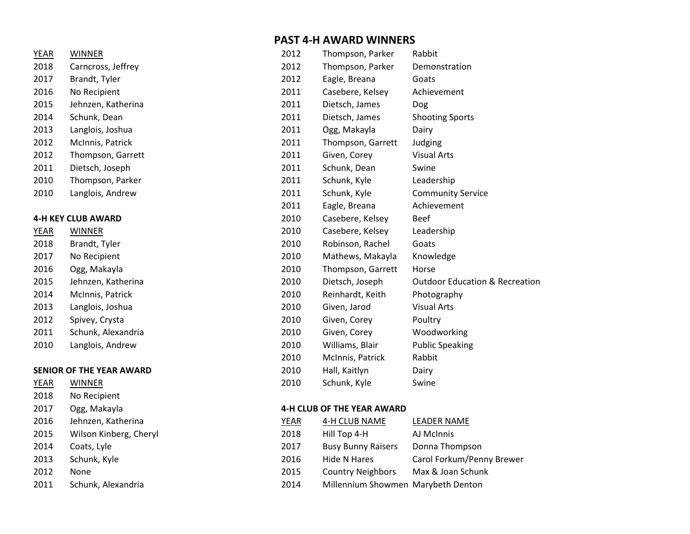# **PAST 4-H AWARD WINNERS**

| YEAR        | <b>WINNER</b>                   | 2012 | Thompson, Parker  | Rabbit                                    |
|-------------|---------------------------------|------|-------------------|-------------------------------------------|
| 2018        | Carncross, Jeffrey              | 2012 | Thompson, Parker  | Demonstration                             |
| 2017        | Brandt, Tyler                   | 2012 | Eagle, Breana     | Goats                                     |
| 2016        | No Recipient                    | 2011 | Casebere, Kelsey  | Achievement                               |
| 2015        | Jehnzen, Katherina              | 2011 | Dietsch, James    | <b>Dog</b>                                |
| 2014        | Schunk, Dean                    | 2011 | Dietsch, James    | <b>Shooting Sports</b>                    |
| 2013        | Langlois, Joshua                | 2011 | Ogg, Makayla      | Dairy                                     |
| 2012        | McInnis, Patrick                | 2011 | Thompson, Garrett | Judging                                   |
| 2012        | Thompson, Garrett               | 2011 | Given, Corey      | <b>Visual Arts</b>                        |
| 2011        | Dietsch, Joseph                 | 2011 | Schunk, Dean      | Swine                                     |
| 2010        | Thompson, Parker                | 2011 | Schunk, Kyle      | Leadership                                |
| 2010        | Langlois, Andrew                | 2011 | Schunk, Kyle      | <b>Community Service</b>                  |
|             |                                 | 2011 | Eagle, Breana     | Achievement                               |
|             | <b>4-H KEY CLUB AWARD</b>       | 2010 | Casebere, Kelsey  | <b>Beef</b>                               |
| <u>YEAR</u> | <b>WINNER</b>                   | 2010 | Casebere, Kelsey  | Leadership                                |
| 2018        | Brandt, Tyler                   | 2010 | Robinson, Rachel  | Goats                                     |
| 2017        | No Recipient                    | 2010 | Mathews, Makayla  | Knowledge                                 |
| 2016        | Ogg, Makayla                    | 2010 | Thompson, Garrett | Horse                                     |
| 2015        | Jehnzen, Katherina              | 2010 | Dietsch, Joseph   | <b>Outdoor Education &amp; Recreation</b> |
| 2014        | McInnis, Patrick                | 2010 | Reinhardt, Keith  | Photography                               |
| 2013        | Langlois, Joshua                | 2010 | Given, Jarod      | <b>Visual Arts</b>                        |
| 2012        | Spivey, Crysta                  | 2010 | Given, Corey      | Poultry                                   |
| 2011        | Schunk, Alexandria              | 2010 | Given, Corey      | Woodworking                               |
| 2010        | Langlois, Andrew                | 2010 | Williams, Blair   | <b>Public Speaking</b>                    |
|             |                                 | 2010 | McInnis, Patrick  | Rabbit                                    |
|             | <b>SENIOR OF THE YEAR AWARD</b> | 2010 | Hall, Kaitlyn     | Dairy                                     |
| YEAR        | <b>WINNER</b>                   | 2010 | Schunk, Kyle      | Swine                                     |
|             |                                 |      |                   |                                           |

#### **4-H CLUB OF THE YEAR AWARD**

| 2015<br>Wilson Kinberg, Cheryl<br>2018<br>Hill Top 4-H<br>AJ McInnis<br>2014<br>2017<br><b>Busy Bunny Raisers</b><br>Donna Thompson<br>Coats, Lyle<br>2013<br>Schunk, Kyle<br>2016<br>Hide N Hares<br>2012<br><b>Country Neighbors</b><br>Max & Joan Schunk<br>2015<br>None<br>2011<br>Millennium Showmen Marybeth Denton<br>Schunk, Alexandria<br>2014 | 2016 | Jehnzen, Katherina | YEAR | 4-H CLUB NAME | <b>LEADER NAME</b>        |
|---------------------------------------------------------------------------------------------------------------------------------------------------------------------------------------------------------------------------------------------------------------------------------------------------------------------------------------------------------|------|--------------------|------|---------------|---------------------------|
|                                                                                                                                                                                                                                                                                                                                                         |      |                    |      |               |                           |
|                                                                                                                                                                                                                                                                                                                                                         |      |                    |      |               |                           |
|                                                                                                                                                                                                                                                                                                                                                         |      |                    |      |               | Carol Forkum/Penny Brewer |
|                                                                                                                                                                                                                                                                                                                                                         |      |                    |      |               |                           |
|                                                                                                                                                                                                                                                                                                                                                         |      |                    |      |               |                           |

| ≀ ור⊿ו                    | <b>VVIIVIVLIV</b>  |  |
|---------------------------|--------------------|--|
| 2018                      | Carncross, Jeffrey |  |
| 2017                      | Brandt, Tyler      |  |
| 2016                      | No Recipient       |  |
| 2015                      | Jehnzen, Katherina |  |
| 2014                      | Schunk, Dean       |  |
| 2013                      | Langlois, Joshua   |  |
| 2012                      | McInnis, Patrick   |  |
| 2012                      | Thompson, Garrett  |  |
| 2011                      | Dietsch, Joseph    |  |
| 2010                      | Thompson, Parker   |  |
| 2010                      | Langlois, Andrew   |  |
|                           |                    |  |
| <b>1-H KEY CLUB AWARD</b> |                    |  |
| YEAR                      | WINNER             |  |

| <b>TEAR</b> | <b>VVIIVIVEK</b> |
|-------------|------------------|
| 2018        | Brandt, Tyler    |
| 2017        | No Recipient     |
| 2016        | Ogg, Makayla     |
| 2015        | Jehnzen, Kathe   |
| 2014        | McInnis, Patric  |
| 2013        | Langlois, Joshu  |
| 2012        | Spivey, Crysta   |
| 2011        | Schunk, Alexan   |
|             |                  |

# **SENIOR OF THE YEAR AWARD**

| YEAR | WINNER                 |                |
|------|------------------------|----------------|
| 2018 | No Recipient           |                |
| 2017 | Ogg, Makayla           | 4              |
| 2016 | Jehnzen, Katherina     | Υ              |
| 2015 | Wilson Kinberg, Cheryl | $\overline{2}$ |
| 2014 | Coats, Lyle            | 2              |
| 2013 | Schunk, Kyle           | $\overline{2}$ |
| 2012 | None                   | $\overline{2}$ |
| 2011 | Schunk, Alexandria     | 2              |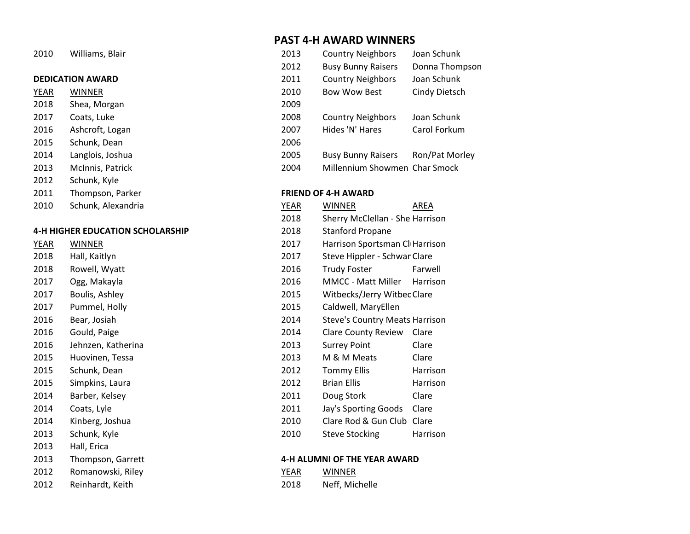# **DEDICATION AWARD** 2

- 2018 Shea, Morgan 2017 Coats, Luke 2008 Country New 2008 Country New 2008 Country New 2008 Country New 2008 Country New 2008 Country New 2008 Country New 2008 Country New 2008 Country New 2008 Country New 2008 Country New 2008 Country New 2 2016 Ashcroft, Logan 2007 Hides in the 2007 Hides of the 2007 Hides States in the 2007 Hides of 2007 Hides Carol Forkum 2007 Hides States in the 2007 Hides of 2007 Hides States in the 2007 Hides States in the 2007 Hides St 2015 Schunk, Dean 2006 2014 Langlois, Joshua **Bunny Raisers Route Ronald Raisers Ronald Raisers Ronald Raisers Ronald Raisers Ronald R** 2013 McInnis, Patrick 2004 Millennium Showmen Char Showmen Char Smooth Char Smooth Char Smooth Char Smooth Char Smooth Char Smooth Char Smooth Char Smooth Char Smooth Char Smooth Char Smooth Char Smooth Char Smooth Char Sm 2012 Schunk, Kyle
- 
- 2010 Schunk, Alexandria YEAR WINNER WINNER WINNER WINNER WINNER WINNER WINNER WINNER WINNER WINNER WINNER WINNER

# **4-H HIGHER EDUCATION SCHOLARSHIP** 2

| <b>YEAR</b> | WINNER             | 2017 | Harrison          |
|-------------|--------------------|------|-------------------|
| 2018        | Hall, Kaitlyn      | 2017 | Steve Hi          |
| 2018        | Rowell, Wyatt      | 2016 | <b>Trudy Fo</b>   |
| 2017        | Ogg, Makayla       | 2016 | MMCC -            |
| 2017        | Boulis, Ashley     | 2015 | <b>Witbeck</b>    |
| 2017        | Pummel, Holly      | 2015 | Caldwell          |
| 2016        | Bear, Josiah       | 2014 | Steve's C         |
| 2016        | Gould, Paige       | 2014 | Clare Co          |
| 2016        | Jehnzen, Katherina | 2013 | <b>Surrey P</b>   |
| 2015        | Huovinen, Tessa    | 2013 | M&MM              |
| 2015        | Schunk, Dean       | 2012 | Tommy             |
| 2015        | Simpkins, Laura    | 2012 | <b>Brian Elli</b> |
| 2014        | Barber, Kelsey     | 2011 | Doug Sto          |
| 2014        | Coats, Lyle        | 2011 | Jay's Spc         |
| 2014        | Kinberg, Joshua    | 2010 | Clare Ro          |
| 2013        | Schunk, Kyle       | 2010 | Steve Sto         |
| 2013        | Hall, Erica        |      |                   |
| 2013        | Thompson, Garrett  |      | 4-H ALUMNI OF TH  |
| 2012        | Romanowski, Riley  | YEAR | WINNER            |
|             |                    |      |                   |

2012 Reinhardt, Keith

# **PAST 4-H AWARD WINNERS**

| 2010 | Williams, Blair         | 2013 | <b>Country Neighbors</b>      | Joan Schunk    |
|------|-------------------------|------|-------------------------------|----------------|
|      |                         | 2012 | <b>Busy Bunny Raisers</b>     | Donna Thompson |
|      | <b>DEDICATION AWARD</b> | 2011 | <b>Country Neighbors</b>      | Joan Schunk    |
| YEAR | <b>WINNER</b>           | 2010 | <b>Bow Wow Best</b>           | Cindy Dietsch  |
| 2018 | Shea, Morgan            | 2009 |                               |                |
| 2017 | Coats, Luke             | 2008 | <b>Country Neighbors</b>      | Joan Schunk    |
| 2016 | Ashcroft, Logan         | 2007 | Hides 'N' Hares               | Carol Forkum   |
| 2015 | Schunk, Dean            | 2006 |                               |                |
| 2014 | Langlois, Joshua        | 2005 | <b>Busy Bunny Raisers</b>     | Ron/Pat Morley |
| 2013 | McInnis, Patrick        | 2004 | Millennium Showmen Char Smock |                |

#### 2011 Thompson, Parker **FRIEND OF 4-H AWARD**

| 2010        | Schunk, Alexandria                      | <b>YEAR</b> | WINNER                                | <b>AREA</b>     |  |
|-------------|-----------------------------------------|-------------|---------------------------------------|-----------------|--|
|             |                                         | 2018        | Sherry McClellan - She Harrison       |                 |  |
|             | <b>4-H HIGHER EDUCATION SCHOLARSHIP</b> | 2018        | <b>Stanford Propane</b>               |                 |  |
| <b>YEAR</b> | <b>WINNER</b>                           | 2017        | Harrison Sportsman Cl Harrison        |                 |  |
| 2018        | Hall, Kaitlyn                           | 2017        | Steve Hippler - Schwar Clare          |                 |  |
| 2018        | Rowell, Wyatt                           | 2016        | <b>Trudy Foster</b>                   | Farwell         |  |
| 2017        | Ogg, Makayla                            | 2016        | <b>MMCC - Matt Miller</b>             | <b>Harrison</b> |  |
| 2017        | Boulis, Ashley                          | 2015        | Witbecks/Jerry Witbec Clare           |                 |  |
| 2017        | Pummel, Holly                           | 2015        | Caldwell, MaryEllen                   |                 |  |
| 2016        | Bear, Josiah                            | 2014        | <b>Steve's Country Meats Harrison</b> |                 |  |
| 2016        | Gould, Paige                            | 2014        | <b>Clare County Review</b>            | Clare           |  |
| 2016        | Jehnzen, Katherina                      | 2013        | <b>Surrey Point</b>                   | Clare           |  |
| 2015        | Huovinen, Tessa                         | 2013        | M & M Meats                           | Clare           |  |
| 2015        | Schunk, Dean                            | 2012        | <b>Tommy Ellis</b>                    | Harrison        |  |
| 2015        | Simpkins, Laura                         | 2012        | <b>Brian Ellis</b>                    | Harrison        |  |
| 2014        | Barber, Kelsey                          | 2011        | Doug Stork                            | Clare           |  |
| 2014        | Coats, Lyle                             | 2011        | Jay's Sporting Goods                  | Clare           |  |
| 2014        | Kinberg, Joshua                         | 2010        | Clare Rod & Gun Club Clare            |                 |  |
| 2013        | Schunk, Kyle                            | 2010        | <b>Steve Stocking</b>                 | Harrison        |  |

### **2013 Thompson, Garrier 1913 Thompson, Garrier and American American American American American American American American American American American American American American American American American American American**

| YFAR | WINNER         |
|------|----------------|
| 2018 | Neff, Michelle |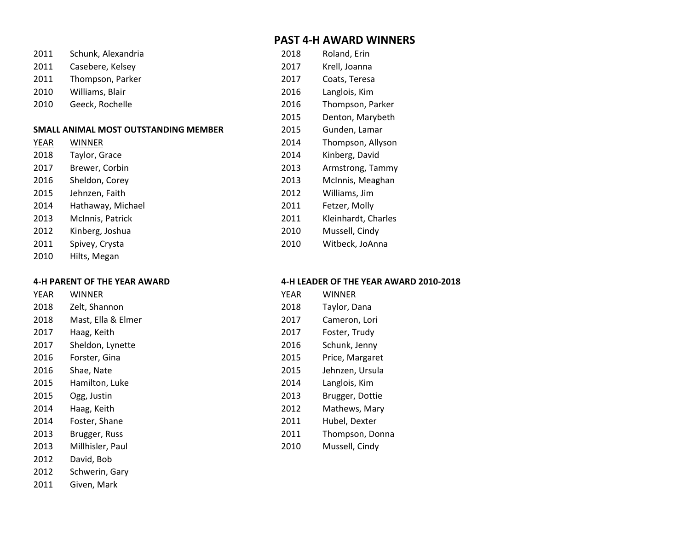# **PAST 4-H AWARD WINNERS**

| 2011 | Schunk, Alexandria                   | 2018 | Roland, Erin        |
|------|--------------------------------------|------|---------------------|
| 2011 | Casebere, Kelsey                     | 2017 | Krell, Joanna       |
| 2011 | Thompson, Parker                     | 2017 | Coats, Teresa       |
| 2010 | Williams, Blair                      | 2016 | Langlois, Kim       |
| 2010 | Geeck, Rochelle                      | 2016 | Thompson, Parker    |
|      |                                      | 2015 | Denton, Marybeth    |
|      | SMALL ANIMAL MOST OUTSTANDING MEMBER | 2015 | Gunden, Lamar       |
| YEAR | WINNER                               | 2014 | Thompson, Allyson   |
| 2018 | Taylor, Grace                        | 2014 | Kinberg, David      |
| 2017 | Brewer, Corbin                       | 2013 | Armstrong, Tammy    |
| 2016 | Sheldon, Corey                       | 2013 | McInnis, Meaghan    |
| 2015 | Jehnzen, Faith                       | 2012 | Williams, Jim       |
| 2014 | Hathaway, Michael                    | 2011 | Fetzer, Molly       |
| 2013 | McInnis, Patrick                     | 2011 | Kleinhardt, Charles |
| 2012 | Kinberg, Joshua                      | 2010 | Mussell, Cindy      |
| 2011 | Spivey, Crysta                       | 2010 | Witbeck, JoAnna     |
| 2010 | Hilts, Megan                         |      |                     |

| <b>YEAR</b> | <b>WINNER</b>      | <b>YEAR</b> | <b>WINNER</b>   |
|-------------|--------------------|-------------|-----------------|
| 2018        | Zelt, Shannon      | 2018        | Taylor, Dana    |
| 2018        | Mast, Ella & Elmer | 2017        | Cameron, Lori   |
| 2017        | Haag, Keith        | 2017        | Foster, Trudy   |
| 2017        | Sheldon, Lynette   | 2016        | Schunk, Jenny   |
| 2016        | Forster, Gina      | 2015        | Price, Margaret |
| 2016        | Shae, Nate         | 2015        | Jehnzen, Ursula |
| 2015        | Hamilton, Luke     | 2014        | Langlois, Kim   |
| 2015        | Ogg, Justin        | 2013        | Brugger, Dottie |
| 2014        | Haag, Keith        | 2012        | Mathews, Mary   |
| 2014        | Foster, Shane      | 2011        | Hubel, Dexter   |
| 2013        | Brugger, Russ      | 2011        | Thompson, Donna |
| 2013        | Millhisler, Paul   | 2010        | Mussell, Cindy  |
| 2012        | David, Bob         |             |                 |
| 2012        | Schwerin, Gary     |             |                 |

Given, Mark

# **4-H PARENT OF THE YEAR AWARD 4-H LEADER OF THE YEAR AWARD 2010-2018**

| YEAR | WINNER          |
|------|-----------------|
| 2018 | Taylor, Dana    |
| 2017 | Cameron, Lori   |
| 2017 | Foster, Trudy   |
| 2016 | Schunk, Jenny   |
| 2015 | Price, Margaret |
| 2015 | Jehnzen, Ursula |
| 2014 | Langlois, Kim   |
| 2013 | Brugger, Dottie |
| 2012 | Mathews, Mary   |
| 2011 | Hubel, Dexter   |
| 2011 | Thompson, Donna |
| 2010 | Mussell. Cindv  |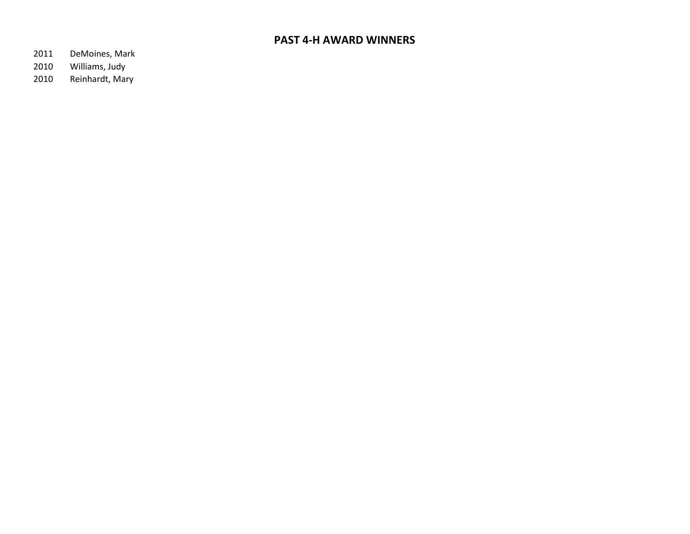# **PAST 4-H AWARD WINNERS**

- DeMoines, Mark
- Williams, Judy
- Reinhardt, Mary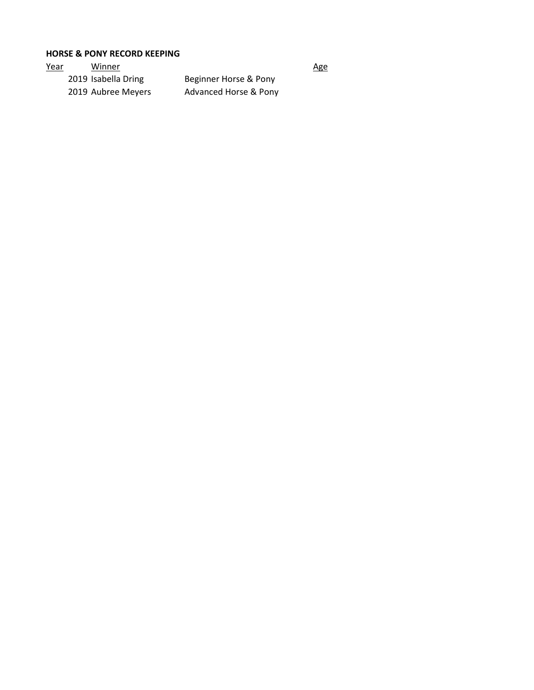# **HORSE & PONY RECORD KEEPING**

| <u>Year</u> | Winner              |                       | <u>Age</u> |
|-------------|---------------------|-----------------------|------------|
|             | 2019 Isabella Dring | Beginner Horse & Pony |            |
|             | 2019 Aubree Meyers  | Advanced Horse & Pony |            |